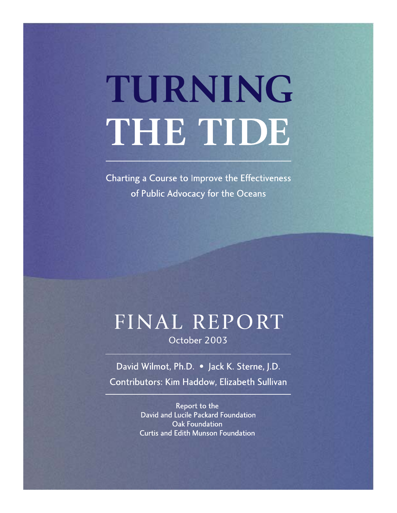# TURNING THE TIDE

Charting a Course to Improve the Effectiveness of Public Advocacy for the Oceans

# FINAL REPORT

October 2003

David Wilmot, Ph.D. . Jack K. Sterne, J.D. Contributors: Kim Haddow, Elizabeth Sullivan

> Report to the David and Lucile Packard Foundation Oak Foundation **Curtis and Edith Munson Foundation**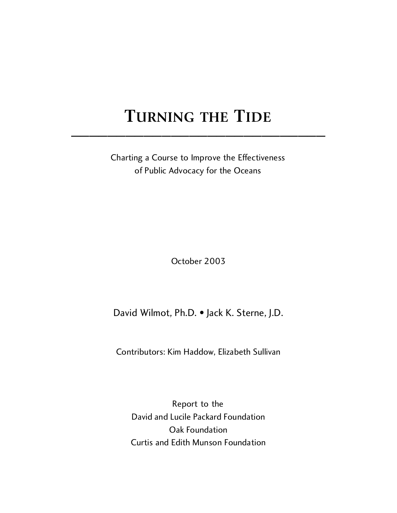## TURNING THE TIDE

Charting a Course to Improve the Effectiveness of Public Advocacy for the Oceans

October 2003

David Wilmot, Ph.D. • Jack K. Sterne, J.D.

Contributors: Kim Haddow, Elizabeth Sullivan

Report to the David and Lucile Packard Foundation Oak Foundation Curtis and Edith Munson Foundation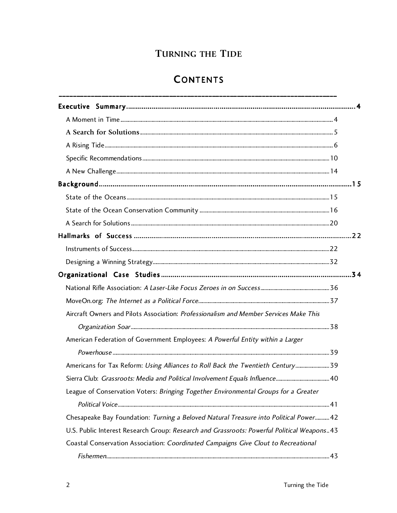## TURNING THE TIDE

## **CONTENTS**

| Aircraft Owners and Pilots Association: Professionalism and Member Services Make This      |  |
|--------------------------------------------------------------------------------------------|--|
|                                                                                            |  |
| American Federation of Government Employees: A Powerful Entity within a Larger             |  |
|                                                                                            |  |
| Americans for Tax Reform: Using Alliances to Roll Back the Twentieth Century39             |  |
|                                                                                            |  |
| League of Conservation Voters: Bringing Together Environmental Groups for a Greater        |  |
|                                                                                            |  |
| Chesapeake Bay Foundation: Turning a Beloved Natural Treasure into Political Power 42      |  |
| U.S. Public Interest Research Group: Research and Grassroots: Powerful Political Weapons43 |  |
| Coastal Conservation Association: Coordinated Campaigns Give Clout to Recreational         |  |
|                                                                                            |  |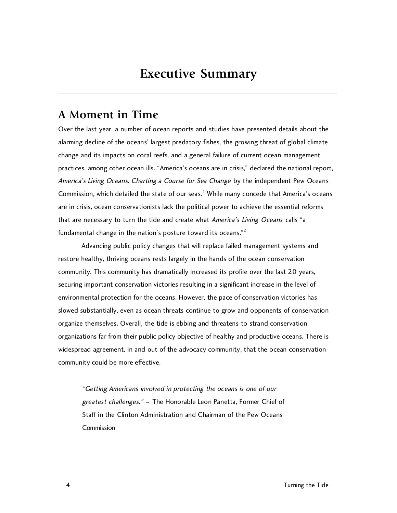## **Executive Summary**

**\_\_\_\_\_\_\_\_\_\_\_\_\_\_\_\_\_\_\_\_\_\_\_\_\_\_\_\_\_\_\_\_\_\_\_\_\_\_\_\_\_\_\_\_\_\_\_\_\_\_\_\_\_\_\_\_\_\_\_\_\_\_\_\_\_\_\_\_\_\_\_\_\_\_\_\_\_\_**

## **A Moment in Time**

Over the last year, a number of ocean reports and studies have presented details about the alarming decline of the oceans' largest predatory fishes, the growing threat of global climate change and its impacts on coral reefs, and a general failure of current ocean management practices, among other ocean ills. "America's oceans are in crisis," declared the national report, America's Living Oceans: Charting a Course for Sea Change by the independent Pew Oceans Commission, which detailed the state of our seas.<sup>1</sup> While many concede that America's oceans are in crisis, ocean conservationists lack the political power to achieve the essential reforms that are necessary to turn the tide and create what America's Living Oceans calls "a fundamental change in the nation's posture toward its oceans."<sup>2</sup>

Advancing public policy changes that will replace failed management systems and restore healthy, thriving oceans rests largely in the hands of the ocean conservation community. This community has dramatically increased its profile over the last 20 years, securing important conservation victories resulting in a significant increase in the level of environmental protection for the oceans. However, the pace of conservation victories has slowed substantially, even as ocean threats continue to grow and opponents of conservation organize themselves. Overall, the tide is ebbing and threatens to strand conservation organizations far from their public policy objective of healthy and productive oceans. There is widespread agreement, in and out of the advocacy community, that the ocean conservation community could be more effective.

"Getting Americans involved in protecting the oceans is one of our greatest challenges." – The Honorable Leon Panetta, Former Chief of Staff in the Clinton Administration and Chairman of the Pew Oceans **Commission**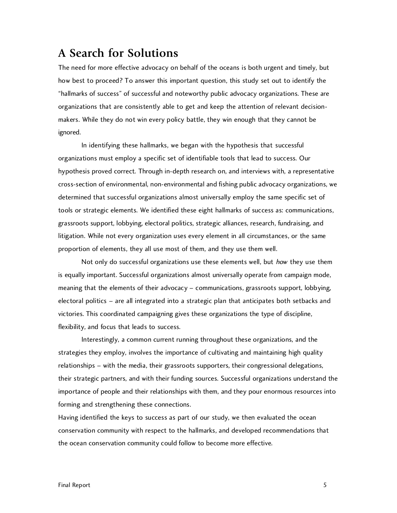## **A Search for Solutions**

The need for more effective advocacy on behalf of the oceans is both urgent and timely, but how best to proceed? To answer this important question, this study set out to identify the "hallmarks of success" of successful and noteworthy public advocacy organizations. These are organizations that are consistently able to get and keep the attention of relevant decisionmakers. While they do not win every policy battle, they win enough that they cannot be ignored.

In identifying these hallmarks, we began with the hypothesis that successful organizations must employ a specific set of identifiable tools that lead to success. Our hypothesis proved correct. Through in-depth research on, and interviews with, a representative cross-section of environmental, non-environmental and fishing public advocacy organizations, we determined that successful organizations almost universally employ the same specific set of tools or strategic elements. We identified these eight hallmarks of success as: communications, grassroots support, lobbying, electoral politics, strategic alliances, research, fundraising, and litigation. While not every organization uses every element in all circumstances, or the same proportion of elements, they all use most of them, and they use them well.

Not only do successful organizations use these elements well, but how they use them is equally important. Successful organizations almost universally operate from campaign mode, meaning that the elements of their advocacy – communications, grassroots support, lobbying, electoral politics – are all integrated into a strategic plan that anticipates both setbacks and victories. This coordinated campaigning gives these organizations the type of discipline, flexibility, and focus that leads to success.

Interestingly, a common current running throughout these organizations, and the strategies they employ, involves the importance of cultivating and maintaining high quality relationships – with the media, their grassroots supporters, their congressional delegations, their strategic partners, and with their funding sources. Successful organizations understand the importance of people and their relationships with them, and they pour enormous resources into forming and strengthening these connections.

Having identified the keys to success as part of our study, we then evaluated the ocean conservation community with respect to the hallmarks, and developed recommendations that the ocean conservation community could follow to become more effective.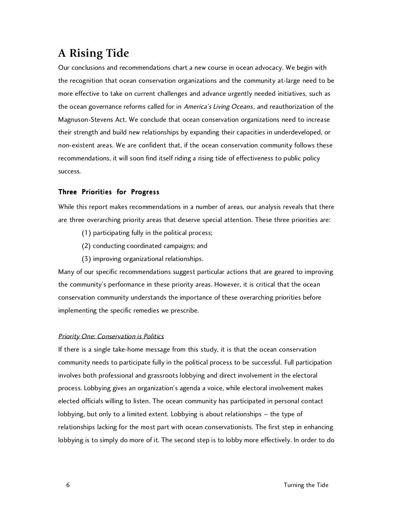## **A Rising Tide**

Our conclusions and recommendations chart a new course in ocean advocacy. We begin with the recognition that ocean conservation organizations and the community at-large need to be more effective to take on current challenges and advance urgently needed initiatives, such as the ocean governance reforms called for in America's Living Oceans, and reauthorization of the Magnuson-Stevens Act. We conclude that ocean conservation organizations need to increase their strength and build new relationships by expanding their capacities in underdeveloped, or non-existent areas. We are confident that, if the ocean conservation community follows these recommendations, it will soon find itself riding a rising tide of effectiveness to public policy success.

#### Three Priorities for Progress

While this report makes recommendations in a number of areas, our analysis reveals that there are three overarching priority areas that deserve special attention. These three priorities are:

- (1) participating fully in the political process;
- (2) conducting coordinated campaigns; and
- (3) improving organizational relationships.

Many of our specific recommendations suggest particular actions that are geared to improving the community's performance in these priority areas. However, it is critical that the ocean conservation community understands the importance of these overarching priorities before implementing the specific remedies we prescribe.

#### Priority One: Conservation is Politics

If there is a single take-home message from this study, it is that the ocean conservation community needs to participate fully in the political process to be successful. Full participation involves both professional and grassroots lobbying and direct involvement in the electoral process. Lobbying gives an organization's agenda a voice, while electoral involvement makes elected officials willing to listen. The ocean community has participated in personal contact lobbying, but only to a limited extent. Lobbying is about relationships – the type of relationships lacking for the most part with ocean conservationists. The first step in enhancing lobbying is to simply do more of it. The second step is to lobby more effectively. In order to do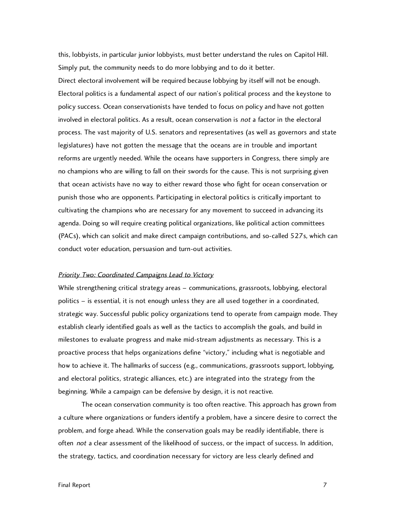this, lobbyists, in particular junior lobbyists, must better understand the rules on Capitol Hill. Simply put, the community needs to do more lobbying and to do it better. Direct electoral involvement will be required because lobbying by itself will not be enough. Electoral politics is a fundamental aspect of our nation's political process and the keystone to policy success. Ocean conservationists have tended to focus on policy and have not gotten involved in electoral politics. As a result, ocean conservation is not a factor in the electoral process. The vast majority of U.S. senators and representatives (as well as governors and state legislatures) have not gotten the message that the oceans are in trouble and important reforms are urgently needed. While the oceans have supporters in Congress, there simply are no champions who are willing to fall on their swords for the cause. This is not surprising given that ocean activists have no way to either reward those who fight for ocean conservation or punish those who are opponents. Participating in electoral politics is critically important to cultivating the champions who are necessary for any movement to succeed in advancing its agenda. Doing so will require creating political organizations, like political action committees (PACs), which can solicit and make direct campaign contributions, and so-called 527s, which can conduct voter education, persuasion and turn-out activities.

#### Priority Two: Coordinated Campaigns Lead to Victory

While strengthening critical strategy areas – communications, grassroots, lobbying, electoral politics – is essential, it is not enough unless they are all used together in a coordinated, strategic way. Successful public policy organizations tend to operate from campaign mode. They establish clearly identified goals as well as the tactics to accomplish the goals, and build in milestones to evaluate progress and make mid-stream adjustments as necessary. This is a proactive process that helps organizations define "victory," including what is negotiable and how to achieve it. The hallmarks of success (e.g., communications, grassroots support, lobbying, and electoral politics, strategic alliances, etc.) are integrated into the strategy from the beginning. While a campaign can be defensive by design, it is not reactive.

The ocean conservation community is too often reactive. This approach has grown from a culture where organizations or funders identify a problem, have a sincere desire to correct the problem, and forge ahead. While the conservation goals may be readily identifiable, there is often not a clear assessment of the likelihood of success, or the impact of success. In addition, the strategy, tactics, and coordination necessary for victory are less clearly defined and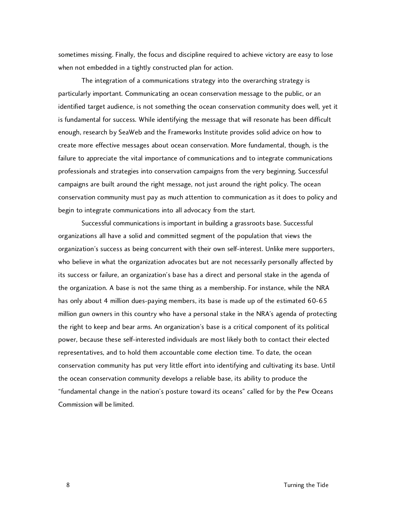sometimes missing. Finally, the focus and discipline required to achieve victory are easy to lose when not embedded in a tightly constructed plan for action.

The integration of a communications strategy into the overarching strategy is particularly important. Communicating an ocean conservation message to the public, or an identified target audience, is not something the ocean conservation community does well, yet it is fundamental for success. While identifying the message that will resonate has been difficult enough, research by SeaWeb and the Frameworks Institute provides solid advice on how to create more effective messages about ocean conservation. More fundamental, though, is the failure to appreciate the vital importance of communications and to integrate communications professionals and strategies into conservation campaigns from the very beginning. Successful campaigns are built around the right message, not just around the right policy. The ocean conservation community must pay as much attention to communication as it does to policy and begin to integrate communications into all advocacy from the start.

Successful communications is important in building a grassroots base. Successful organizations all have a solid and committed segment of the population that views the organization's success as being concurrent with their own self-interest. Unlike mere supporters, who believe in what the organization advocates but are not necessarily personally affected by its success or failure, an organization's base has a direct and personal stake in the agenda of the organization. A base is not the same thing as a membership. For instance, while the NRA has only about 4 million dues-paying members, its base is made up of the estimated 60-65 million gun owners in this country who have a personal stake in the NRA's agenda of protecting the right to keep and bear arms. An organization's base is a critical component of its political power, because these self-interested individuals are most likely both to contact their elected representatives, and to hold them accountable come election time. To date, the ocean conservation community has put very little effort into identifying and cultivating its base. Until the ocean conservation community develops a reliable base, its ability to produce the "fundamental change in the nation's posture toward its oceans" called for by the Pew Oceans Commission will be limited.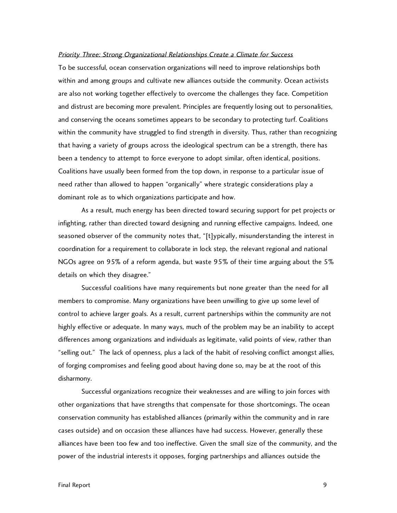#### Priority Three: Strong Organizational Relationships Create a Climate for Success

To be successful, ocean conservation organizations will need to improve relationships both within and among groups and cultivate new alliances outside the community. Ocean activists are also not working together effectively to overcome the challenges they face. Competition and distrust are becoming more prevalent. Principles are frequently losing out to personalities, and conserving the oceans sometimes appears to be secondary to protecting turf. Coalitions within the community have struggled to find strength in diversity. Thus, rather than recognizing that having a variety of groups across the ideological spectrum can be a strength, there has been a tendency to attempt to force everyone to adopt similar, often identical, positions. Coalitions have usually been formed from the top down, in response to a particular issue of need rather than allowed to happen "organically" where strategic considerations play a dominant role as to which organizations participate and how.

As a result, much energy has been directed toward securing support for pet projects or infighting, rather than directed toward designing and running effective campaigns. Indeed, one seasoned observer of the community notes that, "[t]ypically, misunderstanding the interest in coordination for a requirement to collaborate in lock step, the relevant regional and national NGOs agree on 95% of a reform agenda, but waste 95% of their time arguing about the 5% details on which they disagree."

Successful coalitions have many requirements but none greater than the need for all members to compromise. Many organizations have been unwilling to give up some level of control to achieve larger goals. As a result, current partnerships within the community are not highly effective or adequate. In many ways, much of the problem may be an inability to accept differences among organizations and individuals as legitimate, valid points of view, rather than "selling out." The lack of openness, plus a lack of the habit of resolving conflict amongst allies, of forging compromises and feeling good about having done so, may be at the root of this disharmony.

Successful organizations recognize their weaknesses and are willing to join forces with other organizations that have strengths that compensate for those shortcomings. The ocean conservation community has established alliances (primarily within the community and in rare cases outside) and on occasion these alliances have had success. However, generally these alliances have been too few and too ineffective. Given the small size of the community, and the power of the industrial interests it opposes, forging partnerships and alliances outside the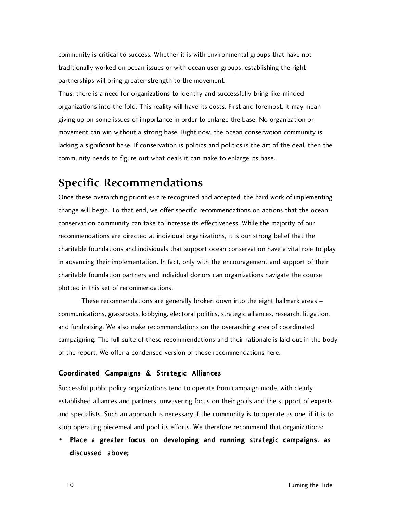community is critical to success. Whether it is with environmental groups that have not traditionally worked on ocean issues or with ocean user groups, establishing the right partnerships will bring greater strength to the movement.

Thus, there is a need for organizations to identify and successfully bring like-minded organizations into the fold. This reality will have its costs. First and foremost, it may mean giving up on some issues of importance in order to enlarge the base. No organization or movement can win without a strong base. Right now, the ocean conservation community is lacking a significant base. If conservation is politics and politics is the art of the deal, then the community needs to figure out what deals it can make to enlarge its base.

## **Specific Recommendations**

Once these overarching priorities are recognized and accepted, the hard work of implementing change will begin. To that end, we offer specific recommendations on actions that the ocean conservation community can take to increase its effectiveness. While the majority of our recommendations are directed at individual organizations, it is our strong belief that the charitable foundations and individuals that support ocean conservation have a vital role to play in advancing their implementation. In fact, only with the encouragement and support of their charitable foundation partners and individual donors can organizations navigate the course plotted in this set of recommendations.

These recommendations are generally broken down into the eight hallmark areas – communications, grassroots, lobbying, electoral politics, strategic alliances, research, litigation, and fundraising. We also make recommendations on the overarching area of coordinated campaigning. The full suite of these recommendations and their rationale is laid out in the body of the report. We offer a condensed version of those recommendations here.

#### Coordinated Campaigns & Strategic Alliances

Successful public policy organizations tend to operate from campaign mode, with clearly established alliances and partners, unwavering focus on their goals and the support of experts and specialists. Such an approach is necessary if the community is to operate as one, if it is to stop operating piecemeal and pool its efforts. We therefore recommend that organizations:

• Place a greater focus on developing and running strategic campaigns, as discussed above;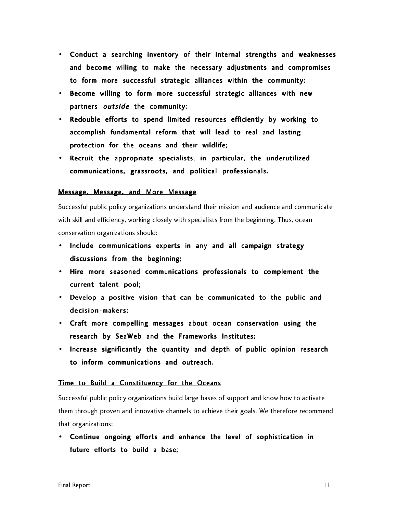- Conduct a searching inventory of their internal strengths and weaknesses and become willing to make the necessary adjustments and compromises to form more successful strategic alliances within the community;
- Become willing to form more successful strategic alliances with new partners outside the community;
- Redouble efforts to spend limited resources efficiently by working to accomplish fundamental reform that will lead to real and lasting protection for the oceans and their wildlife;
- Recruit the appropriate specialists, in particular, the underutilized communications, grassroots, and political professionals.

#### Message, Message, and More Message

Successful public policy organizations understand their mission and audience and communicate with skill and efficiency, working closely with specialists from the beginning. Thus, ocean conservation organizations should:

- Include communications experts in any and all campaign strategy discussions from the beginning;
- Hire more seasoned communications professionals to complement the current talent pool;
- Develop a positive vision that can be communicated to the public and decision-makers;
- Craft more compelling messages about ocean conservation using the research by SeaWeb and the Frameworks Institutes;
- Increase significantly the quantity and depth of public opinion research to inform communications and outreach.

#### Time to Build a Constituency for the Oceans

Successful public policy organizations build large bases of support and know how to activate them through proven and innovative channels to achieve their goals. We therefore recommend that organizations:

• Continue ongoing efforts and enhance the level of sophistication in future efforts to build a base;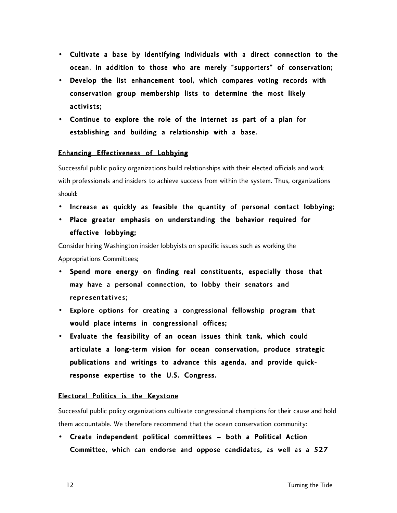- Cultivate a base by identifying individuals with a direct connection to the ocean, in addition to those who are merely "supporters" of conservation;
- Develop the list enhancement tool, which compares voting records with conservation group membership lists to determine the most likely activists:
- Continue to explore the role of the Internet as part of a plan for establishing and building a relationship with a base.

#### Enhancing Effectiveness of Lobbying

Successful public policy organizations build relationships with their elected officials and work with professionals and insiders to achieve success from within the system. Thus, organizations should:

- Increase as quickly as feasible the quantity of personal contact lobbying;
- Place greater emphasis on understanding the behavior required for effective lobbying;

Consider hiring Washington insider lobbyists on specific issues such as working the Appropriations Committees;

- Spend more energy on finding real constituents, especially those that may have a personal connection, to lobby their senators and representatives ;
- Explore options for creating a congressional fellowship program that would place interns in congressional offices;
- Evaluate the feasibility of an ocean issues think tank, which could articulate a long-term vision for ocean conservation, produce strategic publications and writings to advance this agenda, and provide quickresponse expertise to the U.S. Congress.

#### Electoral Politics is the Keystone

Successful public policy organizations cultivate congressional champions for their cause and hold them accountable. We therefore recommend that the ocean conservation community:

• Create independent political committees – both a Political Action Committee, which can endorse and oppose candidates, as well as a 527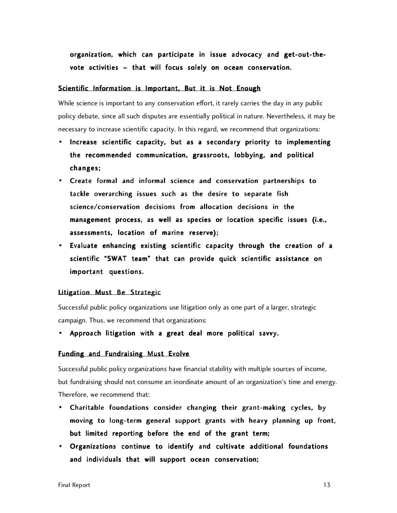organization, which can participate in issue advocacy and get-out-thevote activities – that will focus solely on ocean conservation.

#### Scientific Information is Important, But it is Not Enough

While science is important to any conservation effort, it rarely carries the day in any public policy debate, since all such disputes are essentially political in nature. Nevertheless, it may be necessary to increase scientific capacity. In this regard, we recommend that organizations:

- Increase scientific capacity, but as a secondary priority to implementing the recommended communication, grassroots, lobbying, and political changes;
- Create formal and informal science and conservation partnerships to tackle overarching issues such as the desire to separate fish science/conservation decisions from allocation decisions in the management process, as well as species or location specific issues (i.e., assessments, location of marine reserve);
- Evaluate enhancing existing scientific capacity through the creation of a scientific "SWAT team" that can provide quick scientific assistance on important questions.

#### Litigation Must Be Strategic

Successful public policy organizations use litigation only as one part of a larger, strategic campaign. Thus, we recommend that organizations:

• Approach litigation with a great deal more political savvy.

#### Funding and Fundraising Must Evolve

Successful public policy organizations have financial stability with multiple sources of income, but fundraising should not consume an inordinate amount of an organization's time and energy. Therefore, we recommend that:

- Charitable foundations consider changing their grant-making cycles, by moving to long-term general support grants with heavy planning up front, but limited reporting before the end of the grant term;
- Organizations continue to identify and cultivate additional foundations and individuals that will support ocean conservation;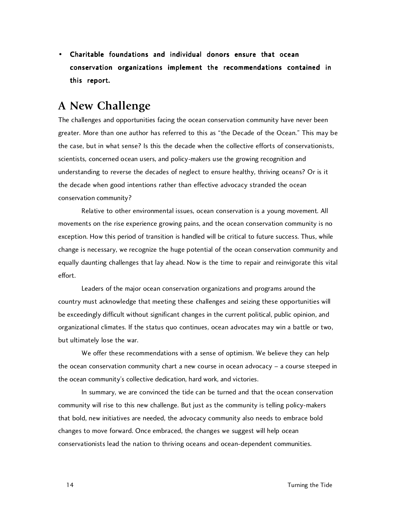• Charitable foundations and individual donors ensure that ocean conservation organizations implement the recommendations contained in this report.

## **A New Challenge**

The challenges and opportunities facing the ocean conservation community have never been greater. More than one author has referred to this as "the Decade of the Ocean." This may be the case, but in what sense? Is this the decade when the collective efforts of conservationists, scientists, concerned ocean users, and policy-makers use the growing recognition and understanding to reverse the decades of neglect to ensure healthy, thriving oceans? Or is it the decade when good intentions rather than effective advocacy stranded the ocean conservation community?

Relative to other environmental issues, ocean conservation is a young movement. All movements on the rise experience growing pains, and the ocean conservation community is no exception. How this period of transition is handled will be critical to future success. Thus, while change is necessary, we recognize the huge potential of the ocean conservation community and equally daunting challenges that lay ahead. Now is the time to repair and reinvigorate this vital effort.

Leaders of the major ocean conservation organizations and programs around the country must acknowledge that meeting these challenges and seizing these opportunities will be exceedingly difficult without significant changes in the current political, public opinion, and organizational climates. If the status quo continues, ocean advocates may win a battle or two, but ultimately lose the war.

We offer these recommendations with a sense of optimism. We believe they can help the ocean conservation community chart a new course in ocean advocacy – a course steeped in the ocean community's collective dedication, hard work, and victories.

In summary, we are convinced the tide can be turned and that the ocean conservation community will rise to this new challenge. But just as the community is telling policy-makers that bold, new initiatives are needed, the advocacy community also needs to embrace bold changes to move forward. Once embraced, the changes we suggest will help ocean conservationists lead the nation to thriving oceans and ocean-dependent communities.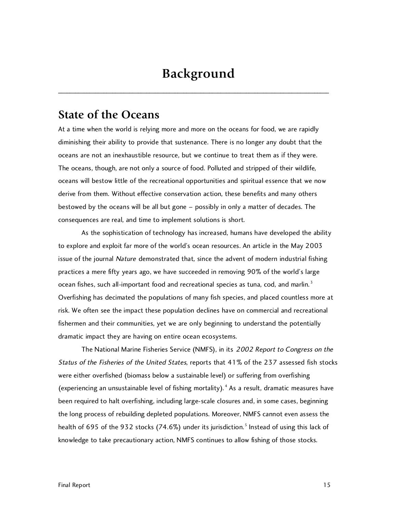## **Background**

\_\_\_\_\_\_\_\_\_\_\_\_\_\_\_\_\_\_\_\_\_\_\_\_\_\_\_\_\_\_\_\_\_\_\_\_\_\_\_\_\_\_\_\_\_\_\_\_\_\_\_\_\_\_\_\_\_\_\_\_\_\_\_\_\_\_\_\_\_\_\_\_\_\_\_\_\_\_\_\_\_\_\_\_\_\_\_\_\_\_\_\_\_\_\_

### **State of the Oceans**

At a time when the world is relying more and more on the oceans for food, we are rapidly diminishing their ability to provide that sustenance. There is no longer any doubt that the oceans are not an inexhaustible resource, but we continue to treat them as if they were. The oceans, though, are not only a source of food. Polluted and stripped of their wildlife, oceans will bestow little of the recreational opportunities and spiritual essence that we now derive from them. Without effective conservation action, these benefits and many others bestowed by the oceans will be all but gone – possibly in only a matter of decades. The consequences are real, and time to implement solutions is short.

As the sophistication of technology has increased, humans have developed the ability to explore and exploit far more of the world's ocean resources. An article in the May 2003 issue of the journal Nature demonstrated that, since the advent of modern industrial fishing practices a mere fifty years ago, we have succeeded in removing 90% of the world's large ocean fishes, such all-important food and recreational species as tuna, cod, and marlin.<sup>3</sup> Overfishing has decimated the populations of many fish species, and placed countless more at risk. We often see the impact these population declines have on commercial and recreational fishermen and their communities, yet we are only beginning to understand the potentially dramatic impact they are having on entire ocean ecosystems.

The National Marine Fisheries Service (NMFS), in its 2002 Report to Congress on the Status of the Fisheries of the United States, reports that 41% of the 237 assessed fish stocks were either overfished (biomass below a sustainable level) or suffering from overfishing (experiencing an unsustainable level of fishing mortality).<sup>4</sup> As a result, dramatic measures have been required to halt overfishing, including large-scale closures and, in some cases, beginning the long process of rebuilding depleted populations. Moreover, NMFS cannot even assess the health of 695 of the 932 stocks (74.6%) under its jurisdiction.<sup>5</sup> Instead of using this lack of knowledge to take precautionary action, NMFS continues to allow fishing of those stocks.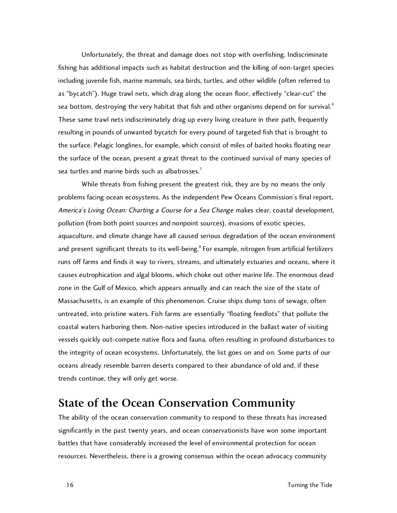Unfortunately, the threat and damage does not stop with overfishing. Indiscriminate fishing has additional impacts such as habitat destruction and the killing of non-target species including juvenile fish, marine mammals, sea birds, turtles, and other wildlife (often referred to as "bycatch"). Huge trawl nets, which drag along the ocean floor, effectively "clear-cut" the sea bottom, destroying the very habitat that fish and other organisms depend on for survival.<sup>6</sup> These same trawl nets indiscriminately drag up every living creature in their path, frequently resulting in pounds of unwanted bycatch for every pound of targeted fish that is brought to the surface. Pelagic longlines, for example, which consist of miles of baited hooks floating near the surface of the ocean, present a great threat to the continued survival of many species of sea turtles and marine birds such as albatrosses. $<sup>7</sup>$ </sup>

While threats from fishing present the greatest risk, they are by no means the only problems facing ocean ecosystems. As the independent Pew Oceans Commission's final report, America's Living Ocean: Charting a Course for a Sea Change makes clear, coastal development, pollution (from both point sources and nonpoint sources), invasions of exotic species, aquaculture, and climate change have all caused serious degradation of the ocean environment and present significant threats to its well-being.<sup>8</sup> For example, nitrogen from artificial fertilizers runs off farms and finds it way to rivers, streams, and ultimately estuaries and oceans, where it causes eutrophication and algal blooms, which choke out other marine life. The enormous dead zone in the Gulf of Mexico, which appears annually and can reach the size of the state of Massachusetts, is an example of this phenomenon. Cruise ships dump tons of sewage, often untreated, into pristine waters. Fish farms are essentially "floating feedlots" that pollute the coastal waters harboring them. Non-native species introduced in the ballast water of visiting vessels quickly out-compete native flora and fauna, often resulting in profound disturbances to the integrity of ocean ecosystems. Unfortunately, the list goes on and on. Some parts of our oceans already resemble barren deserts compared to their abundance of old and, if these trends continue, they will only get worse.

## **State of the Ocean Conservation Community**

The ability of the ocean conservation community to respond to these threats has increased significantly in the past twenty years, and ocean conservationists have won some important battles that have considerably increased the level of environmental protection for ocean resources. Nevertheless, there is a growing consensus within the ocean advocacy community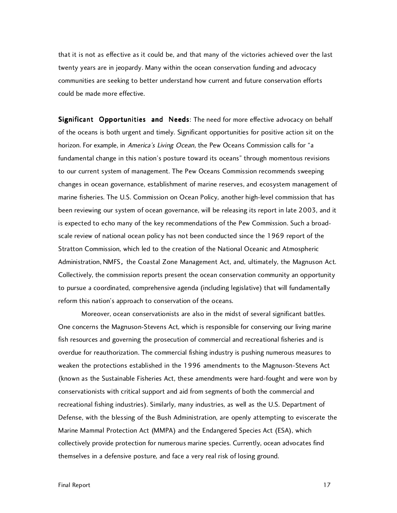that it is not as effective as it could be, and that many of the victories achieved over the last twenty years are in jeopardy. Many within the ocean conservation funding and advocacy communities are seeking to better understand how current and future conservation efforts could be made more effective.

Significant Opportunities and Needs: The need for more effective advocacy on behalf of the oceans is both urgent and timely. Significant opportunities for positive action sit on the horizon. For example, in America's Living Ocean, the Pew Oceans Commission calls for "a fundamental change in this nation's posture toward its oceans" through momentous revisions to our current system of management. The Pew Oceans Commission recommends sweeping changes in ocean governance, establishment of marine reserves, and ecosystem management of marine fisheries. The U.S. Commission on Ocean Policy, another high-level commission that has been reviewing our system of ocean governance, will be releasing its report in late 2003, and it is expected to echo many of the key recommendations of the Pew Commission. Such a broadscale review of national ocean policy has not been conducted since the 1969 report of the Stratton Commission, which led to the creation of the National Oceanic and Atmospheric Administration, NMFS, the Coastal Zone Management Act, and, ultimately, the Magnuson Act. Collectively, the commission reports present the ocean conservation community an opportunity to pursue a coordinated, comprehensive agenda (including legislative) that will fundamentally reform this nation's approach to conservation of the oceans.

Moreover, ocean conservationists are also in the midst of several significant battles. One concerns the Magnuson-Stevens Act, which is responsible for conserving our living marine fish resources and governing the prosecution of commercial and recreational fisheries and is overdue for reauthorization. The commercial fishing industry is pushing numerous measures to weaken the protections established in the 1996 amendments to the Magnuson-Stevens Act (known as the Sustainable Fisheries Act, these amendments were hard-fought and were won by conservationists with critical support and aid from segments of both the commercial and recreational fishing industries). Similarly, many industries, as well as the U.S. Department of Defense, with the blessing of the Bush Administration, are openly attempting to eviscerate the Marine Mammal Protection Act (MMPA) and the Endangered Species Act (ESA), which collectively provide protection for numerous marine species. Currently, ocean advocates find themselves in a defensive posture, and face a very real risk of losing ground.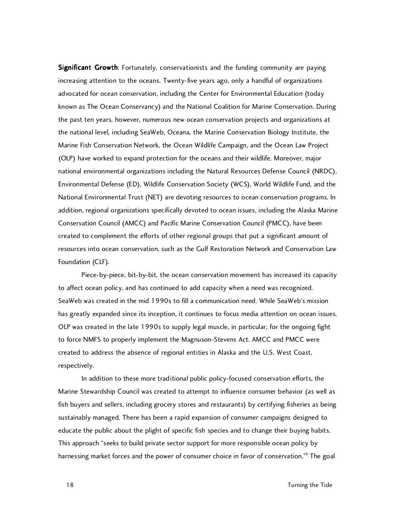Significant Growth: Fortunately, conservationists and the funding community are paying increasing attention to the oceans. Twenty-five years ago, only a handful of organizations advocated for ocean conservation, including the Center for Environmental Education (today known as The Ocean Conservancy) and the National Coalition for Marine Conservation. During the past ten years, however, numerous new ocean conservation projects and organizations at the national level, including SeaWeb, Oceana, the Marine Conservation Biology Institute, the Marine Fish Conservation Network, the Ocean Wildlife Campaign, and the Ocean Law Project (OLP) have worked to expand protection for the oceans and their wildlife. Moreover, major national environmental organizations including the Natural Resources Defense Council (NRDC), Environmental Defense (ED), Wildlife Conservation Society (WCS), World Wildlife Fund, and the National Environmental Trust (NET) are devoting resources to ocean conservation programs. In addition, regional organizations specifically devoted to ocean issues, including the Alaska Marine Conservation Council (AMCC) and Pacific Marine Conservation Council (PMCC), have been created to complement the efforts of other regional groups that put a significant amount of resources into ocean conservation, such as the Gulf Restoration Network and Conservation Law Foundation (CLF).

Piece-by-piece, bit-by-bit, the ocean conservation movement has increased its capacity to affect ocean policy, and has continued to add capacity when a need was recognized. SeaWeb was created in the mid 1990s to fill a communication need. While SeaWeb's mission has greatly expanded since its inception, it continues to focus media attention on ocean issues. OLP was created in the late 1990s to supply legal muscle, in particular, for the ongoing fight to force NMFS to properly implement the Magnuson-Stevens Act. AMCC and PMCC were created to address the absence of regional entities in Alaska and the U.S. West Coast, respectively.

In addition to these more traditional public policy-focused conservation efforts, the Marine Stewardship Council was created to attempt to influence consumer behavior (as well as fish buyers and sellers, including grocery stores and restaurants) by certifying fisheries as being sustainably managed. There has been a rapid expansion of consumer campaigns designed to educate the public about the plight of specific fish species and to change their buying habits. This approach "seeks to build private sector support for more responsible ocean policy by harnessing market forces and the power of consumer choice in favor of conservation."<sup>9</sup> The goal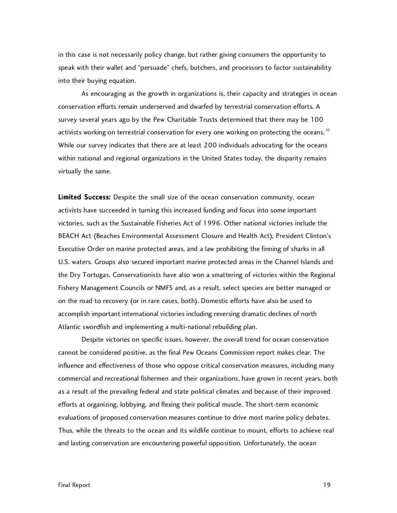in this case is not necessarily policy change, but rather giving consumers the opportunity to speak with their wallet and "persuade" chefs, butchers, and processors to factor sustainability into their buying equation.

As encouraging as the growth in organizations is, their capacity and strategies in ocean conservation efforts remain underserved and dwarfed by terrestrial conservation efforts. A survey several years ago by the Pew Charitable Trusts determined that there may be 100 activists working on terrestrial conservation for every one working on protecting the oceans.<sup>10</sup> While our survey indicates that there are at least 200 individuals advocating for the oceans within national and regional organizations in the United States today, the disparity remains virtually the same.

Limited Success: Despite the small size of the ocean conservation community, ocean activists have succeeded in turning this increased funding and focus into some important victories, such as the Sustainable Fisheries Act of 1996. Other national victories include the BEACH Act (Beaches Environmental Assessment Closure and Health Act), President Clinton's Executive Order on marine protected areas, and a law prohibiting the finning of sharks in all U.S. waters. Groups also secured important marine protected areas in the Channel Islands and the Dry Tortugas. Conservationists have also won a smattering of victories within the Regional Fishery Management Councils or NMFS and, as a result, select species are better managed or on the road to recovery (or in rare cases, both). Domestic efforts have also be used to accomplish important international victories including reversing dramatic declines of north Atlantic swordfish and implementing a multi-national rebuilding plan.

Despite victories on specific issues, however, the overall trend for ocean conservation cannot be considered positive, as the final Pew Oceans Commission report makes clear. The influence and effectiveness of those who oppose critical conservation measures, including many commercial and recreational fishermen and their organizations, have grown in recent years, both as a result of the prevailing federal and state political climates and because of their improved efforts at organizing, lobbying, and flexing their political muscle. The short-term economic evaluations of proposed conservation measures continue to drive most marine policy debates. Thus, while the threats to the ocean and its wildlife continue to mount, efforts to achieve real and lasting conservation are encountering powerful opposition. Unfortunately, the ocean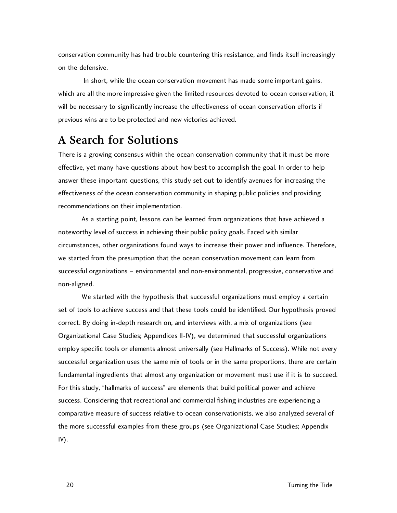conservation community has had trouble countering this resistance, and finds itself increasingly on the defensive.

 In short, while the ocean conservation movement has made some important gains, which are all the more impressive given the limited resources devoted to ocean conservation, it will be necessary to significantly increase the effectiveness of ocean conservation efforts if previous wins are to be protected and new victories achieved.

## **A Search for Solutions**

There is a growing consensus within the ocean conservation community that it must be more effective, yet many have questions about how best to accomplish the goal. In order to help answer these important questions, this study set out to identify avenues for increasing the effectiveness of the ocean conservation community in shaping public policies and providing recommendations on their implementation.

As a starting point, lessons can be learned from organizations that have achieved a noteworthy level of success in achieving their public policy goals. Faced with similar circumstances, other organizations found ways to increase their power and influence. Therefore, we started from the presumption that the ocean conservation movement can learn from successful organizations – environmental and non-environmental, progressive, conservative and non-aligned.

We started with the hypothesis that successful organizations must employ a certain set of tools to achieve success and that these tools could be identified. Our hypothesis proved correct. By doing in-depth research on, and interviews with, a mix of organizations (see Organizational Case Studies; Appendices II-IV), we determined that successful organizations employ specific tools or elements almost universally (see Hallmarks of Success). While not every successful organization uses the same mix of tools or in the same proportions, there are certain fundamental ingredients that almost any organization or movement must use if it is to succeed. For this study, "hallmarks of success" are elements that build political power and achieve success. Considering that recreational and commercial fishing industries are experiencing a comparative measure of success relative to ocean conservationists, we also analyzed several of the more successful examples from these groups (see Organizational Case Studies; Appendix IV).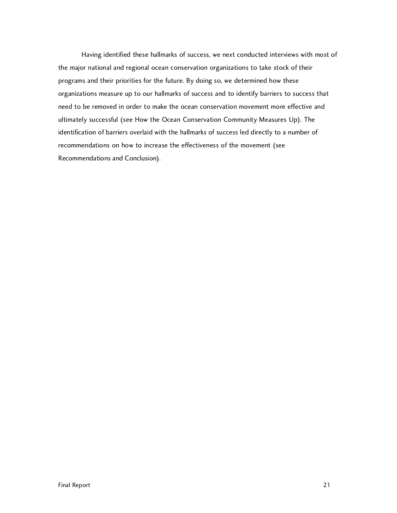Having identified these hallmarks of success, we next conducted interviews with most of the major national and regional ocean conservation organizations to take stock of their programs and their priorities for the future. By doing so, we determined how these organizations measure up to our hallmarks of success and to identify barriers to success that need to be removed in order to make the ocean conservation movement more effective and ultimately successful (see How the Ocean Conservation Community Measures Up). The identification of barriers overlaid with the hallmarks of success led directly to a number of recommendations on how to increase the effectiveness of the movement (see Recommendations and Conclusion).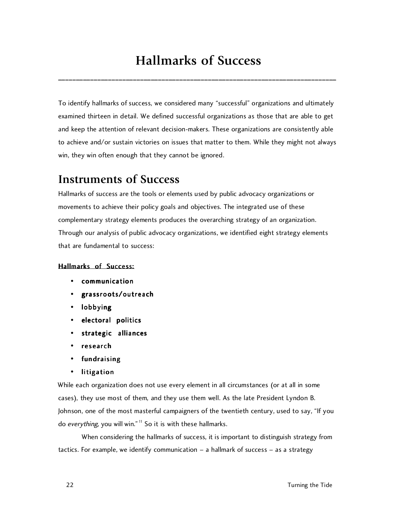## **Hallmarks of Success**

\_\_\_\_\_\_\_\_\_\_\_\_\_\_\_\_\_\_\_\_\_\_\_\_\_\_\_\_\_\_\_\_\_\_\_\_\_\_\_\_\_\_\_\_\_\_\_\_\_\_\_\_\_\_\_\_\_\_\_\_\_\_\_\_\_\_\_\_\_\_\_\_\_\_\_\_\_\_

To identify hallmarks of success, we considered many "successful" organizations and ultimately examined thirteen in detail. We defined successful organizations as those that are able to get and keep the attention of relevant decision-makers. These organizations are consistently able to achieve and/or sustain victories on issues that matter to them. While they might not always win, they win often enough that they cannot be ignored.

## **Instruments of Success**

Hallmarks of success are the tools or elements used by public advocacy organizations or movements to achieve their policy goals and objectives. The integrated use of these complementary strategy elements produces the overarching strategy of an organization. Through our analysis of public advocacy organizations, we identified eight strategy elements that are fundamental to success:

#### Hallmarks of Success:

- communication
- grassroots/outreach
- lobbying
- electoral politics
- strategic alliances
- research
- fundraising
- litigation

While each organization does not use every element in all circumstances (or at all in some cases), they use most of them, and they use them well. As the late President Lyndon B. Johnson, one of the most masterful campaigners of the twentieth century, used to say, "If you do everything, you will win."<sup>11</sup> So it is with these hallmarks.

When considering the hallmarks of success, it is important to distinguish strategy from tactics. For example, we identify communication – a hallmark of success – as a strategy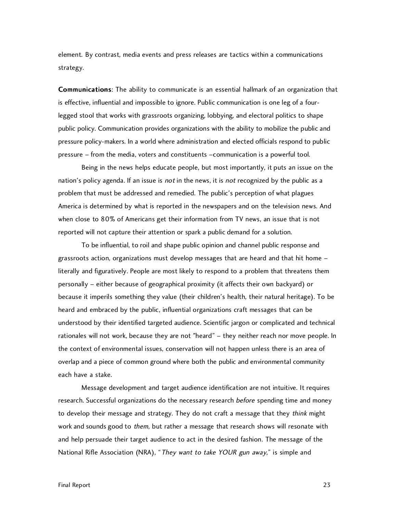element. By contrast, media events and press releases are tactics within a communications strategy.

**Communications:** The ability to communicate is an essential hallmark of an organization that is effective, influential and impossible to ignore. Public communication is one leg of a fourlegged stool that works with grassroots organizing, lobbying, and electoral politics to shape public policy. Communication provides organizations with the ability to mobilize the public and pressure policy-makers. In a world where administration and elected officials respond to public pressure – from the media, voters and constituents –communication is a powerful tool.

Being in the news helps educate people, but most importantly, it puts an issue on the nation's policy agenda. If an issue is *not* in the news, it is *not* recognized by the public as a problem that must be addressed and remedied. The public's perception of what plagues America is determined by what is reported in the newspapers and on the television news. And when close to 80% of Americans get their information from TV news, an issue that is not reported will not capture their attention or spark a public demand for a solution.

To be influential, to roil and shape public opinion and channel public response and grassroots action, organizations must develop messages that are heard and that hit home – literally and figuratively. People are most likely to respond to a problem that threatens them personally – either because of geographical proximity (it affects their own backyard) or because it imperils something they value (their children's health, their natural heritage). To be heard and embraced by the public, influential organizations craft messages that can be understood by their identified targeted audience. Scientific jargon or complicated and technical rationales will not work, because they are not "heard" – they neither reach nor move people. In the context of environmental issues, conservation will not happen unless there is an area of overlap and a piece of common ground where both the public and environmental community each have a stake.

Message development and target audience identification are not intuitive. It requires research. Successful organizations do the necessary research before spending time and money to develop their message and strategy. They do not craft a message that they *think* might work and sounds good to *them*, but rather a message that research shows will resonate with and help persuade their target audience to act in the desired fashion. The message of the National Rifle Association (NRA), "They want to take YOUR gun away," is simple and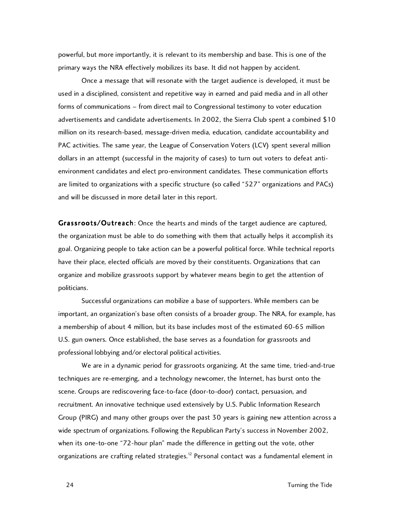powerful, but more importantly, it is relevant to its membership and base. This is one of the primary ways the NRA effectively mobilizes its base. It did not happen by accident.

Once a message that will resonate with the target audience is developed, it must be used in a disciplined, consistent and repetitive way in earned and paid media and in all other forms of communications – from direct mail to Congressional testimony to voter education advertisements and candidate advertisements. In 2002, the Sierra Club spent a combined \$10 million on its research-based, message-driven media, education, candidate accountability and PAC activities. The same year, the League of Conservation Voters (LCV) spent several million dollars in an attempt (successful in the majority of cases) to turn out voters to defeat antienvironment candidates and elect pro-environment candidates. These communication efforts are limited to organizations with a specific structure (so called "527" organizations and PACs) and will be discussed in more detail later in this report.

Grassroots/Outreach: Once the hearts and minds of the target audience are captured, the organization must be able to do something with them that actually helps it accomplish its goal. Organizing people to take action can be a powerful political force. While technical reports have their place, elected officials are moved by their constituents. Organizations that can organize and mobilize grassroots support by whatever means begin to get the attention of politicians.

Successful organizations can mobilize a base of supporters. While members can be important, an organization's base often consists of a broader group. The NRA, for example, has a membership of about 4 million, but its base includes most of the estimated 60-65 million U.S. gun owners. Once established, the base serves as a foundation for grassroots and professional lobbying and/or electoral political activities.

We are in a dynamic period for grassroots organizing. At the same time, tried-and-true techniques are re-emerging, and a technology newcomer, the Internet, has burst onto the scene. Groups are rediscovering face-to-face (door-to-door) contact, persuasion, and recruitment. An innovative technique used extensively by U.S. Public Information Research Group (PIRG) and many other groups over the past 30 years is gaining new attention across a wide spectrum of organizations. Following the Republican Party's success in November 2002, when its one-to-one "72-hour plan" made the difference in getting out the vote, other organizations are crafting related strategies.<sup>12</sup> Personal contact was a fundamental element in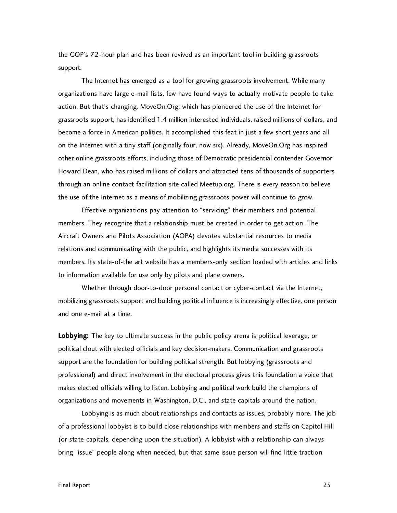the GOP's 72-hour plan and has been revived as an important tool in building grassroots support.

The Internet has emerged as a tool for growing grassroots involvement. While many organizations have large e-mail lists, few have found ways to actually motivate people to take action. But that's changing. MoveOn.Org, which has pioneered the use of the Internet for grassroots support, has identified 1.4 million interested individuals, raised millions of dollars, and become a force in American politics. It accomplished this feat in just a few short years and all on the Internet with a tiny staff (originally four, now six). Already, MoveOn.Org has inspired other online grassroots efforts, including those of Democratic presidential contender Governor Howard Dean, who has raised millions of dollars and attracted tens of thousands of supporters through an online contact facilitation site called Meetup.org. There is every reason to believe the use of the Internet as a means of mobilizing grassroots power will continue to grow.

Effective organizations pay attention to "servicing" their members and potential members. They recognize that a relationship must be created in order to get action. The Aircraft Owners and Pilots Association (AOPA) devotes substantial resources to media relations and communicating with the public, and highlights its media successes with its members. Its state-of-the art website has a members-only section loaded with articles and links to information available for use only by pilots and plane owners.

Whether through door-to-door personal contact or cyber-contact via the Internet, mobilizing grassroots support and building political influence is increasingly effective, one person and one e-mail at a time.

Lobbying: The key to ultimate success in the public policy arena is political leverage, or political clout with elected officials and key decision-makers. Communication and grassroots support are the foundation for building political strength. But lobbying (grassroots and professional) and direct involvement in the electoral process gives this foundation a voice that makes elected officials willing to listen. Lobbying and political work build the champions of organizations and movements in Washington, D.C., and state capitals around the nation.

Lobbying is as much about relationships and contacts as issues, probably more. The job of a professional lobbyist is to build close relationships with members and staffs on Capitol Hill (or state capitals, depending upon the situation). A lobbyist with a relationship can always bring "issue" people along when needed, but that same issue person will find little traction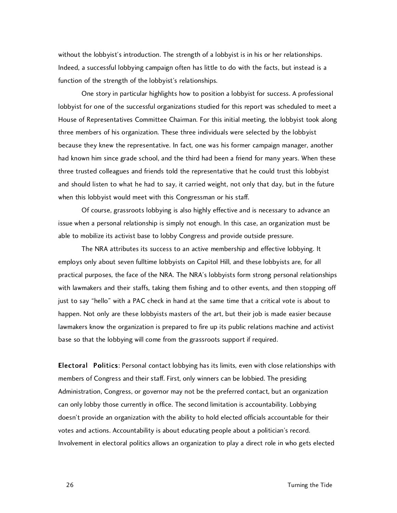without the lobbyist's introduction. The strength of a lobbyist is in his or her relationships. Indeed, a successful lobbying campaign often has little to do with the facts, but instead is a function of the strength of the lobbyist's relationships.

One story in particular highlights how to position a lobbyist for success. A professional lobbyist for one of the successful organizations studied for this report was scheduled to meet a House of Representatives Committee Chairman. For this initial meeting, the lobbyist took along three members of his organization. These three individuals were selected by the lobbyist because they knew the representative. In fact, one was his former campaign manager, another had known him since grade school, and the third had been a friend for many years. When these three trusted colleagues and friends told the representative that he could trust this lobbyist and should listen to what he had to say, it carried weight, not only that day, but in the future when this lobbyist would meet with this Congressman or his staff.

Of course, grassroots lobbying is also highly effective and is necessary to advance an issue when a personal relationship is simply not enough. In this case, an organization must be able to mobilize its activist base to lobby Congress and provide outside pressure.

The NRA attributes its success to an active membership and effective lobbying. It employs only about seven fulltime lobbyists on Capitol Hill, and these lobbyists are, for all practical purposes, the face of the NRA. The NRA's lobbyists form strong personal relationships with lawmakers and their staffs, taking them fishing and to other events, and then stopping off just to say "hello" with a PAC check in hand at the same time that a critical vote is about to happen. Not only are these lobbyists masters of the art, but their job is made easier because lawmakers know the organization is prepared to fire up its public relations machine and activist base so that the lobbying will come from the grassroots support if required.

**Electoral Politics:** Personal contact lobbying has its limits, even with close relationships with members of Congress and their staff. First, only winners can be lobbied. The presiding Administration, Congress, or governor may not be the preferred contact, but an organization can only lobby those currently in office. The second limitation is accountability. Lobbying doesn't provide an organization with the ability to hold elected officials accountable for their votes and actions. Accountability is about educating people about a politician's record. Involvement in electoral politics allows an organization to play a direct role in who gets elected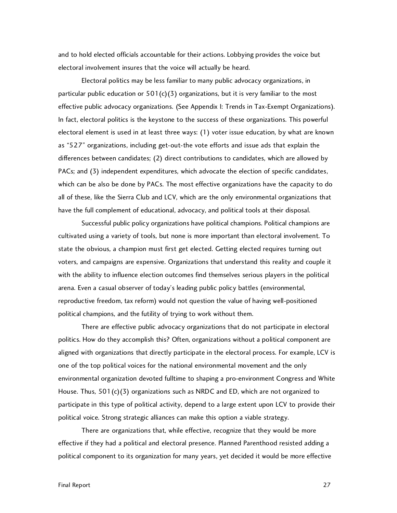and to hold elected officials accountable for their actions. Lobbying provides the voice but electoral involvement insures that the voice will actually be heard.

Electoral politics may be less familiar to many public advocacy organizations, in particular public education or  $501(c)(3)$  organizations, but it is very familiar to the most effective public advocacy organizations. (See Appendix I: Trends in Tax-Exempt Organizations). In fact, electoral politics is the keystone to the success of these organizations. This powerful electoral element is used in at least three ways: (1) voter issue education, by what are known as "527" organizations, including get-out-the vote efforts and issue ads that explain the differences between candidates; (2) direct contributions to candidates, which are allowed by PACs; and (3) independent expenditures, which advocate the election of specific candidates, which can be also be done by PACs. The most effective organizations have the capacity to do all of these, like the Sierra Club and LCV, which are the only environmental organizations that have the full complement of educational, advocacy, and political tools at their disposal.

Successful public policy organizations have political champions. Political champions are cultivated using a variety of tools, but none is more important than electoral involvement. To state the obvious, a champion must first get elected. Getting elected requires turning out voters, and campaigns are expensive. Organizations that understand this reality and couple it with the ability to influence election outcomes find themselves serious players in the political arena. Even a casual observer of today's leading public policy battles (environmental, reproductive freedom, tax reform) would not question the value of having well-positioned political champions, and the futility of trying to work without them.

There are effective public advocacy organizations that do not participate in electoral politics. How do they accomplish this? Often, organizations without a political component are aligned with organizations that directly participate in the electoral process. For example, LCV is one of the top political voices for the national environmental movement and the only environmental organization devoted fulltime to shaping a pro-environment Congress and White House. Thus, 501(c)(3) organizations such as NRDC and ED, which are not organized to participate in this type of political activity, depend to a large extent upon LCV to provide their political voice. Strong strategic alliances can make this option a viable strategy.

There are organizations that, while effective, recognize that they would be more effective if they had a political and electoral presence. Planned Parenthood resisted adding a political component to its organization for many years, yet decided it would be more effective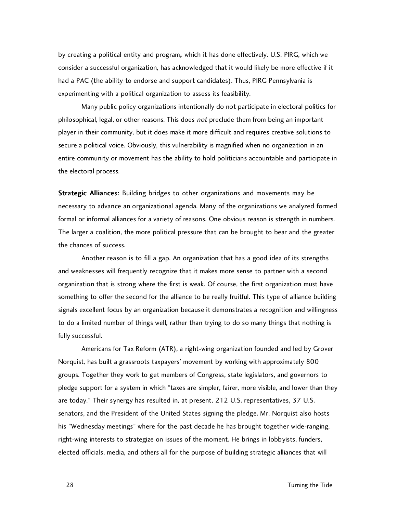by creating a political entity and program, which it has done effectively. U.S. PIRG, which we consider a successful organization, has acknowledged that it would likely be more effective if it had a PAC (the ability to endorse and support candidates). Thus, PIRG Pennsylvania is experimenting with a political organization to assess its feasibility.

Many public policy organizations intentionally do not participate in electoral politics for philosophical, legal, or other reasons. This does not preclude them from being an important player in their community, but it does make it more difficult and requires creative solutions to secure a political voice. Obviously, this vulnerability is magnified when no organization in an entire community or movement has the ability to hold politicians accountable and participate in the electoral process.

**Strategic Alliances:** Building bridges to other organizations and movements may be necessary to advance an organizational agenda. Many of the organizations we analyzed formed formal or informal alliances for a variety of reasons. One obvious reason is strength in numbers. The larger a coalition, the more political pressure that can be brought to bear and the greater the chances of success.

Another reason is to fill a gap. An organization that has a good idea of its strengths and weaknesses will frequently recognize that it makes more sense to partner with a second organization that is strong where the first is weak. Of course, the first organization must have something to offer the second for the alliance to be really fruitful. This type of alliance building signals excellent focus by an organization because it demonstrates a recognition and willingness to do a limited number of things well, rather than trying to do so many things that nothing is fully successful.

Americans for Tax Reform (ATR), a right-wing organization founded and led by Grover Norquist, has built a grassroots taxpayers' movement by working with approximately 800 groups. Together they work to get members of Congress, state legislators, and governors to pledge support for a system in which "taxes are simpler, fairer, more visible, and lower than they are today." Their synergy has resulted in, at present, 212 U.S. representatives, 37 U.S. senators, and the President of the United States signing the pledge. Mr. Norquist also hosts his "Wednesday meetings" where for the past decade he has brought together wide-ranging, right-wing interests to strategize on issues of the moment. He brings in lobbyists, funders, elected officials, media, and others all for the purpose of building strategic alliances that will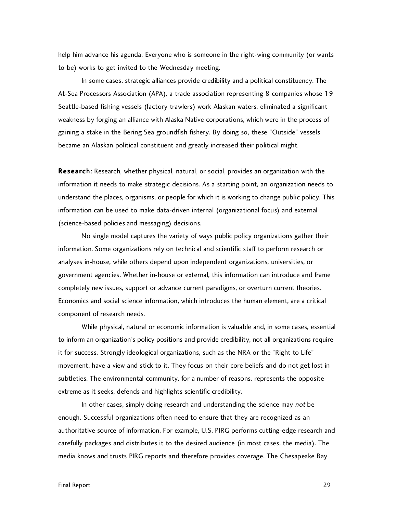help him advance his agenda. Everyone who is someone in the right-wing community (or wants to be) works to get invited to the Wednesday meeting.

In some cases, strategic alliances provide credibility and a political constituency. The At-Sea Processors Association (APA), a trade association representing 8 companies whose 19 Seattle-based fishing vessels (factory trawlers) work Alaskan waters, eliminated a significant weakness by forging an alliance with Alaska Native corporations, which were in the process of gaining a stake in the Bering Sea groundfish fishery. By doing so, these "Outside" vessels became an Alaskan political constituent and greatly increased their political might.

Research: Research, whether physical, natural, or social, provides an organization with the information it needs to make strategic decisions. As a starting point, an organization needs to understand the places, organisms, or people for which it is working to change public policy. This information can be used to make data-driven internal (organizational focus) and external (science-based policies and messaging) decisions.

No single model captures the variety of ways public policy organizations gather their information. Some organizations rely on technical and scientific staff to perform research or analyses in-house, while others depend upon independent organizations, universities, or government agencies. Whether in-house or external, this information can introduce and frame completely new issues, support or advance current paradigms, or overturn current theories. Economics and social science information, which introduces the human element, are a critical component of research needs.

While physical, natural or economic information is valuable and, in some cases, essential to inform an organization's policy positions and provide credibility, not all organizations require it for success. Strongly ideological organizations, such as the NRA or the "Right to Life" movement, have a view and stick to it. They focus on their core beliefs and do not get lost in subtleties. The environmental community, for a number of reasons, represents the opposite extreme as it seeks, defends and highlights scientific credibility.

In other cases, simply doing research and understanding the science may not be enough. Successful organizations often need to ensure that they are recognized as an authoritative source of information. For example, U.S. PIRG performs cutting-edge research and carefully packages and distributes it to the desired audience (in most cases, the media). The media knows and trusts PIRG reports and therefore provides coverage. The Chesapeake Bay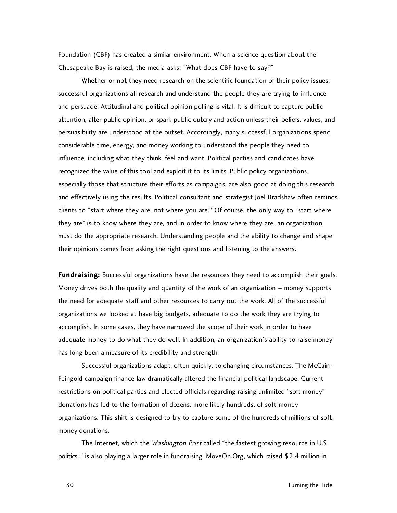Foundation (CBF) has created a similar environment. When a science question about the Chesapeake Bay is raised, the media asks, "What does CBF have to say?"

Whether or not they need research on the scientific foundation of their policy issues, successful organizations all research and understand the people they are trying to influence and persuade. Attitudinal and political opinion polling is vital. It is difficult to capture public attention, alter public opinion, or spark public outcry and action unless their beliefs, values, and persuasibility are understood at the outset. Accordingly, many successful organizations spend considerable time, energy, and money working to understand the people they need to influence, including what they think, feel and want. Political parties and candidates have recognized the value of this tool and exploit it to its limits. Public policy organizations, especially those that structure their efforts as campaigns, are also good at doing this research and effectively using the results. Political consultant and strategist Joel Bradshaw often reminds clients to "start where they are, not where you are." Of course, the only way to "start where they are" is to know where they are, and in order to know where they are, an organization must do the appropriate research. Understanding people and the ability to change and shape their opinions comes from asking the right questions and listening to the answers.

**Fundraising:** Successful organizations have the resources they need to accomplish their goals. Money drives both the quality and quantity of the work of an organization – money supports the need for adequate staff and other resources to carry out the work. All of the successful organizations we looked at have big budgets, adequate to do the work they are trying to accomplish. In some cases, they have narrowed the scope of their work in order to have adequate money to do what they do well. In addition, an organization's ability to raise money has long been a measure of its credibility and strength.

Successful organizations adapt, often quickly, to changing circumstances. The McCain-Feingold campaign finance law dramatically altered the financial political landscape. Current restrictions on political parties and elected officials regarding raising unlimited "soft money" donations has led to the formation of dozens, more likely hundreds, of soft-money organizations. This shift is designed to try to capture some of the hundreds of millions of softmoney donations.

The Internet, which the *Washington Post* called "the fastest growing resource in U.S. politics," is also playing a larger role in fundraising. MoveOn.Org, which raised \$2.4 million in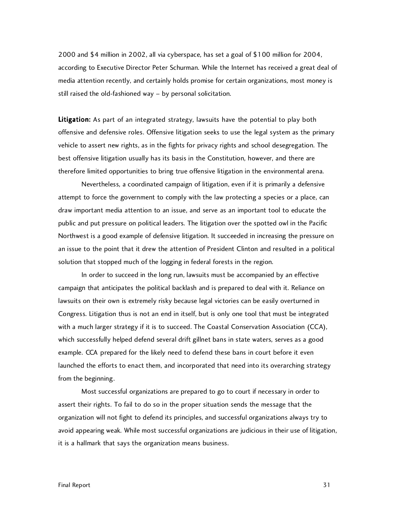2000 and \$4 million in 2002, all via cyberspace, has set a goal of \$100 million for 2004, according to Executive Director Peter Schurman. While the Internet has received a great deal of media attention recently, and certainly holds promise for certain organizations, most money is still raised the old-fashioned way – by personal solicitation.

Litigation: As part of an integrated strategy, lawsuits have the potential to play both offensive and defensive roles. Offensive litigation seeks to use the legal system as the primary vehicle to assert new rights, as in the fights for privacy rights and school desegregation. The best offensive litigation usually has its basis in the Constitution, however, and there are therefore limited opportunities to bring true offensive litigation in the environmental arena.

Nevertheless, a coordinated campaign of litigation, even if it is primarily a defensive attempt to force the government to comply with the law protecting a species or a place, can draw important media attention to an issue, and serve as an important tool to educate the public and put pressure on political leaders. The litigation over the spotted owl in the Pacific Northwest is a good example of defensive litigation. It succeeded in increasing the pressure on an issue to the point that it drew the attention of President Clinton and resulted in a political solution that stopped much of the logging in federal forests in the region.

In order to succeed in the long run, lawsuits must be accompanied by an effective campaign that anticipates the political backlash and is prepared to deal with it. Reliance on lawsuits on their own is extremely risky because legal victories can be easily overturned in Congress. Litigation thus is not an end in itself, but is only one tool that must be integrated with a much larger strategy if it is to succeed. The Coastal Conservation Association (CCA), which successfully helped defend several drift gillnet bans in state waters, serves as a good example. CCA prepared for the likely need to defend these bans in court before it even launched the efforts to enact them, and incorporated that need into its overarching strategy from the beginning.

Most successful organizations are prepared to go to court if necessary in order to assert their rights. To fail to do so in the proper situation sends the message that the organization will not fight to defend its principles, and successful organizations always try to avoid appearing weak. While most successful organizations are judicious in their use of litigation, it is a hallmark that says the organization means business.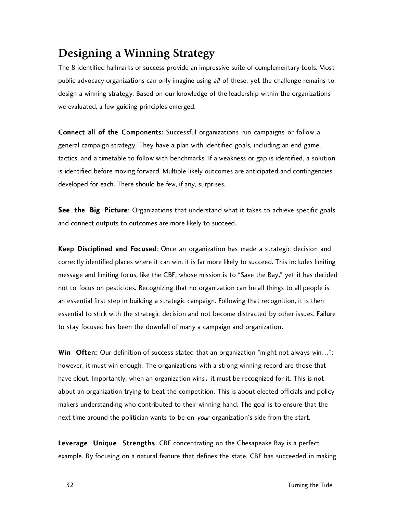## **Designing a Winning Strategy**

The 8 identified hallmarks of success provide an impressive suite of complementary tools. Most public advocacy organizations can only imagine using all of these, yet the challenge remains to design a winning strategy. Based on our knowledge of the leadership within the organizations we evaluated, a few guiding principles emerged.

Connect all of the Components: Successful organizations run campaigns or follow a general campaign strategy. They have a plan with identified goals, including an end game, tactics, and a timetable to follow with benchmarks. If a weakness or gap is identified, a solution is identified before moving forward. Multiple likely outcomes are anticipated and contingencies developed for each. There should be few, if any, surprises.

See the Big Picture: Organizations that understand what it takes to achieve specific goals and connect outputs to outcomes are more likely to succeed.

Keep Disciplined and Focused: Once an organization has made a strategic decision and correctly identified places where it can win, it is far more likely to succeed. This includes limiting message and limiting focus, like the CBF, whose mission is to "Save the Bay," yet it has decided not to focus on pesticides. Recognizing that no organization can be all things to all people is an essential first step in building a strategic campaign. Following that recognition, it is then essential to stick with the strategic decision and not become distracted by other issues. Failure to stay focused has been the downfall of many a campaign and organization.

Win Often: Our definition of success stated that an organization "might not always win..."; however, it must win enough. The organizations with a strong winning record are those that have clout. Importantly, when an organization wins, it must be recognized for it. This is not about an organization trying to beat the competition. This is about elected officials and policy makers understanding who contributed to their winning hand. The goal is to ensure that the next time around the politician wants to be on your organization's side from the start.

Leverage Unique Strengths. CBF concentrating on the Chesapeake Bay is a perfect example. By focusing on a natural feature that defines the state, CBF has succeeded in making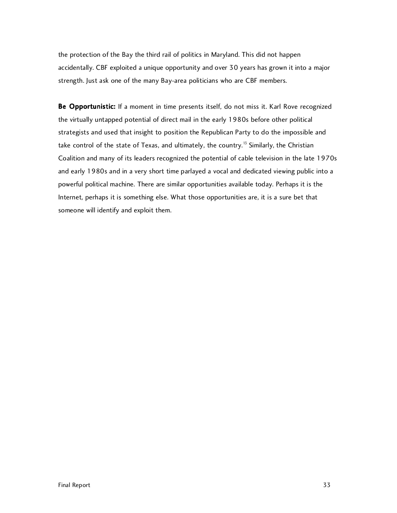the protection of the Bay the third rail of politics in Maryland. This did not happen accidentally. CBF exploited a unique opportunity and over 30 years has grown it into a major strength. Just ask one of the many Bay-area politicians who are CBF members.

Be Opportunistic: If a moment in time presents itself, do not miss it. Karl Rove recognized the virtually untapped potential of direct mail in the early 1980s before other political strategists and used that insight to position the Republican Party to do the impossible and take control of the state of Texas, and ultimately, the country.<sup>13</sup> Similarly, the Christian Coalition and many of its leaders recognized the potential of cable television in the late 1970s and early 1980s and in a very short time parlayed a vocal and dedicated viewing public into a powerful political machine. There are similar opportunities available today. Perhaps it is the Internet, perhaps it is something else. What those opportunities are, it is a sure bet that someone will identify and exploit them.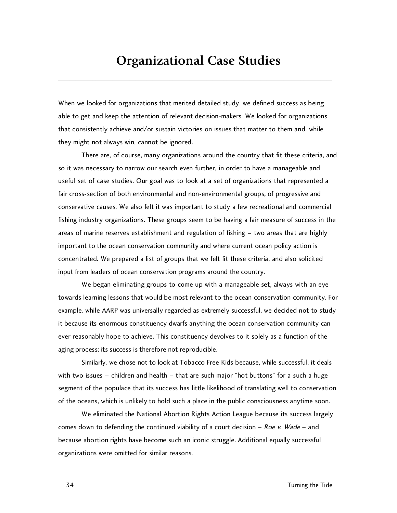## **Organizational Case Studies**

\_\_\_\_\_\_\_\_\_\_\_\_\_\_\_\_\_\_\_\_\_\_\_\_\_\_\_\_\_\_\_\_\_\_\_\_\_\_\_\_\_\_\_\_\_\_\_\_\_\_\_\_\_\_\_\_\_\_\_\_\_\_\_\_\_\_\_\_\_\_\_\_\_\_\_\_\_\_\_\_\_\_\_\_\_\_\_\_\_\_\_\_\_\_\_\_

When we looked for organizations that merited detailed study, we defined success as being able to get and keep the attention of relevant decision-makers. We looked for organizations that consistently achieve and/or sustain victories on issues that matter to them and, while they might not always win, cannot be ignored.

There are, of course, many organizations around the country that fit these criteria, and so it was necessary to narrow our search even further, in order to have a manageable and useful set of case studies. Our goal was to look at a set of organizations that represented a fair cross-section of both environmental and non-environmental groups, of progressive and conservative causes. We also felt it was important to study a few recreational and commercial fishing industry organizations. These groups seem to be having a fair measure of success in the areas of marine reserves establishment and regulation of fishing – two areas that are highly important to the ocean conservation community and where current ocean policy action is concentrated. We prepared a list of groups that we felt fit these criteria, and also solicited input from leaders of ocean conservation programs around the country.

We began eliminating groups to come up with a manageable set, always with an eye towards learning lessons that would be most relevant to the ocean conservation community. For example, while AARP was universally regarded as extremely successful, we decided not to study it because its enormous constituency dwarfs anything the ocean conservation community can ever reasonably hope to achieve. This constituency devolves to it solely as a function of the aging process; its success is therefore not reproducible.

Similarly, we chose not to look at Tobacco Free Kids because, while successful, it deals with two issues – children and health – that are such major "hot buttons" for a such a huge segment of the populace that its success has little likelihood of translating well to conservation of the oceans, which is unlikely to hold such a place in the public consciousness anytime soon.

We eliminated the National Abortion Rights Action League because its success largely comes down to defending the continued viability of a court decision  $-$  Roe v. Wade  $-$  and because abortion rights have become such an iconic struggle. Additional equally successful organizations were omitted for similar reasons.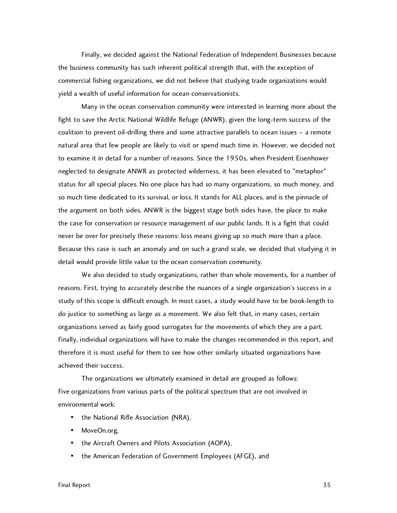Finally, we decided against the National Federation of Independent Businesses because the business community has such inherent political strength that, with the exception of commercial fishing organizations, we did not believe that studying trade organizations would yield a wealth of useful information for ocean conservationists.

Many in the ocean conservation community were interested in learning more about the fight to save the Arctic National Wildlife Refuge (ANWR), given the long-term success of the coalition to prevent oil-drilling there and some attractive parallels to ocean issues – a remote natural area that few people are likely to visit or spend much time in. However, we decided not to examine it in detail for a number of reasons. Since the 1950s, when President Eisenhower neglected to designate ANWR as protected wilderness, it has been elevated to "metaphor" status for all special places. No one place has had so many organizations, so much money, and so much time dedicated to its survival, or loss. It stands for ALL places, and is the pinnacle of the argument on both sides. ANWR is the biggest stage both sides have, the place to make the case for conservation or resource management of our public lands. It is a fight that could never be over for precisely these reasons: loss means giving up so much more than a place. Because this case is such an anomaly and on such a grand scale, we decided that studying it in detail would provide little value to the ocean conservation community.

We also decided to study organizations, rather than whole movements, for a number of reasons. First, trying to accurately describe the nuances of a single organization's success in a study of this scope is difficult enough. In most cases, a study would have to be book-length to do justice to something as large as a movement. We also felt that, in many cases, certain organizations served as fairly good surrogates for the movements of which they are a part. Finally, individual organizations will have to make the changes recommended in this report, and therefore it is most useful for them to see how other similarly situated organizations have achieved their success.

The organizations we ultimately examined in detail are grouped as follows: Five organizations from various parts of the political spectrum that are not involved in environmental work:

- the National Rifle Association (NRA),
- MoveOn.org,
- the Aircraft Owners and Pilots Association (AOPA),
- the American Federation of Government Employees (AFGE), and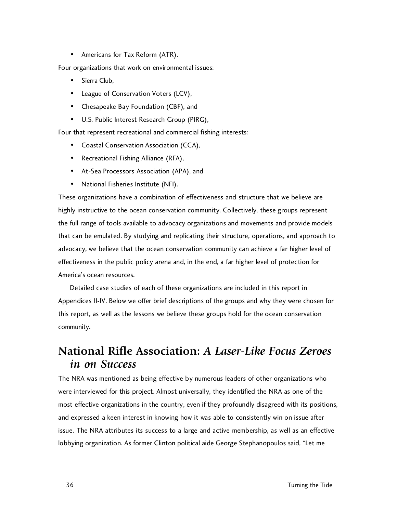• Americans for Tax Reform (ATR).

Four organizations that work on environmental issues:

- Sierra Club,
- League of Conservation Voters (LCV),
- Chesapeake Bay Foundation (CBF), and
- U.S. Public Interest Research Group (PIRG),

Four that represent recreational and commercial fishing interests:

- Coastal Conservation Association (CCA),
- Recreational Fishing Alliance (RFA),
- At-Sea Processors Association (APA), and
- National Fisheries Institute (NFI).

These organizations have a combination of effectiveness and structure that we believe are highly instructive to the ocean conservation community. Collectively, these groups represent the full range of tools available to advocacy organizations and movements and provide models that can be emulated. By studying and replicating their structure, operations, and approach to advocacy, we believe that the ocean conservation community can achieve a far higher level of effectiveness in the public policy arena and, in the end, a far higher level of protection for America's ocean resources.

Detailed case studies of each of these organizations are included in this report in Appendices II-IV. Below we offer brief descriptions of the groups and why they were chosen for this report, as well as the lessons we believe these groups hold for the ocean conservation community.

## **National Rifle Association:** *A Laser-Like Focus Zeroes in on Success*

The NRA was mentioned as being effective by numerous leaders of other organizations who were interviewed for this project. Almost universally, they identified the NRA as one of the most effective organizations in the country, even if they profoundly disagreed with its positions, and expressed a keen interest in knowing how it was able to consistently win on issue after issue. The NRA attributes its success to a large and active membership, as well as an effective lobbying organization. As former Clinton political aide George Stephanopoulos said, "Let me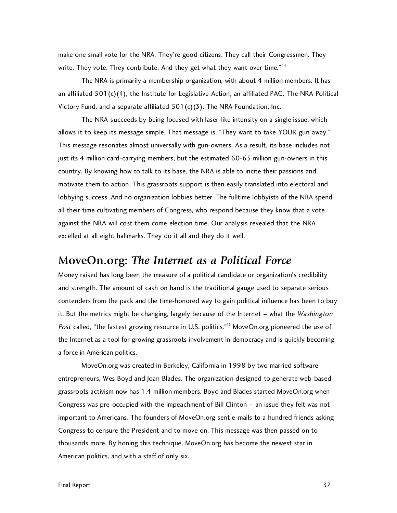make one small vote for the NRA. They're good citizens. They call their Congressmen. They write. They vote. They contribute. And they get what they want over time."<sup>14</sup>

The NRA is primarily a membership organization, with about 4 million members. It has an affiliated  $501(c)(4)$ , the Institute for Legislative Action, an affiliated PAC, The NRA Political Victory Fund, and a separate affiliated 501(c)(3), The NRA Foundation, Inc.

The NRA succeeds by being focused with laser-like intensity on a single issue, which allows it to keep its message simple. That message is, "They want to take YOUR gun away." This message resonates almost universally with gun-owners. As a result, its base includes not just its 4 million card-carrying members, but the estimated 60-65 million gun-owners in this country. By knowing how to talk to its base, the NRA is able to incite their passions and motivate them to action. This grassroots support is then easily translated into electoral and lobbying success. And no organization lobbies better. The fulltime lobbyists of the NRA spend all their time cultivating members of Congress, who respond because they know that a vote against the NRA will cost them come election time. Our analysis revealed that the NRA excelled at all eight hallmarks. They do it all and they do it well.

#### **MoveOn.org:** *The Internet as a Political Force*

Money raised has long been the measure of a political candidate or organization's credibility and strength. The amount of cash on hand is the traditional gauge used to separate serious contenders from the pack and the time-honored way to gain political influence has been to buy it. But the metrics might be changing, largely because of the Internet – what the Washington Post called, "the fastest growing resource in U.S. politics."<sup>15</sup> MoveOn.org pioneered the use of the Internet as a tool for growing grassroots involvement in democracy and is quickly becoming a force in American politics.

MoveOn.org was created in Berkeley, California in 1998 by two married software entrepreneurs, Wes Boyd and Joan Blades. The organization designed to generate web-based grassroots activism now has 1.4 million members. Boyd and Blades started MoveOn.org when Congress was pre-occupied with the impeachment of Bill Clinton – an issue they felt was not important to Americans. The founders of MoveOn.org sent e-mails to a hundred friends asking Congress to censure the President and to move on. This message was then passed on to thousands more. By honing this technique, MoveOn.org has become the newest star in American politics, and with a staff of only six.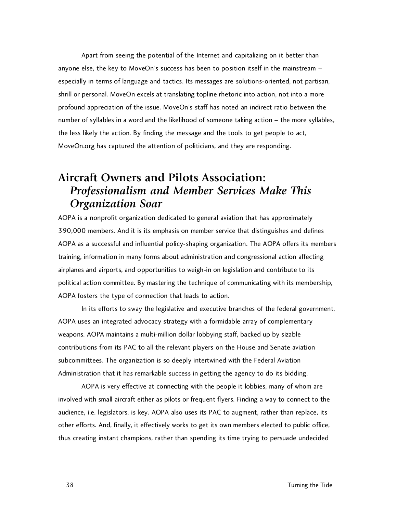Apart from seeing the potential of the Internet and capitalizing on it better than anyone else, the key to MoveOn's success has been to position itself in the mainstream – especially in terms of language and tactics. Its messages are solutions-oriented, not partisan, shrill or personal. MoveOn excels at translating topline rhetoric into action, not into a more profound appreciation of the issue. MoveOn's staff has noted an indirect ratio between the number of syllables in a word and the likelihood of someone taking action – the more syllables, the less likely the action. By finding the message and the tools to get people to act, MoveOn.org has captured the attention of politicians, and they are responding.

## **Aircraft Owners and Pilots Association:** *Professionalism and Member Services Make This Organization Soar*

AOPA is a nonprofit organization dedicated to general aviation that has approximately 390,000 members. And it is its emphasis on member service that distinguishes and defines AOPA as a successful and influential policy-shaping organization. The AOPA offers its members training, information in many forms about administration and congressional action affecting airplanes and airports, and opportunities to weigh-in on legislation and contribute to its political action committee. By mastering the technique of communicating with its membership, AOPA fosters the type of connection that leads to action.

In its efforts to sway the legislative and executive branches of the federal government, AOPA uses an integrated advocacy strategy with a formidable array of complementary weapons. AOPA maintains a multi-million dollar lobbying staff, backed up by sizable contributions from its PAC to all the relevant players on the House and Senate aviation subcommittees. The organization is so deeply intertwined with the Federal Aviation Administration that it has remarkable success in getting the agency to do its bidding.

AOPA is very effective at connecting with the people it lobbies, many of whom are involved with small aircraft either as pilots or frequent flyers. Finding a way to connect to the audience, i.e. legislators, is key. AOPA also uses its PAC to augment, rather than replace, its other efforts. And, finally, it effectively works to get its own members elected to public office, thus creating instant champions, rather than spending its time trying to persuade undecided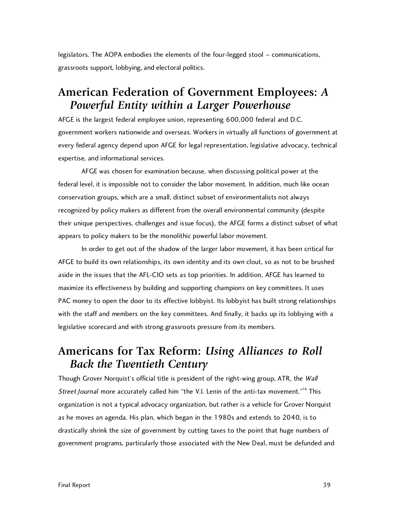legislators. The AOPA embodies the elements of the four-legged stool – communications, grassroots support, lobbying, and electoral politics.

## **American Federation of Government Employees:** *A Powerful Entity within a Larger Powerhouse*

AFGE is the largest federal employee union, representing 600,000 federal and D.C. government workers nationwide and overseas. Workers in virtually all functions of government at every federal agency depend upon AFGE for legal representation, legislative advocacy, technical expertise, and informational services.

AFGE was chosen for examination because, when discussing political power at the federal level, it is impossible not to consider the labor movement. In addition, much like ocean conservation groups, which are a small, distinct subset of environmentalists not always recognized by policy makers as different from the overall environmental community (despite their unique perspectives, challenges and issue focus), the AFGE forms a distinct subset of what appears to policy makers to be the monolithic powerful labor movement.

In order to get out of the shadow of the larger labor movement, it has been critical for AFGE to build its own relationships, its own identity and its own clout, so as not to be brushed aside in the issues that the AFL-CIO sets as top priorities. In addition, AFGE has learned to maximize its effectiveness by building and supporting champions on key committees. It uses PAC money to open the door to its effective lobbyist. Its lobbyist has built strong relationships with the staff and members on the key committees. And finally, it backs up its lobbying with a legislative scorecard and with strong grassroots pressure from its members.

## **Americans for Tax Reform:** *Using Alliances to Roll Back the Twentieth Century*

Though Grover Norquist's official title is president of the right-wing group, ATR, the Wall Street Journal more accurately called him "the V.I. Lenin of the anti-tax movement."<sup>16</sup> This organization is not a typical advocacy organization, but rather is a vehicle for Grover Norquist as he moves an agenda. His plan, which began in the 1980s and extends to 2040, is to drastically shrink the size of government by cutting taxes to the point that huge numbers of government programs, particularly those associated with the New Deal, must be defunded and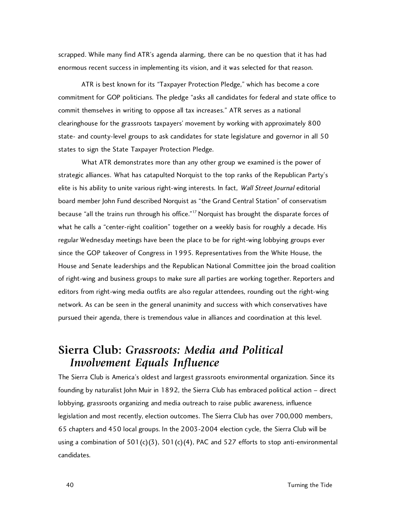scrapped. While many find ATR's agenda alarming, there can be no question that it has had enormous recent success in implementing its vision, and it was selected for that reason.

ATR is best known for its "Taxpayer Protection Pledge," which has become a core commitment for GOP politicians. The pledge "asks all candidates for federal and state office to commit themselves in writing to oppose all tax increases." ATR serves as a national clearinghouse for the grassroots taxpayers' movement by working with approximately 800 state- and county-level groups to ask candidates for state legislature and governor in all 50 states to sign the State Taxpayer Protection Pledge.

What ATR demonstrates more than any other group we examined is the power of strategic alliances. What has catapulted Norquist to the top ranks of the Republican Party's elite is his ability to unite various right-wing interests. In fact, Wall Street Journal editorial board member John Fund described Norquist as "the Grand Central Station" of conservatism because "all the trains run through his office."<sup>17</sup> Norquist has brought the disparate forces of what he calls a "center-right coalition" together on a weekly basis for roughly a decade. His regular Wednesday meetings have been the place to be for right-wing lobbying groups ever since the GOP takeover of Congress in 1995. Representatives from the White House, the House and Senate leaderships and the Republican National Committee join the broad coalition of right-wing and business groups to make sure all parties are working together. Reporters and editors from right-wing media outfits are also regular attendees, rounding out the right-wing network. As can be seen in the general unanimity and success with which conservatives have pursued their agenda, there is tremendous value in alliances and coordination at this level.

#### **Sierra Club:** *Grassroots: Media and Political Involvement Equals Influence*

The Sierra Club is America's oldest and largest grassroots environmental organization. Since its founding by naturalist John Muir in 1892, the Sierra Club has embraced political action – direct lobbying, grassroots organizing and media outreach to raise public awareness, influence legislation and most recently, election outcomes. The Sierra Club has over 700,000 members, 65 chapters and 450 local groups. In the 2003-2004 election cycle, the Sierra Club will be using a combination of  $501(c)(3)$ ,  $501(c)(4)$ , PAC and  $527$  efforts to stop anti-environmental candidates.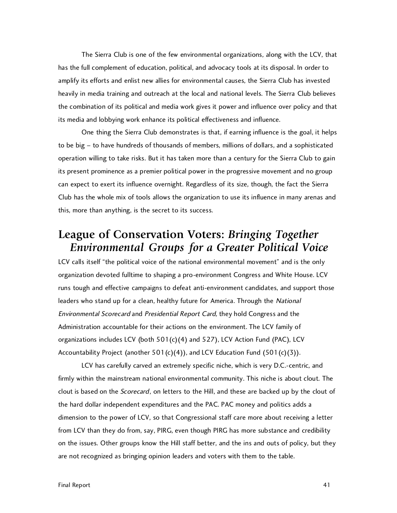The Sierra Club is one of the few environmental organizations, along with the LCV, that has the full complement of education, political, and advocacy tools at its disposal. In order to amplify its efforts and enlist new allies for environmental causes, the Sierra Club has invested heavily in media training and outreach at the local and national levels. The Sierra Club believes the combination of its political and media work gives it power and influence over policy and that its media and lobbying work enhance its political effectiveness and influence.

One thing the Sierra Club demonstrates is that, if earning influence is the goal, it helps to be big – to have hundreds of thousands of members, millions of dollars, and a sophisticated operation willing to take risks. But it has taken more than a century for the Sierra Club to gain its present prominence as a premier political power in the progressive movement and no group can expect to exert its influence overnight. Regardless of its size, though, the fact the Sierra Club has the whole mix of tools allows the organization to use its influence in many arenas and this, more than anything, is the secret to its success.

#### **League of Conservation Voters:** *Bringing Together Environmental Groups for a Greater Political Voice*

LCV calls itself "the political voice of the national environmental movement" and is the only organization devoted fulltime to shaping a pro-environment Congress and White House. LCV runs tough and effective campaigns to defeat anti-environment candidates, and support those leaders who stand up for a clean, healthy future for America. Through the National Environmental Scorecard and Presidential Report Card, they hold Congress and the Administration accountable for their actions on the environment. The LCV family of organizations includes LCV (both  $501(c)(4)$  and  $527$ ), LCV Action Fund (PAC), LCV Accountability Project (another 501(c)(4)), and LCV Education Fund (501(c)(3)).

LCV has carefully carved an extremely specific niche, which is very D.C.-centric, and firmly within the mainstream national environmental community. This niche is about clout. The clout is based on the Scorecard, on letters to the Hill, and these are backed up by the clout of the hard dollar independent expenditures and the PAC. PAC money and politics adds a dimension to the power of LCV, so that Congressional staff care more about receiving a letter from LCV than they do from, say, PIRG, even though PIRG has more substance and credibility on the issues. Other groups know the Hill staff better, and the ins and outs of policy, but they are not recognized as bringing opinion leaders and voters with them to the table.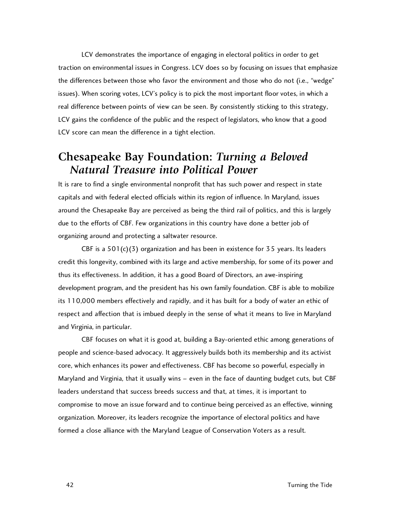LCV demonstrates the importance of engaging in electoral politics in order to get traction on environmental issues in Congress. LCV does so by focusing on issues that emphasize the differences between those who favor the environment and those who do not (i.e., "wedge" issues). When scoring votes, LCV's policy is to pick the most important floor votes, in which a real difference between points of view can be seen. By consistently sticking to this strategy, LCV gains the confidence of the public and the respect of legislators, who know that a good LCV score can mean the difference in a tight election.

#### **Chesapeake Bay Foundation:** *Turning a Beloved Natural Treasure into Political Power*

It is rare to find a single environmental nonprofit that has such power and respect in state capitals and with federal elected officials within its region of influence. In Maryland, issues around the Chesapeake Bay are perceived as being the third rail of politics, and this is largely due to the efforts of CBF. Few organizations in this country have done a better job of organizing around and protecting a saltwater resource.

CBF is a  $501(c)(3)$  organization and has been in existence for 35 years. Its leaders credit this longevity, combined with its large and active membership, for some of its power and thus its effectiveness. In addition, it has a good Board of Directors, an awe-inspiring development program, and the president has his own family foundation. CBF is able to mobilize its 110,000 members effectively and rapidly, and it has built for a body of water an ethic of respect and affection that is imbued deeply in the sense of what it means to live in Maryland and Virginia, in particular.

CBF focuses on what it is good at, building a Bay-oriented ethic among generations of people and science-based advocacy. It aggressively builds both its membership and its activist core, which enhances its power and effectiveness. CBF has become so powerful, especially in Maryland and Virginia, that it usually wins – even in the face of daunting budget cuts, but CBF leaders understand that success breeds success and that, at times, it is important to compromise to move an issue forward and to continue being perceived as an effective, winning organization. Moreover, its leaders recognize the importance of electoral politics and have formed a close alliance with the Maryland League of Conservation Voters as a result.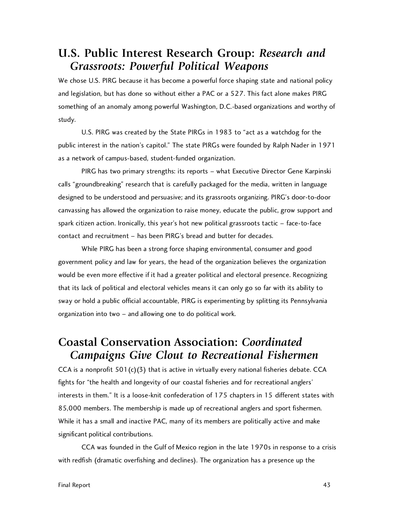## **U.S. Public Interest Research Group:** *Research and Grassroots: Powerful Political Weapons*

We chose U.S. PIRG because it has become a powerful force shaping state and national policy and legislation, but has done so without either a PAC or a 527. This fact alone makes PIRG something of an anomaly among powerful Washington, D.C.-based organizations and worthy of study.

U.S. PIRG was created by the State PIRGs in 1983 to "act as a watchdog for the public interest in the nation's capitol." The state PIRGs were founded by Ralph Nader in 1971 as a network of campus-based, student-funded organization.

PIRG has two primary strengths: its reports – what Executive Director Gene Karpinski calls "groundbreaking" research that is carefully packaged for the media, written in language designed to be understood and persuasive; and its grassroots organizing. PIRG's door-to-door canvassing has allowed the organization to raise money, educate the public, grow support and spark citizen action. Ironically, this year's hot new political grassroots tactic – face-to-face contact and recruitment – has been PIRG's bread and butter for decades.

While PIRG has been a strong force shaping environmental, consumer and good government policy and law for years, the head of the organization believes the organization would be even more effective if it had a greater political and electoral presence. Recognizing that its lack of political and electoral vehicles means it can only go so far with its ability to sway or hold a public official accountable, PIRG is experimenting by splitting its Pennsylvania organization into two – and allowing one to do political work.

## **Coastal Conservation Association:** *Coordinated Campaigns Give Clout to Recreational Fishermen*

CCA is a nonprofit  $501(c)(3)$  that is active in virtually every national fisheries debate. CCA fights for "the health and longevity of our coastal fisheries and for recreational anglers' interests in them." It is a loose-knit confederation of 175 chapters in 15 different states with 85,000 members. The membership is made up of recreational anglers and sport fishermen. While it has a small and inactive PAC, many of its members are politically active and make significant political contributions.

CCA was founded in the Gulf of Mexico region in the late 1970s in response to a crisis with redfish (dramatic overfishing and declines). The organization has a presence up the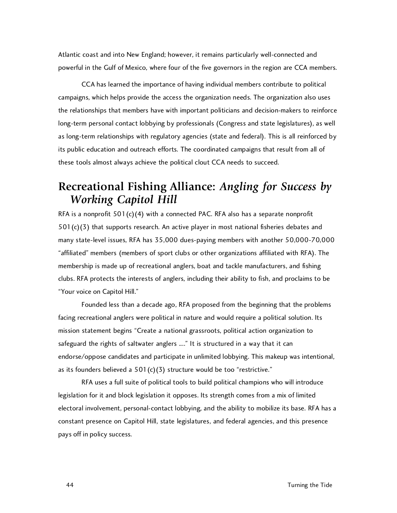Atlantic coast and into New England; however, it remains particularly well-connected and powerful in the Gulf of Mexico, where four of the five governors in the region are CCA members.

CCA has learned the importance of having individual members contribute to political campaigns, which helps provide the access the organization needs. The organization also uses the relationships that members have with important politicians and decision-makers to reinforce long-term personal contact lobbying by professionals (Congress and state legislatures), as well as long-term relationships with regulatory agencies (state and federal). This is all reinforced by its public education and outreach efforts. The coordinated campaigns that result from all of these tools almost always achieve the political clout CCA needs to succeed.

## **Recreational Fishing Alliance:** *Angling for Success by Working Capitol Hill*

RFA is a nonprofit  $501(c)(4)$  with a connected PAC. RFA also has a separate nonprofit  $501(c)(3)$  that supports research. An active player in most national fisheries debates and many state-level issues, RFA has 35,000 dues-paying members with another 50,000-70,000 "affiliated" members (members of sport clubs or other organizations affiliated with RFA). The membership is made up of recreational anglers, boat and tackle manufacturers, and fishing clubs. RFA protects the interests of anglers, including their ability to fish, and proclaims to be "Your voice on Capitol Hill."

Founded less than a decade ago, RFA proposed from the beginning that the problems facing recreational anglers were political in nature and would require a political solution. Its mission statement begins "Create a national grassroots, political action organization to safeguard the rights of saltwater anglers ...." It is structured in a way that it can endorse/oppose candidates and participate in unlimited lobbying. This makeup was intentional, as its founders believed a  $501(c)(3)$  structure would be too "restrictive."

RFA uses a full suite of political tools to build political champions who will introduce legislation for it and block legislation it opposes. Its strength comes from a mix of limited electoral involvement, personal-contact lobbying, and the ability to mobilize its base. RFA has a constant presence on Capitol Hill, state legislatures, and federal agencies, and this presence pays off in policy success.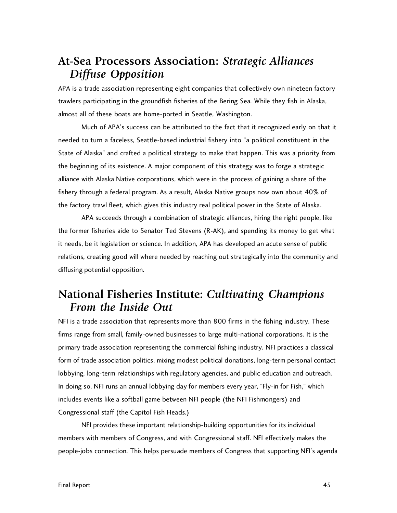## **At-Sea Processors Association:** *Strategic Alliances Diffuse Opposition*

APA is a trade association representing eight companies that collectively own nineteen factory trawlers participating in the groundfish fisheries of the Bering Sea. While they fish in Alaska, almost all of these boats are home-ported in Seattle, Washington.

Much of APA's success can be attributed to the fact that it recognized early on that it needed to turn a faceless, Seattle-based industrial fishery into "a political constituent in the State of Alaska" and crafted a political strategy to make that happen. This was a priority from the beginning of its existence. A major component of this strategy was to forge a strategic alliance with Alaska Native corporations, which were in the process of gaining a share of the fishery through a federal program. As a result, Alaska Native groups now own about 40% of the factory trawl fleet, which gives this industry real political power in the State of Alaska.

APA succeeds through a combination of strategic alliances, hiring the right people, like the former fisheries aide to Senator Ted Stevens (R-AK), and spending its money to get what it needs, be it legislation or science. In addition, APA has developed an acute sense of public relations, creating good will where needed by reaching out strategically into the community and diffusing potential opposition.

## **National Fisheries Institute:** *Cultivating Champions From the Inside Out*

NFI is a trade association that represents more than 800 firms in the fishing industry. These firms range from small, family-owned businesses to large multi-national corporations. It is the primary trade association representing the commercial fishing industry. NFI practices a classical form of trade association politics, mixing modest political donations, long-term personal contact lobbying, long-term relationships with regulatory agencies, and public education and outreach. In doing so, NFI runs an annual lobbying day for members every year, "Fly-in for Fish," which includes events like a softball game between NFI people (the NFI Fishmongers) and Congressional staff (the Capitol Fish Heads.)

NFI provides these important relationship-building opportunities for its individual members with members of Congress, and with Congressional staff. NFI effectively makes the people-jobs connection. This helps persuade members of Congress that supporting NFI's agenda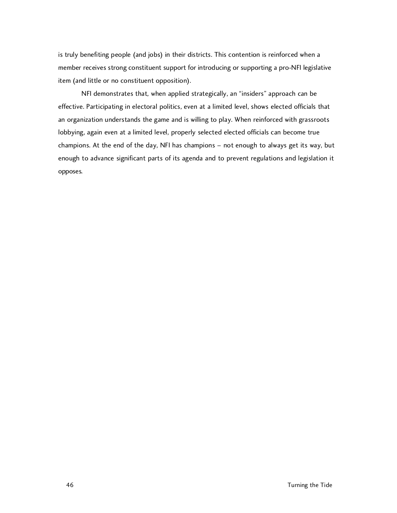is truly benefiting people (and jobs) in their districts. This contention is reinforced when a member receives strong constituent support for introducing or supporting a pro-NFI legislative item (and little or no constituent opposition).

NFI demonstrates that, when applied strategically, an "insiders" approach can be effective. Participating in electoral politics, even at a limited level, shows elected officials that an organization understands the game and is willing to play. When reinforced with grassroots lobbying, again even at a limited level, properly selected elected officials can become true champions. At the end of the day, NFI has champions – not enough to always get its way, but enough to advance significant parts of its agenda and to prevent regulations and legislation it opposes.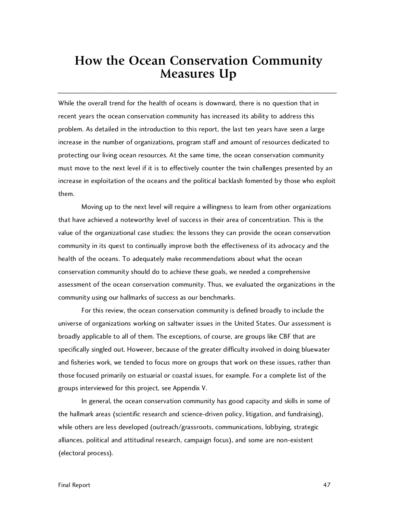# **How the Ocean Conservation Community Measures Up**

\_\_\_\_\_\_\_\_\_\_\_\_\_\_\_\_\_\_\_\_\_\_\_\_\_\_\_\_\_\_\_\_\_\_\_\_\_\_\_\_\_\_\_\_\_\_\_\_\_\_\_\_\_\_\_\_\_\_\_\_\_\_\_\_\_\_\_\_\_\_\_\_\_\_\_\_\_\_\_\_\_\_\_\_\_\_\_\_\_\_\_\_\_\_\_\_\_\_

While the overall trend for the health of oceans is downward, there is no question that in recent years the ocean conservation community has increased its ability to address this problem. As detailed in the introduction to this report, the last ten years have seen a large increase in the number of organizations, program staff and amount of resources dedicated to protecting our living ocean resources. At the same time, the ocean conservation community must move to the next level if it is to effectively counter the twin challenges presented by an increase in exploitation of the oceans and the political backlash fomented by those who exploit them.

Moving up to the next level will require a willingness to learn from other organizations that have achieved a noteworthy level of success in their area of concentration. This is the value of the organizational case studies: the lessons they can provide the ocean conservation community in its quest to continually improve both the effectiveness of its advocacy and the health of the oceans. To adequately make recommendations about what the ocean conservation community should do to achieve these goals, we needed a comprehensive assessment of the ocean conservation community. Thus, we evaluated the organizations in the community using our hallmarks of success as our benchmarks.

For this review, the ocean conservation community is defined broadly to include the universe of organizations working on saltwater issues in the United States. Our assessment is broadly applicable to all of them. The exceptions, of course, are groups like CBF that are specifically singled out. However, because of the greater difficulty involved in doing bluewater and fisheries work, we tended to focus more on groups that work on these issues, rather than those focused primarily on estuarial or coastal issues, for example. For a complete list of the groups interviewed for this project, see Appendix V.

In general, the ocean conservation community has good capacity and skills in some of the hallmark areas (scientific research and science-driven policy, litigation, and fundraising), while others are less developed (outreach/grassroots, communications, lobbying, strategic alliances, political and attitudinal research, campaign focus), and some are non-existent (electoral process).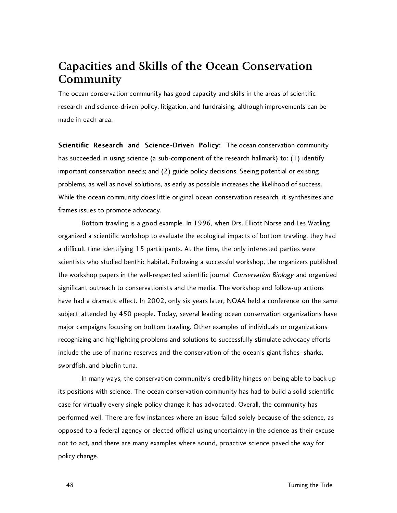## **Capacities and Skills of the Ocean Conservation Community**

The ocean conservation community has good capacity and skills in the areas of scientific research and science-driven policy, litigation, and fundraising, although improvements can be made in each area.

Scientific Research and Science-Driven Policy: The ocean conservation community has succeeded in using science (a sub-component of the research hallmark) to: (1) identify important conservation needs; and (2) guide policy decisions. Seeing potential or existing problems, as well as novel solutions, as early as possible increases the likelihood of success. While the ocean community does little original ocean conservation research, it synthesizes and frames issues to promote advocacy.

Bottom trawling is a good example. In 1996, when Drs. Elliott Norse and Les Watling organized a scientific workshop to evaluate the ecological impacts of bottom trawling, they had a difficult time identifying 15 participants. At the time, the only interested parties were scientists who studied benthic habitat. Following a successful workshop, the organizers published the workshop papers in the well-respected scientific journal Conservation Biology and organized significant outreach to conservationists and the media. The workshop and follow-up actions have had a dramatic effect. In 2002, only six years later, NOAA held a conference on the same subject attended by 450 people. Today, several leading ocean conservation organizations have major campaigns focusing on bottom trawling. Other examples of individuals or organizations recognizing and highlighting problems and solutions to successfully stimulate advocacy efforts include the use of marine reserves and the conservation of the ocean's giant fishes–sharks, swordfish, and bluefin tuna.

In many ways, the conservation community's credibility hinges on being able to back up its positions with science. The ocean conservation community has had to build a solid scientific case for virtually every single policy change it has advocated. Overall, the community has performed well. There are few instances where an issue failed solely because of the science, as opposed to a federal agency or elected official using uncertainty in the science as their excuse not to act, and there are many examples where sound, proactive science paved the way for policy change.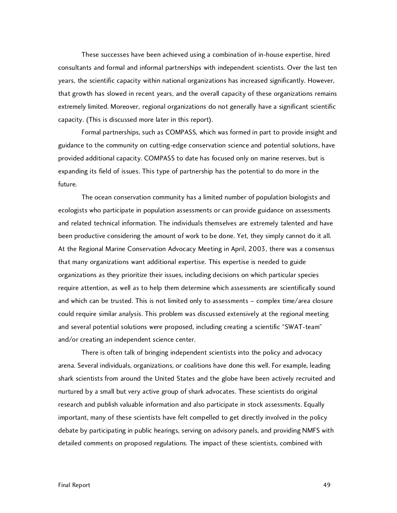These successes have been achieved using a combination of in-house expertise, hired consultants and formal and informal partnerships with independent scientists. Over the last ten years, the scientific capacity within national organizations has increased significantly. However, that growth has slowed in recent years, and the overall capacity of these organizations remains extremely limited. Moreover, regional organizations do not generally have a significant scientific capacity. (This is discussed more later in this report).

Formal partnerships, such as COMPASS, which was formed in part to provide insight and guidance to the community on cutting-edge conservation science and potential solutions, have provided additional capacity. COMPASS to date has focused only on marine reserves, but is expanding its field of issues. This type of partnership has the potential to do more in the future.

The ocean conservation community has a limited number of population biologists and ecologists who participate in population assessments or can provide guidance on assessments and related technical information. The individuals themselves are extremely talented and have been productive considering the amount of work to be done. Yet, they simply cannot do it all. At the Regional Marine Conservation Advocacy Meeting in April, 2003, there was a consensus that many organizations want additional expertise. This expertise is needed to guide organizations as they prioritize their issues, including decisions on which particular species require attention, as well as to help them determine which assessments are scientifically sound and which can be trusted. This is not limited only to assessments – complex time/area closure could require similar analysis. This problem was discussed extensively at the regional meeting and several potential solutions were proposed, including creating a scientific "SWAT-team" and/or creating an independent science center.

There is often talk of bringing independent scientists into the policy and advocacy arena. Several individuals, organizations, or coalitions have done this well. For example, leading shark scientists from around the United States and the globe have been actively recruited and nurtured by a small but very active group of shark advocates. These scientists do original research and publish valuable information and also participate in stock assessments. Equally important, many of these scientists have felt compelled to get directly involved in the policy debate by participating in public hearings, serving on advisory panels, and providing NMFS with detailed comments on proposed regulations. The impact of these scientists, combined with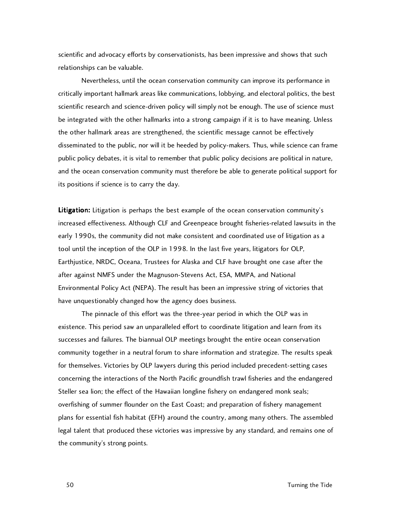scientific and advocacy efforts by conservationists, has been impressive and shows that such relationships can be valuable.

Nevertheless, until the ocean conservation community can improve its performance in critically important hallmark areas like communications, lobbying, and electoral politics, the best scientific research and science-driven policy will simply not be enough. The use of science must be integrated with the other hallmarks into a strong campaign if it is to have meaning. Unless the other hallmark areas are strengthened, the scientific message cannot be effectively disseminated to the public, nor will it be heeded by policy-makers. Thus, while science can frame public policy debates, it is vital to remember that public policy decisions are political in nature, and the ocean conservation community must therefore be able to generate political support for its positions if science is to carry the day.

Litigation: Litigation is perhaps the best example of the ocean conservation community's increased effectiveness. Although CLF and Greenpeace brought fisheries-related lawsuits in the early 1990s, the community did not make consistent and coordinated use of litigation as a tool until the inception of the OLP in 1998. In the last five years, litigators for OLP, Earthjustice, NRDC, Oceana, Trustees for Alaska and CLF have brought one case after the after against NMFS under the Magnuson-Stevens Act, ESA, MMPA, and National Environmental Policy Act (NEPA). The result has been an impressive string of victories that have unquestionably changed how the agency does business.

The pinnacle of this effort was the three-year period in which the OLP was in existence. This period saw an unparalleled effort to coordinate litigation and learn from its successes and failures. The biannual OLP meetings brought the entire ocean conservation community together in a neutral forum to share information and strategize. The results speak for themselves. Victories by OLP lawyers during this period included precedent-setting cases concerning the interactions of the North Pacific groundfish trawl fisheries and the endangered Steller sea lion; the effect of the Hawaiian longline fishery on endangered monk seals; overfishing of summer flounder on the East Coast; and preparation of fishery management plans for essential fish habitat (EFH) around the country, among many others. The assembled legal talent that produced these victories was impressive by any standard, and remains one of the community's strong points.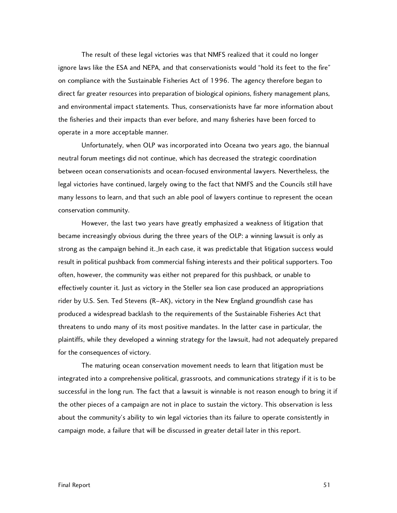The result of these legal victories was that NMFS realized that it could no longer ignore laws like the ESA and NEPA, and that conservationists would "hold its feet to the fire" on compliance with the Sustainable Fisheries Act of 1996. The agency therefore began to direct far greater resources into preparation of biological opinions, fishery management plans, and environmental impact statements. Thus, conservationists have far more information about the fisheries and their impacts than ever before, and many fisheries have been forced to operate in a more acceptable manner.

Unfortunately, when OLP was incorporated into Oceana two years ago, the biannual neutral forum meetings did not continue, which has decreased the strategic coordination between ocean conservationists and ocean-focused environmental lawyers. Nevertheless, the legal victories have continued, largely owing to the fact that NMFS and the Councils still have many lessons to learn, and that such an able pool of lawyers continue to represent the ocean conservation community.

However, the last two years have greatly emphasized a weakness of litigation that became increasingly obvious during the three years of the OLP: a winning lawsuit is only as strong as the campaign behind it. In each case, it was predictable that litigation success would result in political pushback from commercial fishing interests and their political supporters. Too often, however, the community was either not prepared for this pushback, or unable to effectively counter it. Just as victory in the Steller sea lion case produced an appropriations rider by U.S. Sen. Ted Stevens (R–AK), victory in the New England groundfish case has produced a widespread backlash to the requirements of the Sustainable Fisheries Act that threatens to undo many of its most positive mandates. In the latter case in particular, the plaintiffs, while they developed a winning strategy for the lawsuit, had not adequately prepared for the consequences of victory.

The maturing ocean conservation movement needs to learn that litigation must be integrated into a comprehensive political, grassroots, and communications strategy if it is to be successful in the long run. The fact that a lawsuit is winnable is not reason enough to bring it if the other pieces of a campaign are not in place to sustain the victory. This observation is less about the community's ability to win legal victories than its failure to operate consistently in campaign mode, a failure that will be discussed in greater detail later in this report.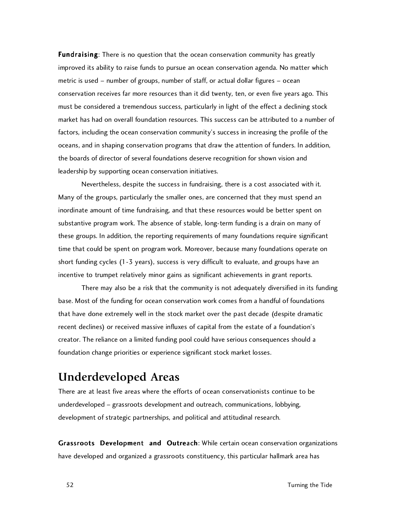**Fundraising:** There is no question that the ocean conservation community has greatly improved its ability to raise funds to pursue an ocean conservation agenda. No matter which metric is used – number of groups, number of staff, or actual dollar figures – ocean conservation receives far more resources than it did twenty, ten, or even five years ago. This must be considered a tremendous success, particularly in light of the effect a declining stock market has had on overall foundation resources. This success can be attributed to a number of factors, including the ocean conservation community's success in increasing the profile of the oceans, and in shaping conservation programs that draw the attention of funders. In addition, the boards of director of several foundations deserve recognition for shown vision and leadership by supporting ocean conservation initiatives.

Nevertheless, despite the success in fundraising, there is a cost associated with it. Many of the groups, particularly the smaller ones, are concerned that they must spend an inordinate amount of time fundraising, and that these resources would be better spent on substantive program work. The absence of stable, long-term funding is a drain on many of these groups. In addition, the reporting requirements of many foundations require significant time that could be spent on program work. Moreover, because many foundations operate on short funding cycles (1-3 years), success is very difficult to evaluate, and groups have an incentive to trumpet relatively minor gains as significant achievements in grant reports.

There may also be a risk that the community is not adequately diversified in its funding base. Most of the funding for ocean conservation work comes from a handful of foundations that have done extremely well in the stock market over the past decade (despite dramatic recent declines) or received massive influxes of capital from the estate of a foundation's creator. The reliance on a limited funding pool could have serious consequences should a foundation change priorities or experience significant stock market losses.

## **Underdeveloped Areas**

There are at least five areas where the efforts of ocean conservationists continue to be underdeveloped – grassroots development and outreach, communications, lobbying, development of strategic partnerships, and political and attitudinal research.

Grassroots Development and Outreach: While certain ocean conservation organizations have developed and organized a grassroots constituency, this particular hallmark area has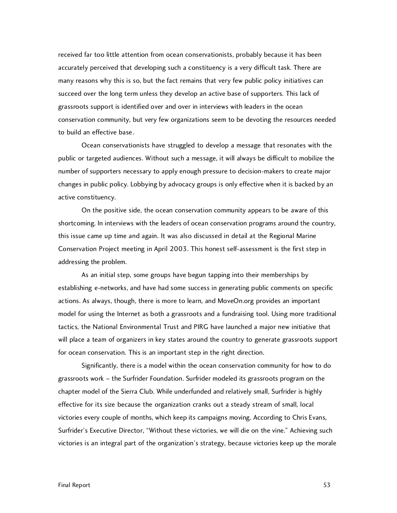received far too little attention from ocean conservationists, probably because it has been accurately perceived that developing such a constituency is a very difficult task. There are many reasons why this is so, but the fact remains that very few public policy initiatives can succeed over the long term unless they develop an active base of supporters. This lack of grassroots support is identified over and over in interviews with leaders in the ocean conservation community, but very few organizations seem to be devoting the resources needed to build an effective base.

Ocean conservationists have struggled to develop a message that resonates with the public or targeted audiences. Without such a message, it will always be difficult to mobilize the number of supporters necessary to apply enough pressure to decision-makers to create major changes in public policy. Lobbying by advocacy groups is only effective when it is backed by an active constituency.

On the positive side, the ocean conservation community appears to be aware of this shortcoming. In interviews with the leaders of ocean conservation programs around the country, this issue came up time and again. It was also discussed in detail at the Regional Marine Conservation Project meeting in April 2003. This honest self-assessment is the first step in addressing the problem.

As an initial step, some groups have begun tapping into their memberships by establishing e-networks, and have had some success in generating public comments on specific actions. As always, though, there is more to learn, and MoveOn.org provides an important model for using the Internet as both a grassroots and a fundraising tool. Using more traditional tactics, the National Environmental Trust and PIRG have launched a major new initiative that will place a team of organizers in key states around the country to generate grassroots support for ocean conservation. This is an important step in the right direction.

Significantly, there is a model within the ocean conservation community for how to do grassroots work – the Surfrider Foundation. Surfrider modeled its grassroots program on the chapter model of the Sierra Club. While underfunded and relatively small, Surfrider is highly effective for its size because the organization cranks out a steady stream of small, local victories every couple of months, which keep its campaigns moving. According to Chris Evans, Surfrider's Executive Director, "Without these victories, we will die on the vine." Achieving such victories is an integral part of the organization's strategy, because victories keep up the morale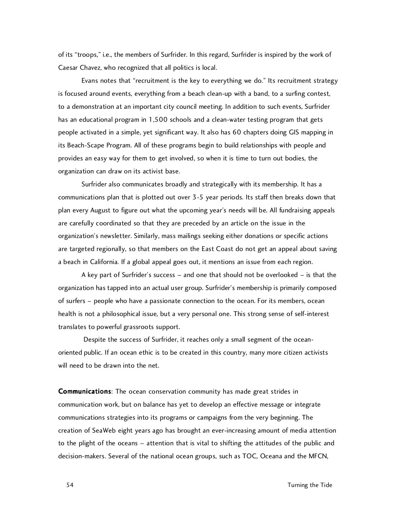of its "troops," i.e., the members of Surfrider. In this regard, Surfrider is inspired by the work of Caesar Chavez, who recognized that all politics is local.

Evans notes that "recruitment is the key to everything we do." Its recruitment strategy is focused around events, everything from a beach clean-up with a band, to a surfing contest, to a demonstration at an important city council meeting. In addition to such events, Surfrider has an educational program in 1,500 schools and a clean-water testing program that gets people activated in a simple, yet significant way. It also has 60 chapters doing GIS mapping in its Beach-Scape Program. All of these programs begin to build relationships with people and provides an easy way for them to get involved, so when it is time to turn out bodies, the organization can draw on its activist base.

Surfrider also communicates broadly and strategically with its membership. It has a communications plan that is plotted out over 3-5 year periods. Its staff then breaks down that plan every August to figure out what the upcoming year's needs will be. All fundraising appeals are carefully coordinated so that they are preceded by an article on the issue in the organization's newsletter. Similarly, mass mailings seeking either donations or specific actions are targeted regionally, so that members on the East Coast do not get an appeal about saving a beach in California. If a global appeal goes out, it mentions an issue from each region.

A key part of Surfrider's success – and one that should not be overlooked – is that the organization has tapped into an actual user group. Surfrider's membership is primarily composed of surfers – people who have a passionate connection to the ocean. For its members, ocean health is not a philosophical issue, but a very personal one. This strong sense of self-interest translates to powerful grassroots support.

Despite the success of Surfrider, it reaches only a small segment of the oceanoriented public. If an ocean ethic is to be created in this country, many more citizen activists will need to be drawn into the net.

Communications: The ocean conservation community has made great strides in communication work, but on balance has yet to develop an effective message or integrate communications strategies into its programs or campaigns from the very beginning. The creation of SeaWeb eight years ago has brought an ever-increasing amount of media attention to the plight of the oceans – attention that is vital to shifting the attitudes of the public and decision-makers. Several of the national ocean groups, such as TOC, Oceana and the MFCN,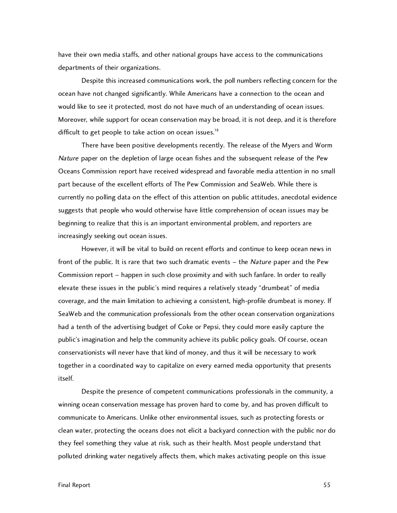have their own media staffs, and other national groups have access to the communications departments of their organizations.

Despite this increased communications work, the poll numbers reflecting concern for the ocean have not changed significantly. While Americans have a connection to the ocean and would like to see it protected, most do not have much of an understanding of ocean issues. Moreover, while support for ocean conservation may be broad, it is not deep, and it is therefore difficult to get people to take action on ocean issues.<sup>18</sup>

There have been positive developments recently. The release of the Myers and Worm Nature paper on the depletion of large ocean fishes and the subsequent release of the Pew Oceans Commission report have received widespread and favorable media attention in no small part because of the excellent efforts of The Pew Commission and SeaWeb. While there is currently no polling data on the effect of this attention on public attitudes, anecdotal evidence suggests that people who would otherwise have little comprehension of ocean issues may be beginning to realize that this is an important environmental problem, and reporters are increasingly seeking out ocean issues.

However, it will be vital to build on recent efforts and continue to keep ocean news in front of the public. It is rare that two such dramatic events – the Nature paper and the Pew Commission report – happen in such close proximity and with such fanfare. In order to really elevate these issues in the public's mind requires a relatively steady "drumbeat" of media coverage, and the main limitation to achieving a consistent, high-profile drumbeat is money. If SeaWeb and the communication professionals from the other ocean conservation organizations had a tenth of the advertising budget of Coke or Pepsi, they could more easily capture the public's imagination and help the community achieve its public policy goals. Of course, ocean conservationists will never have that kind of money, and thus it will be necessary to work together in a coordinated way to capitalize on every earned media opportunity that presents itself.

Despite the presence of competent communications professionals in the community, a winning ocean conservation message has proven hard to come by, and has proven difficult to communicate to Americans. Unlike other environmental issues, such as protecting forests or clean water, protecting the oceans does not elicit a backyard connection with the public nor do they feel something they value at risk, such as their health. Most people understand that polluted drinking water negatively affects them, which makes activating people on this issue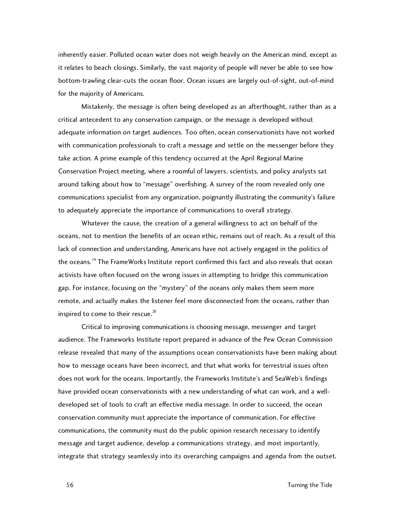inherently easier. Polluted ocean water does not weigh heavily on the American mind, except as it relates to beach closings. Similarly, the vast majority of people will never be able to see how bottom-trawling clear-cuts the ocean floor. Ocean issues are largely out-of-sight, out-of-mind for the majority of Americans.

Mistakenly, the message is often being developed as an afterthought, rather than as a critical antecedent to any conservation campaign, or the message is developed without adequate information on target audiences. Too often, ocean conservationists have not worked with communication professionals to craft a message and settle on the messenger before they take action. A prime example of this tendency occurred at the April Regional Marine Conservation Project meeting, where a roomful of lawyers, scientists, and policy analysts sat around talking about how to "message" overfishing. A survey of the room revealed only one communications specialist from any organization, poignantly illustrating the community's failure to adequately appreciate the importance of communications to overall strategy.

Whatever the cause, the creation of a general willingness to act on behalf of the oceans, not to mention the benefits of an ocean ethic, remains out of reach. As a result of this lack of connection and understanding, Americans have not actively engaged in the politics of the oceans.<sup>19</sup> The FrameWorks Institute report confirmed this fact and also reveals that ocean activists have often focused on the wrong issues in attempting to bridge this communication gap. For instance, focusing on the "mystery" of the oceans only makes them seem more remote, and actually makes the listener feel more disconnected from the oceans, rather than inspired to come to their rescue.<sup>20</sup>

Critical to improving communications is choosing message, messenger and target audience. The Frameworks Institute report prepared in advance of the Pew Ocean Commission release revealed that many of the assumptions ocean conservationists have been making about how to message oceans have been incorrect, and that what works for terrestrial issues often does not work for the oceans. Importantly, the Frameworks Institute's and SeaWeb's findings have provided ocean conservationists with a new understanding of what can work, and a welldeveloped set of tools to craft an effective media message. In order to succeed, the ocean conservation community must appreciate the importance of communication. For effective communications, the community must do the public opinion research necessary to identify message and target audience, develop a communications strategy, and most importantly, integrate that strategy seamlessly into its overarching campaigns and agenda from the outset.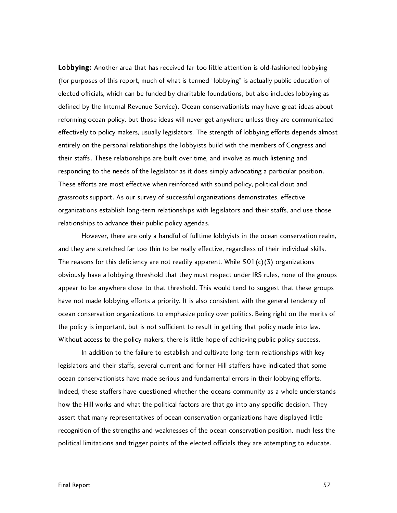Lobbying: Another area that has received far too little attention is old-fashioned lobbying (for purposes of this report, much of what is termed "lobbying" is actually public education of elected officials, which can be funded by charitable foundations, but also includes lobbying as defined by the Internal Revenue Service). Ocean conservationists may have great ideas about reforming ocean policy, but those ideas will never get anywhere unless they are communicated effectively to policy makers, usually legislators. The strength of lobbying efforts depends almost entirely on the personal relationships the lobbyists build with the members of Congress and their staffs. These relationships are built over time, and involve as much listening and responding to the needs of the legislator as it does simply advocating a particular position. These efforts are most effective when reinforced with sound policy, political clout and grassroots support. As our survey of successful organizations demonstrates, effective organizations establish long-term relationships with legislators and their staffs, and use those relationships to advance their public policy agendas.

However, there are only a handful of fulltime lobbyists in the ocean conservation realm, and they are stretched far too thin to be really effective, regardless of their individual skills. The reasons for this deficiency are not readily apparent. While  $501(c)(3)$  organizations obviously have a lobbying threshold that they must respect under IRS rules, none of the groups appear to be anywhere close to that threshold. This would tend to suggest that these groups have not made lobbying efforts a priority. It is also consistent with the general tendency of ocean conservation organizations to emphasize policy over politics. Being right on the merits of the policy is important, but is not sufficient to result in getting that policy made into law. Without access to the policy makers, there is little hope of achieving public policy success.

In addition to the failure to establish and cultivate long-term relationships with key legislators and their staffs, several current and former Hill staffers have indicated that some ocean conservationists have made serious and fundamental errors in their lobbying efforts. Indeed, these staffers have questioned whether the oceans community as a whole understands how the Hill works and what the political factors are that go into any specific decision. They assert that many representatives of ocean conservation organizations have displayed little recognition of the strengths and weaknesses of the ocean conservation position, much less the political limitations and trigger points of the elected officials they are attempting to educate.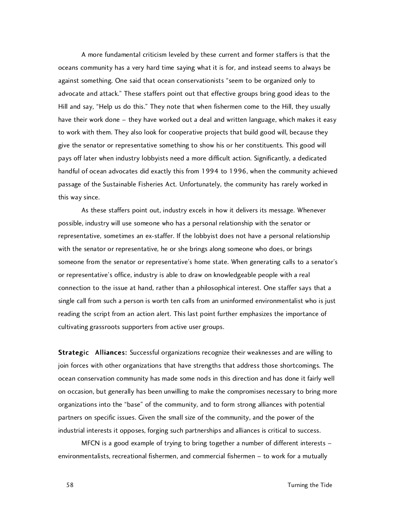A more fundamental criticism leveled by these current and former staffers is that the oceans community has a very hard time saying what it is for, and instead seems to always be against something. One said that ocean conservationists "seem to be organized only to advocate and attack." These staffers point out that effective groups bring good ideas to the Hill and say, "Help us do this." They note that when fishermen come to the Hill, they usually have their work done – they have worked out a deal and written language, which makes it easy to work with them. They also look for cooperative projects that build good will, because they give the senator or representative something to show his or her constituents. This good will pays off later when industry lobbyists need a more difficult action. Significantly, a dedicated handful of ocean advocates did exactly this from 1994 to 1996, when the community achieved passage of the Sustainable Fisheries Act. Unfortunately, the community has rarely worked in this way since.

As these staffers point out, industry excels in how it delivers its message. Whenever possible, industry will use someone who has a personal relationship with the senator or representative, sometimes an ex-staffer. If the lobbyist does not have a personal relationship with the senator or representative, he or she brings along someone who does, or brings someone from the senator or representative's home state. When generating calls to a senator's or representative's office, industry is able to draw on knowledgeable people with a real connection to the issue at hand, rather than a philosophical interest. One staffer says that a single call from such a person is worth ten calls from an uninformed environmentalist who is just reading the script from an action alert. This last point further emphasizes the importance of cultivating grassroots supporters from active user groups.

Strategic Alliances: Successful organizations recognize their weaknesses and are willing to join forces with other organizations that have strengths that address those shortcomings. The ocean conservation community has made some nods in this direction and has done it fairly well on occasion, but generally has been unwilling to make the compromises necessary to bring more organizations into the "base" of the community, and to form strong alliances with potential partners on specific issues. Given the small size of the community, and the power of the industrial interests it opposes, forging such partnerships and alliances is critical to success.

MFCN is a good example of trying to bring together a number of different interests – environmentalists, recreational fishermen, and commercial fishermen – to work for a mutually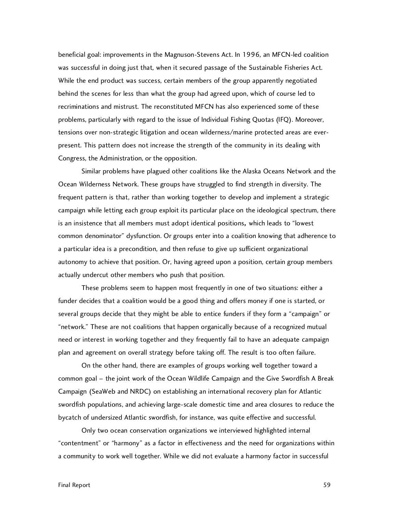beneficial goal: improvements in the Magnuson-Stevens Act. In 1996, an MFCN-led coalition was successful in doing just that, when it secured passage of the Sustainable Fisheries Act. While the end product was success, certain members of the group apparently negotiated behind the scenes for less than what the group had agreed upon, which of course led to recriminations and mistrust. The reconstituted MFCN has also experienced some of these problems, particularly with regard to the issue of Individual Fishing Quotas (IFQ). Moreover, tensions over non-strategic litigation and ocean wilderness/marine protected areas are everpresent. This pattern does not increase the strength of the community in its dealing with Congress, the Administration, or the opposition.

Similar problems have plagued other coalitions like the Alaska Oceans Network and the Ocean Wilderness Network. These groups have struggled to find strength in diversity. The frequent pattern is that, rather than working together to develop and implement a strategic campaign while letting each group exploit its particular place on the ideological spectrum, there is an insistence that all members must adopt identical positions, which leads to "lowest common denominator" dysfunction. Or groups enter into a coalition knowing that adherence to a particular idea is a precondition, and then refuse to give up sufficient organizational autonomy to achieve that position. Or, having agreed upon a position, certain group members actually undercut other members who push that position.

These problems seem to happen most frequently in one of two situations: either a funder decides that a coalition would be a good thing and offers money if one is started, or several groups decide that they might be able to entice funders if they form a "campaign" or "network." These are not coalitions that happen organically because of a recognized mutual need or interest in working together and they frequently fail to have an adequate campaign plan and agreement on overall strategy before taking off. The result is too often failure.

On the other hand, there are examples of groups working well together toward a common goal – the joint work of the Ocean Wildlife Campaign and the Give Swordfish A Break Campaign (SeaWeb and NRDC) on establishing an international recovery plan for Atlantic swordfish populations, and achieving large-scale domestic time and area closures to reduce the bycatch of undersized Atlantic swordfish, for instance, was quite effective and successful.

Only two ocean conservation organizations we interviewed highlighted internal "contentment" or "harmony" as a factor in effectiveness and the need for organizations within a community to work well together. While we did not evaluate a harmony factor in successful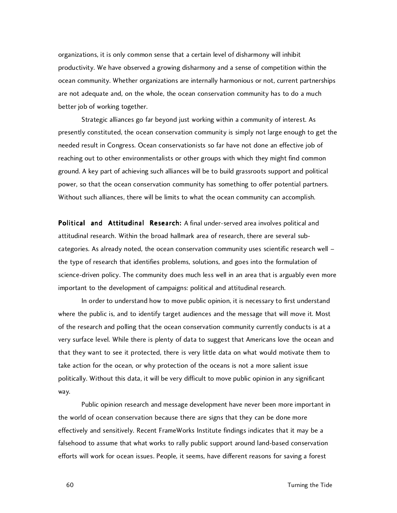organizations, it is only common sense that a certain level of disharmony will inhibit productivity. We have observed a growing disharmony and a sense of competition within the ocean community. Whether organizations are internally harmonious or not, current partnerships are not adequate and, on the whole, the ocean conservation community has to do a much better job of working together.

Strategic alliances go far beyond just working within a community of interest. As presently constituted, the ocean conservation community is simply not large enough to get the needed result in Congress. Ocean conservationists so far have not done an effective job of reaching out to other environmentalists or other groups with which they might find common ground. A key part of achieving such alliances will be to build grassroots support and political power, so that the ocean conservation community has something to offer potential partners. Without such alliances, there will be limits to what the ocean community can accomplish.

Political and Attitudinal Research: A final under-served area involves political and attitudinal research. Within the broad hallmark area of research, there are several subcategories. As already noted, the ocean conservation community uses scientific research well – the type of research that identifies problems, solutions, and goes into the formulation of science-driven policy. The community does much less well in an area that is arguably even more important to the development of campaigns: political and attitudinal research.

In order to understand how to move public opinion, it is necessary to first understand where the public is, and to identify target audiences and the message that will move it. Most of the research and polling that the ocean conservation community currently conducts is at a very surface level. While there is plenty of data to suggest that Americans love the ocean and that they want to see it protected, there is very little data on what would motivate them to take action for the ocean, or why protection of the oceans is not a more salient issue politically. Without this data, it will be very difficult to move public opinion in any significant way.

Public opinion research and message development have never been more important in the world of ocean conservation because there are signs that they can be done more effectively and sensitively. Recent FrameWorks Institute findings indicates that it may be a falsehood to assume that what works to rally public support around land-based conservation efforts will work for ocean issues. People, it seems, have different reasons for saving a forest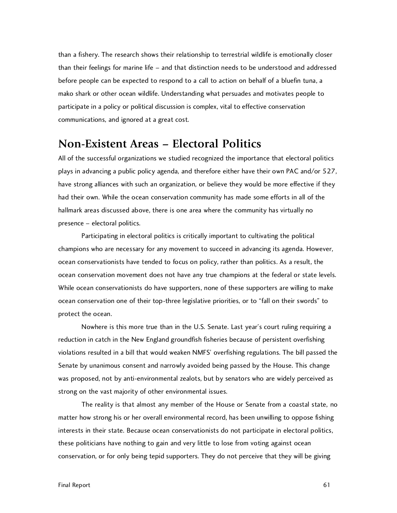than a fishery. The research shows their relationship to terrestrial wildlife is emotionally closer than their feelings for marine life – and that distinction needs to be understood and addressed before people can be expected to respond to a call to action on behalf of a bluefin tuna, a mako shark or other ocean wildlife. Understanding what persuades and motivates people to participate in a policy or political discussion is complex, vital to effective conservation communications, and ignored at a great cost.

#### **Non-Existent Areas – Electoral Politics**

All of the successful organizations we studied recognized the importance that electoral politics plays in advancing a public policy agenda, and therefore either have their own PAC and/or 527, have strong alliances with such an organization, or believe they would be more effective if they had their own. While the ocean conservation community has made some efforts in all of the hallmark areas discussed above, there is one area where the community has virtually no presence – electoral politics.

Participating in electoral politics is critically important to cultivating the political champions who are necessary for any movement to succeed in advancing its agenda. However, ocean conservationists have tended to focus on policy, rather than politics. As a result, the ocean conservation movement does not have any true champions at the federal or state levels. While ocean conservationists do have supporters, none of these supporters are willing to make ocean conservation one of their top-three legislative priorities, or to "fall on their swords" to protect the ocean.

Nowhere is this more true than in the U.S. Senate. Last year's court ruling requiring a reduction in catch in the New England groundfish fisheries because of persistent overfishing violations resulted in a bill that would weaken NMFS' overfishing regulations. The bill passed the Senate by unanimous consent and narrowly avoided being passed by the House. This change was proposed, not by anti-environmental zealots, but by senators who are widely perceived as strong on the vast majority of other environmental issues.

The reality is that almost any member of the House or Senate from a coastal state, no matter how strong his or her overall environmental record, has been unwilling to oppose fishing interests in their state. Because ocean conservationists do not participate in electoral politics, these politicians have nothing to gain and very little to lose from voting against ocean conservation, or for only being tepid supporters. They do not perceive that they will be giving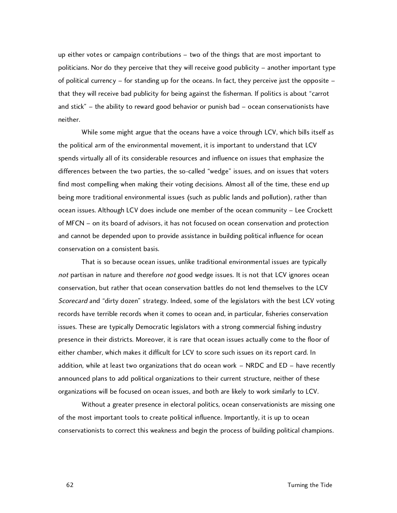up either votes or campaign contributions – two of the things that are most important to politicians. Nor do they perceive that they will receive good publicity – another important type of political currency – for standing up for the oceans. In fact, they perceive just the opposite – that they will receive bad publicity for being against the fisherman. If politics is about "carrot and stick" – the ability to reward good behavior or punish bad – ocean conservationists have neither.

While some might argue that the oceans have a voice through LCV, which bills itself as the political arm of the environmental movement, it is important to understand that LCV spends virtually all of its considerable resources and influence on issues that emphasize the differences between the two parties, the so-called "wedge" issues, and on issues that voters find most compelling when making their voting decisions. Almost all of the time, these end up being more traditional environmental issues (such as public lands and pollution), rather than ocean issues. Although LCV does include one member of the ocean community – Lee Crockett of MFCN – on its board of advisors, it has not focused on ocean conservation and protection and cannot be depended upon to provide assistance in building political influence for ocean conservation on a consistent basis.

That is so because ocean issues, unlike traditional environmental issues are typically not partisan in nature and therefore not good wedge issues. It is not that LCV ignores ocean conservation, but rather that ocean conservation battles do not lend themselves to the LCV Scorecard and "dirty dozen" strategy. Indeed, some of the legislators with the best LCV voting records have terrible records when it comes to ocean and, in particular, fisheries conservation issues. These are typically Democratic legislators with a strong commercial fishing industry presence in their districts. Moreover, it is rare that ocean issues actually come to the floor of either chamber, which makes it difficult for LCV to score such issues on its report card. In addition, while at least two organizations that do ocean work – NRDC and ED – have recently announced plans to add political organizations to their current structure, neither of these organizations will be focused on ocean issues, and both are likely to work similarly to LCV.

Without a greater presence in electoral politics, ocean conservationists are missing one of the most important tools to create political influence. Importantly, it is up to ocean conservationists to correct this weakness and begin the process of building political champions.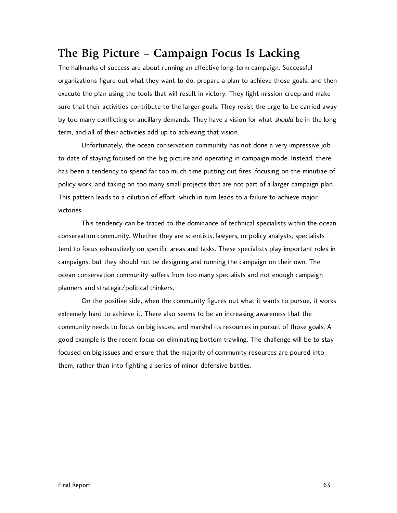## **The Big Picture – Campaign Focus Is Lacking**

The hallmarks of success are about running an effective long-term campaign. Successful organizations figure out what they want to do, prepare a plan to achieve those goals, and then execute the plan using the tools that will result in victory. They fight mission creep and make sure that their activities contribute to the larger goals. They resist the urge to be carried away by too many conflicting or ancillary demands. They have a vision for what should be in the long term, and all of their activities add up to achieving that vision.

Unfortunately, the ocean conservation community has not done a very impressive job to date of staying focused on the big picture and operating in campaign mode. Instead, there has been a tendency to spend far too much time putting out fires, focusing on the minutiae of policy work, and taking on too many small projects that are not part of a larger campaign plan. This pattern leads to a dilution of effort, which in turn leads to a failure to achieve major victories.

This tendency can be traced to the dominance of technical specialists within the ocean conservation community. Whether they are scientists, lawyers, or policy analysts, specialists tend to focus exhaustively on specific areas and tasks. These specialists play important roles in campaigns, but they should not be designing and running the campaign on their own. The ocean conservation community suffers from too many specialists and not enough campaign planners and strategic/political thinkers.

On the positive side, when the community figures out what it wants to pursue, it works extremely hard to achieve it. There also seems to be an increasing awareness that the community needs to focus on big issues, and marshal its resources in pursuit of those goals. A good example is the recent focus on eliminating bottom trawling. The challenge will be to stay focused on big issues and ensure that the majority of community resources are poured into them, rather than into fighting a series of minor defensive battles.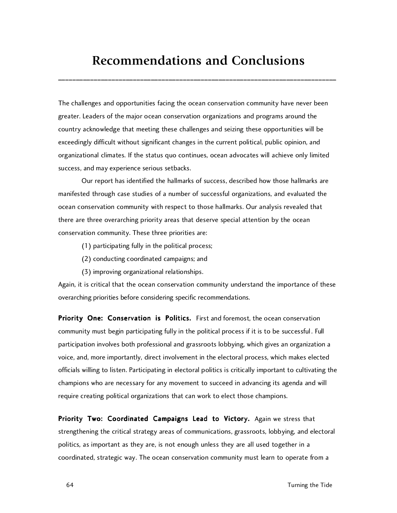# **Recommendations and Conclusions**

\_\_\_\_\_\_\_\_\_\_\_\_\_\_\_\_\_\_\_\_\_\_\_\_\_\_\_\_\_\_\_\_\_\_\_\_\_\_\_\_\_\_\_\_\_\_\_\_\_\_\_\_\_\_\_\_\_\_\_\_\_\_\_\_\_\_\_\_\_\_\_\_\_\_\_\_\_\_

The challenges and opportunities facing the ocean conservation community have never been greater. Leaders of the major ocean conservation organizations and programs around the country acknowledge that meeting these challenges and seizing these opportunities will be exceedingly difficult without significant changes in the current political, public opinion, and organizational climates. If the status quo continues, ocean advocates will achieve only limited success, and may experience serious setbacks.

Our report has identified the hallmarks of success, described how those hallmarks are manifested through case studies of a number of successful organizations, and evaluated the ocean conservation community with respect to those hallmarks. Our analysis revealed that there are three overarching priority areas that deserve special attention by the ocean conservation community. These three priorities are:

- (1) participating fully in the political process;
- (2) conducting coordinated campaigns; and
- (3) improving organizational relationships.

Again, it is critical that the ocean conservation community understand the importance of these overarching priorities before considering specific recommendations.

Priority One: Conservation is Politics. First and foremost, the ocean conservation community must begin participating fully in the political process if it is to be successful. Full participation involves both professional and grassroots lobbying, which gives an organization a voice, and, more importantly, direct involvement in the electoral process, which makes elected officials willing to listen. Participating in electoral politics is critically important to cultivating the champions who are necessary for any movement to succeed in advancing its agenda and will require creating political organizations that can work to elect those champions.

Priority Two: Coordinated Campaigns Lead to Victory. Again we stress that strengthening the critical strategy areas of communications, grassroots, lobbying, and electoral politics, as important as they are, is not enough unless they are all used together in a coordinated, strategic way. The ocean conservation community must learn to operate from a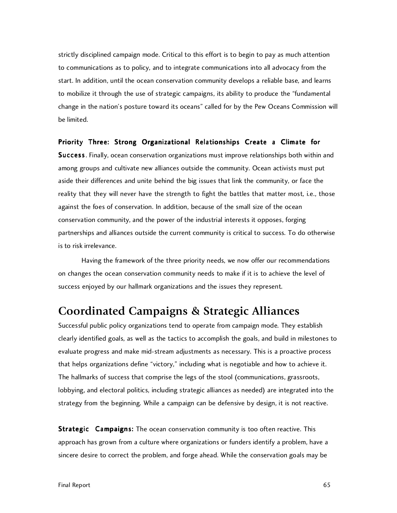strictly disciplined campaign mode. Critical to this effort is to begin to pay as much attention to communications as to policy, and to integrate communications into all advocacy from the start. In addition, until the ocean conservation community develops a reliable base, and learns to mobilize it through the use of strategic campaigns, its ability to produce the "fundamental change in the nation's posture toward its oceans" called for by the Pew Oceans Commission will be limited.

#### Priority Three: Strong Organizational Relationships Create a Climate for

Success . Finally, ocean conservation organizations must improve relationships both within and among groups and cultivate new alliances outside the community. Ocean activists must put aside their differences and unite behind the big issues that link the community, or face the reality that they will never have the strength to fight the battles that matter most, i.e., those against the foes of conservation. In addition, because of the small size of the ocean conservation community, and the power of the industrial interests it opposes, forging partnerships and alliances outside the current community is critical to success. To do otherwise is to risk irrelevance.

Having the framework of the three priority needs, we now offer our recommendations on changes the ocean conservation community needs to make if it is to achieve the level of success enjoyed by our hallmark organizations and the issues they represent.

#### **Coordinated Campaigns & Strategic Alliances**

Successful public policy organizations tend to operate from campaign mode. They establish clearly identified goals, as well as the tactics to accomplish the goals, and build in milestones to evaluate progress and make mid-stream adjustments as necessary. This is a proactive process that helps organizations define "victory," including what is negotiable and how to achieve it. The hallmarks of success that comprise the legs of the stool (communications, grassroots, lobbying, and electoral politics, including strategic alliances as needed) are integrated into the strategy from the beginning. While a campaign can be defensive by design, it is not reactive.

**Strategic Campaigns:** The ocean conservation community is too often reactive. This approach has grown from a culture where organizations or funders identify a problem, have a sincere desire to correct the problem, and forge ahead. While the conservation goals may be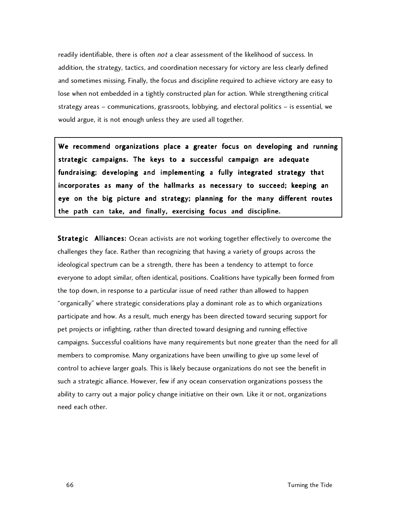readily identifiable, there is often not a clear assessment of the likelihood of success. In addition, the strategy, tactics, and coordination necessary for victory are less clearly defined and sometimes missing. Finally, the focus and discipline required to achieve victory are easy to lose when not embedded in a tightly constructed plan for action. While strengthening critical strategy areas – communications, grassroots, lobbying, and electoral politics – is essential, we would argue, it is not enough unless they are used all together.

We recommend organizations place a greater focus on developing and running strategic campaigns. The keys to a successful campaign are adequate fundraising; developing and implementing a fully integrated strategy that incorporates as many of the hallmarks as necessary to succeed; keeping an eye on the big picture and strategy; planning for the many different routes the path can take, and finally, exercising focus and discipline.

Strategic Alliances: Ocean activists are not working together effectively to overcome the challenges they face. Rather than recognizing that having a variety of groups across the ideological spectrum can be a strength, there has been a tendency to attempt to force everyone to adopt similar, often identical, positions. Coalitions have typically been formed from the top down, in response to a particular issue of need rather than allowed to happen "organically" where strategic considerations play a dominant role as to which organizations participate and how. As a result, much energy has been directed toward securing support for pet projects or infighting, rather than directed toward designing and running effective campaigns. Successful coalitions have many requirements but none greater than the need for all members to compromise. Many organizations have been unwilling to give up some level of control to achieve larger goals. This is likely because organizations do not see the benefit in such a strategic alliance. However, few if any ocean conservation organizations possess the ability to carry out a major policy change initiative on their own. Like it or not, organizations need each other.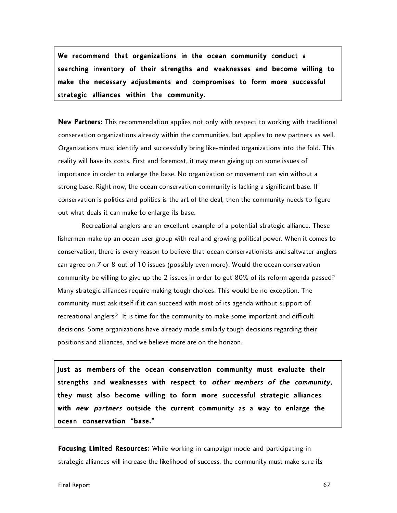We recommend that organizations in the ocean community conduct a searching inventory of their strengths and weaknesses and become willing to make the necessary adjustments and compromises to form more successful strategic alliances within the community.

New Partners: This recommendation applies not only with respect to working with traditional conservation organizations already within the communities, but applies to new partners as well. Organizations must identify and successfully bring like-minded organizations into the fold. This reality will have its costs. First and foremost, it may mean giving up on some issues of importance in order to enlarge the base. No organization or movement can win without a strong base. Right now, the ocean conservation community is lacking a significant base. If conservation is politics and politics is the art of the deal, then the community needs to figure out what deals it can make to enlarge its base.

Recreational anglers are an excellent example of a potential strategic alliance. These fishermen make up an ocean user group with real and growing political power. When it comes to conservation, there is every reason to believe that ocean conservationists and saltwater anglers can agree on 7 or 8 out of 10 issues (possibly even more). Would the ocean conservation community be willing to give up the 2 issues in order to get 80% of its reform agenda passed? Many strategic alliances require making tough choices. This would be no exception. The community must ask itself if it can succeed with most of its agenda without support of recreational anglers? It is time for the community to make some important and difficult decisions. Some organizations have already made similarly tough decisions regarding their positions and alliances, and we believe more are on the horizon.

Just as members of the ocean conservation community must evaluate their strengths and weaknesses with respect to other members of the community, they must also become willing to form more successful strategic alliances with new partners outside the current community as a way to enlarge the ocean conservation "base."

Focusing Limited Resources: While working in campaign mode and participating in strategic alliances will increase the likelihood of success, the community must make sure its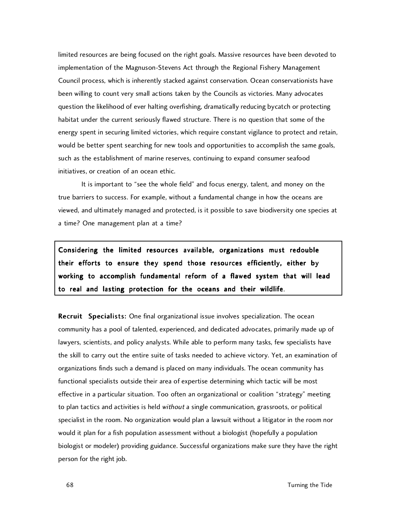limited resources are being focused on the right goals. Massive resources have been devoted to implementation of the Magnuson-Stevens Act through the Regional Fishery Management Council process, which is inherently stacked against conservation. Ocean conservationists have been willing to count very small actions taken by the Councils as victories. Many advocates question the likelihood of ever halting overfishing, dramatically reducing bycatch or protecting habitat under the current seriously flawed structure. There is no question that some of the energy spent in securing limited victories, which require constant vigilance to protect and retain, would be better spent searching for new tools and opportunities to accomplish the same goals, such as the establishment of marine reserves, continuing to expand consumer seafood initiatives, or creation of an ocean ethic.

It is important to "see the whole field" and focus energy, talent, and money on the true barriers to success. For example, without a fundamental change in how the oceans are viewed, and ultimately managed and protected, is it possible to save biodiversity one species at a time? One management plan at a time?

Considering the limited resources available, organizations must redouble their efforts to ensure they spend those resources efficiently, either by working to accomplish fundamental reform of a flawed system that will lead to real and lasting protection for the oceans and their wildlife.

Recruit Specialists: One final organizational issue involves specialization. The ocean community has a pool of talented, experienced, and dedicated advocates, primarily made up of lawyers, scientists, and policy analysts. While able to perform many tasks, few specialists have the skill to carry out the entire suite of tasks needed to achieve victory. Yet, an examination of organizations finds such a demand is placed on many individuals. The ocean community has functional specialists outside their area of expertise determining which tactic will be most effective in a particular situation. Too often an organizational or coalition "strategy" meeting to plan tactics and activities is held without a single communication, grassroots, or political specialist in the room. No organization would plan a lawsuit without a litigator in the room nor would it plan for a fish population assessment without a biologist (hopefully a population biologist or modeler) providing guidance. Successful organizations make sure they have the right person for the right job.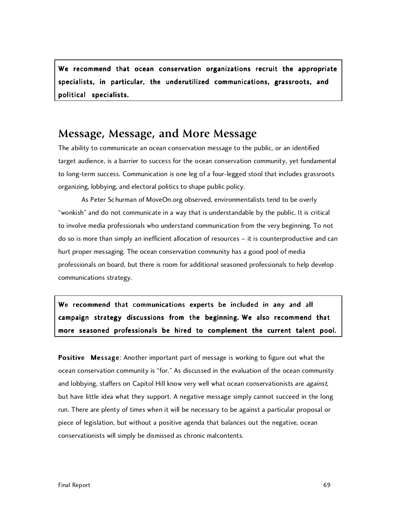We recommend that ocean conservation organizations recruit the appropriate specialists, in particular, the underutilized communications, grassroots, and political specialists.

#### **Message, Message, and More Message**

The ability to communicate an ocean conservation message to the public, or an identified target audience, is a barrier to success for the ocean conservation community, yet fundamental to long-term success. Communication is one leg of a four-legged stool that includes grassroots organizing, lobbying, and electoral politics to shape public policy.

As Peter Schurman of MoveOn.org observed, environmentalists tend to be overly "wonkish" and do not communicate in a way that is understandable by the public. It is critical to involve media professionals who understand communication from the very beginning. To not do so is more than simply an inefficient allocation of resources – it is counterproductive and can hurt proper messaging. The ocean conservation community has a good pool of media professionals on board, but there is room for additional seasoned professionals to help develop communications strategy.

We recommend that communications experts be included in any and all campaign strategy discussions from the beginning. We also recommend that more seasoned professionals be hired to complement the current talent pool.

Positive Message: Another important part of message is working to figure out what the ocean conservation community is "for." As discussed in the evaluation of the ocean community and lobbying, staffers on Capitol Hill know very well what ocean conservationists are against, but have little idea what they support. A negative message simply cannot succeed in the long run. There are plenty of times when it will be necessary to be against a particular proposal or piece of legislation, but without a positive agenda that balances out the negative, ocean conservationists will simply be dismissed as chronic malcontents.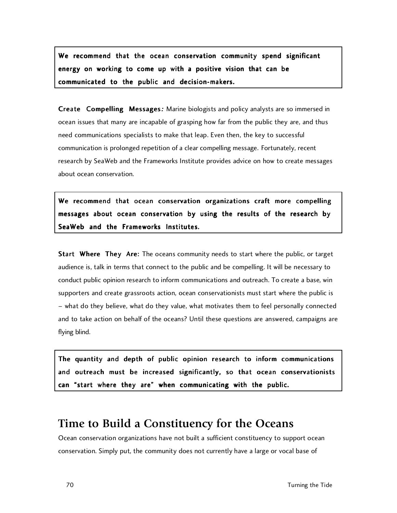We recommend that the ocean conservation community spend significant energy on working to come up with a positive vision that can be communicated to the public and decision-makers.

Create Compelling Messages: Marine biologists and policy analysts are so immersed in ocean issues that many are incapable of grasping how far from the public they are, and thus need communications specialists to make that leap. Even then, the key to successful communication is prolonged repetition of a clear compelling message. Fortunately, recent research by SeaWeb and the Frameworks Institute provides advice on how to create messages about ocean conservation.

We recommend that ocean conservation organizations craft more compelling messages about ocean conservation by using the results of the research by SeaWeb and the Frameworks Institutes.

**Start Where They Are:** The oceans community needs to start where the public, or target audience is, talk in terms that connect to the public and be compelling. It will be necessary to conduct public opinion research to inform communications and outreach. To create a base, win supporters and create grassroots action, ocean conservationists must start where the public is – what do they believe, what do they value, what motivates them to feel personally connected and to take action on behalf of the oceans? Until these questions are answered, campaigns are flying blind.

The quantity and depth of public opinion research to inform communications and outreach must be increased significantly, so that ocean conservationists can "start where they are" when communicating with the public.

## **Time to Build a Constituency for the Oceans**

Ocean conservation organizations have not built a sufficient constituency to support ocean conservation. Simply put, the community does not currently have a large or vocal base of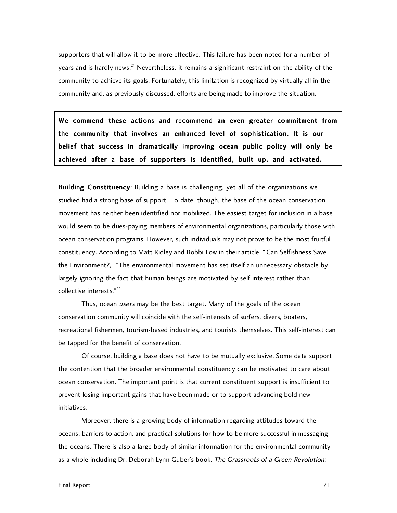supporters that will allow it to be more effective. This failure has been noted for a number of years and is hardly news.<sup>21</sup> Nevertheless, it remains a significant restraint on the ability of the community to achieve its goals. Fortunately, this limitation is recognized by virtually all in the community and, as previously discussed, efforts are being made to improve the situation.

We commend these actions and recommend an even greater commitment from the community that involves an enhanced level of sophistication. It is our belief that success in dramatically improving ocean public policy will only be achieved after a base of supporters is identified, built up, and activated.

**Building Constituency:** Building a base is challenging, yet all of the organizations we studied had a strong base of support. To date, though, the base of the ocean conservation movement has neither been identified nor mobilized. The easiest target for inclusion in a base would seem to be dues-paying members of environmental organizations, particularly those with ocean conservation programs. However, such individuals may not prove to be the most fruitful constituency. According to Matt Ridley and Bobbi Low in their article "Can Selfishness Save the Environment?," "The environmental movement has set itself an unnecessary obstacle by largely ignoring the fact that human beings are motivated by self interest rather than collective interests."22

Thus, ocean *users* may be the best target. Many of the goals of the ocean conservation community will coincide with the self-interests of surfers, divers, boaters, recreational fishermen, tourism-based industries, and tourists themselves. This self-interest can be tapped for the benefit of conservation.

Of course, building a base does not have to be mutually exclusive. Some data support the contention that the broader environmental constituency can be motivated to care about ocean conservation. The important point is that current constituent support is insufficient to prevent losing important gains that have been made or to support advancing bold new initiatives.

Moreover, there is a growing body of information regarding attitudes toward the oceans, barriers to action, and practical solutions for how to be more successful in messaging the oceans. There is also a large body of similar information for the environmental community as a whole including Dr. Deborah Lynn Guber's book, The Grassroots of a Green Revolution: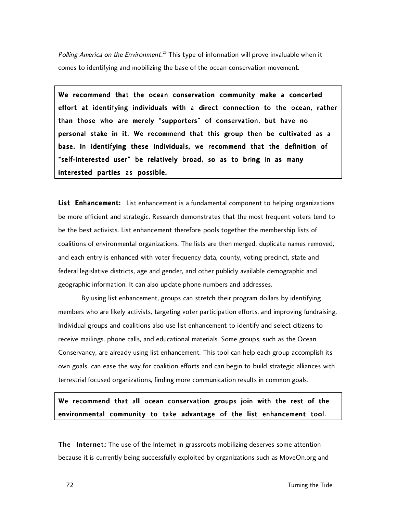*Polling America on the Environment.* $^{23}$  This type of information will prove invaluable when it comes to identifying and mobilizing the base of the ocean conservation movement.

We recommend that the ocean conservation community make a concerted effort at identifying individuals with a direct connection to the ocean, rather than those who are merely "supporters" of conservation, but have no personal stake in it. We recommend that this group then be cultivated as a base. In identifying these individuals, we recommend that the definition of "self-interested user" be relatively broad, so as to bring in as many interested parties as possible.

List Enhancement: List enhancement is a fundamental component to helping organizations be more efficient and strategic. Research demonstrates that the most frequent voters tend to be the best activists. List enhancement therefore pools together the membership lists of coalitions of environmental organizations. The lists are then merged, duplicate names removed, and each entry is enhanced with voter frequency data, county, voting precinct, state and federal legislative districts, age and gender, and other publicly available demographic and geographic information. It can also update phone numbers and addresses.

By using list enhancement, groups can stretch their program dollars by identifying members who are likely activists, targeting voter participation efforts, and improving fundraising. Individual groups and coalitions also use list enhancement to identify and select citizens to receive mailings, phone calls, and educational materials. Some groups, such as the Ocean Conservancy, are already using list enhancement. This tool can help each group accomplish its own goals, can ease the way for coalition efforts and can begin to build strategic alliances with terrestrial focused organizations, finding more communication results in common goals.

We recommend that all ocean conservation groups join with the rest of the environmental community to take advantage of the list enhancement tool.

The Internet: The use of the Internet in grassroots mobilizing deserves some attention because it is currently being successfully exploited by organizations such as MoveOn.org and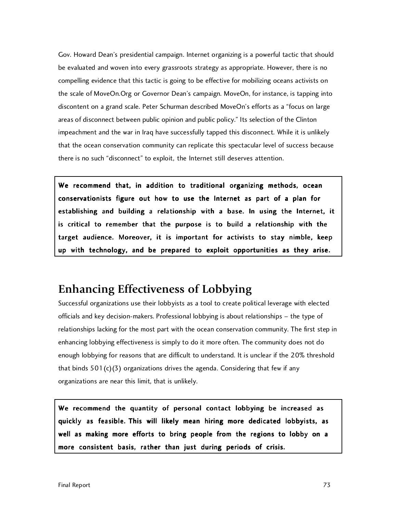Gov. Howard Dean's presidential campaign. Internet organizing is a powerful tactic that should be evaluated and woven into every grassroots strategy as appropriate. However, there is no compelling evidence that this tactic is going to be effective for mobilizing oceans activists on the scale of MoveOn.Org or Governor Dean's campaign. MoveOn, for instance, is tapping into discontent on a grand scale. Peter Schurman described MoveOn's efforts as a "focus on large areas of disconnect between public opinion and public policy." Its selection of the Clinton impeachment and the war in Iraq have successfully tapped this disconnect. While it is unlikely that the ocean conservation community can replicate this spectacular level of success because there is no such "disconnect" to exploit, the Internet still deserves attention.

We recommend that, in addition to traditional organizing methods, ocean conservationists figure out how to use the Internet as part of a plan for establishing and building a relationship with a base. In using the Internet, it is critical to remember that the purpose is to build a relationship with the target audience. Moreover, it is important for activists to stay nimble, keep up with technology, and be prepared to exploit opportunities as they arise.

# **Enhancing Effectiveness of Lobbying**

Successful organizations use their lobbyists as a tool to create political leverage with elected officials and key decision-makers. Professional lobbying is about relationships – the type of relationships lacking for the most part with the ocean conservation community. The first step in enhancing lobbying effectiveness is simply to do it more often. The community does not do enough lobbying for reasons that are difficult to understand. It is unclear if the 20% threshold that binds 501(c)(3) organizations drives the agenda. Considering that few if any organizations are near this limit, that is unlikely.

We recommend the quantity of personal contact lobbying be increased as quickly as feasible. This will likely mean hiring more dedicated lobbyists, as well as making more efforts to bring people from the regions to lobby on a more consistent basis, rather than just during periods of crisis.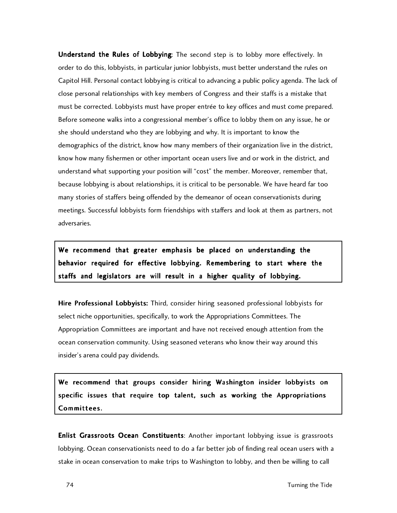Understand the Rules of Lobbying: The second step is to lobby more effectively. In order to do this, lobbyists, in particular junior lobbyists, must better understand the rules on Capitol Hill. Personal contact lobbying is critical to advancing a public policy agenda. The lack of close personal relationships with key members of Congress and their staffs is a mistake that must be corrected. Lobbyists must have proper entrée to key offices and must come prepared. Before someone walks into a congressional member's office to lobby them on any issue, he or she should understand who they are lobbying and why. It is important to know the demographics of the district, know how many members of their organization live in the district, know how many fishermen or other important ocean users live and or work in the district, and understand what supporting your position will "cost" the member. Moreover, remember that, because lobbying is about relationships, it is critical to be personable. We have heard far too many stories of staffers being offended by the demeanor of ocean conservationists during meetings. Successful lobbyists form friendships with staffers and look at them as partners, not adversaries.

We recommend that greater emphasis be placed on understanding the behavior required for effective lobbying. Remembering to start where the staffs and legislators are will result in a higher quality of lobbying.

Hire Professional Lobbyists: Third, consider hiring seasoned professional lobbyists for select niche opportunities, specifically, to work the Appropriations Committees. The Appropriation Committees are important and have not received enough attention from the ocean conservation community. Using seasoned veterans who know their way around this insider's arena could pay dividends.

We recommend that groups consider hiring Washington insider lobbyists on specific issues that require top talent, such as working the Appropriations Committees .

Enlist Grassroots Ocean Constituents: Another important lobbying issue is grassroots lobbying. Ocean conservationists need to do a far better job of finding real ocean users with a stake in ocean conservation to make trips to Washington to lobby, and then be willing to call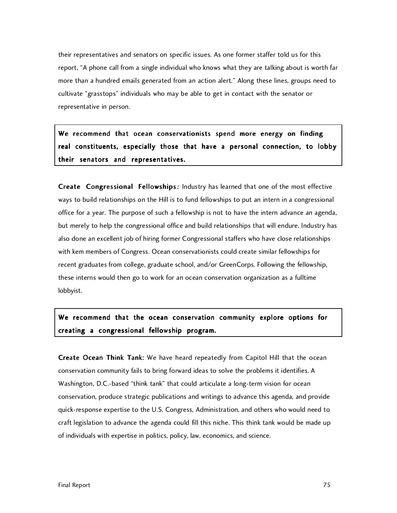their representatives and senators on specific issues. As one former staffer told us for this report, "A phone call from a single individual who knows what they are talking about is worth far more than a hundred emails generated from an action alert." Along these lines, groups need to cultivate "grasstops" individuals who may be able to get in contact with the senator or representative in person.

We recommend that ocean conservationists spend more energy on finding real constituents, especially those that have a personal connection, to lobby their senators and representatives.

Create Congressional Fellowships: Industry has learned that one of the most effective ways to build relationships on the Hill is to fund fellowships to put an intern in a congressional office for a year. The purpose of such a fellowship is not to have the intern advance an agenda, but merely to help the congressional office and build relationships that will endure. Industry has also done an excellent job of hiring former Congressional staffers who have close relationships with kem members of Congress. Ocean conservationists could create similar fellowships for recent graduates from college, graduate school, and/or GreenCorps. Following the fellowship, these interns would then go to work for an ocean conservation organization as a fulltime lobbyist.

### We recommend that the ocean conservation community explore options for creating a congressional fellowship program.

Create Ocean Think Tank: We have heard repeatedly from Capitol Hill that the ocean conservation community fails to bring forward ideas to solve the problems it identifies. A Washington, D.C.-based "think tank" that could articulate a long-term vision for ocean conservation, produce strategic publications and writings to advance this agenda, and provide quick-response expertise to the U.S. Congress, Administration, and others who would need to craft legislation to advance the agenda could fill this niche. This think tank would be made up of individuals with expertise in politics, policy, law, economics, and science.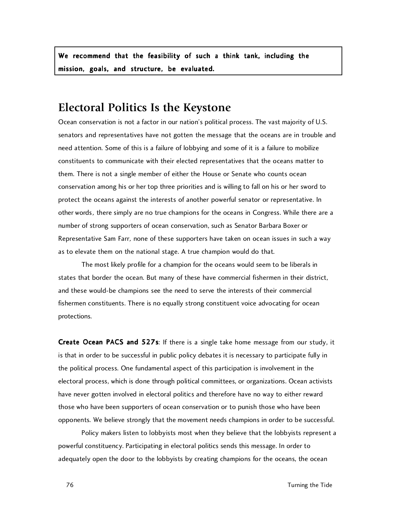We recommend that the feasibility of such a think tank, including the mission, goals, and structure, be evaluated.

### **Electoral Politics Is the Keystone**

Ocean conservation is not a factor in our nation's political process. The vast majority of U.S. senators and representatives have not gotten the message that the oceans are in trouble and need attention. Some of this is a failure of lobbying and some of it is a failure to mobilize constituents to communicate with their elected representatives that the oceans matter to them. There is not a single member of either the House or Senate who counts ocean conservation among his or her top three priorities and is willing to fall on his or her sword to protect the oceans against the interests of another powerful senator or representative. In other words, there simply are no true champions for the oceans in Congress. While there are a number of strong supporters of ocean conservation, such as Senator Barbara Boxer or Representative Sam Farr, none of these supporters have taken on ocean issues in such a way as to elevate them on the national stage. A true champion would do that.

The most likely profile for a champion for the oceans would seem to be liberals in states that border the ocean. But many of these have commercial fishermen in their district, and these would-be champions see the need to serve the interests of their commercial fishermen constituents. There is no equally strong constituent voice advocating for ocean protections.

Create Ocean PACS and 527s: If there is a single take home message from our study, it is that in order to be successful in public policy debates it is necessary to participate fully in the political process. One fundamental aspect of this participation is involvement in the electoral process, which is done through political committees, or organizations. Ocean activists have never gotten involved in electoral politics and therefore have no way to either reward those who have been supporters of ocean conservation or to punish those who have been opponents. We believe strongly that the movement needs champions in order to be successful.

Policy makers listen to lobbyists most when they believe that the lobbyists represent a powerful constituency. Participating in electoral politics sends this message. In order to adequately open the door to the lobbyists by creating champions for the oceans, the ocean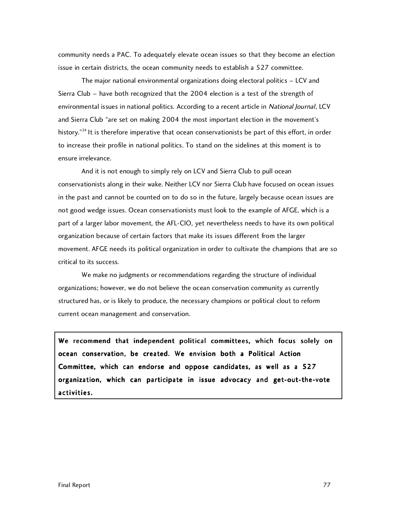community needs a PAC. To adequately elevate ocean issues so that they become an election issue in certain districts, the ocean community needs to establish a 527 committee.

The major national environmental organizations doing electoral politics – LCV and Sierra Club – have both recognized that the 2004 election is a test of the strength of environmental issues in national politics. According to a recent article in National Journal, LCV and Sierra Club "are set on making 2004 the most important election in the movement's history."<sup>24</sup> It is therefore imperative that ocean conservationists be part of this effort, in order to increase their profile in national politics. To stand on the sidelines at this moment is to ensure irrelevance.

And it is not enough to simply rely on LCV and Sierra Club to pull ocean conservationists along in their wake. Neither LCV nor Sierra Club have focused on ocean issues in the past and cannot be counted on to do so in the future, largely because ocean issues are not good wedge issues. Ocean conservationists must look to the example of AFGE, which is a part of a larger labor movement, the AFL-CIO, yet nevertheless needs to have its own political organization because of certain factors that make its issues different from the larger movement. AFGE needs its political organization in order to cultivate the champions that are so critical to its success.

We make no judgments or recommendations regarding the structure of individual organizations; however, we do not believe the ocean conservation community as currently structured has, or is likely to produce, the necessary champions or political clout to reform current ocean management and conservation.

We recommend that independent political committees, which focus solely on ocean conservation, be created. We envision both a Political Action Committee, which can endorse and oppose candidates, as well as a 527 organization, which can participate in issue advocacy and get-out-the-vote activities .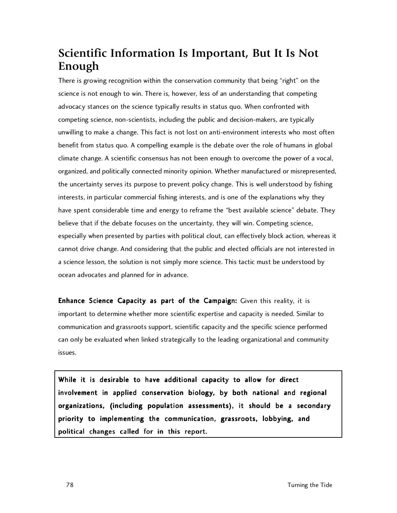# **Scientific Information Is Important, But It Is Not Enough**

There is growing recognition within the conservation community that being "right" on the science is not enough to win. There is, however, less of an understanding that competing advocacy stances on the science typically results in status quo. When confronted with competing science, non-scientists, including the public and decision-makers, are typically unwilling to make a change. This fact is not lost on anti-environment interests who most often benefit from status quo. A compelling example is the debate over the role of humans in global climate change. A scientific consensus has not been enough to overcome the power of a vocal, organized, and politically connected minority opinion. Whether manufactured or misrepresented, the uncertainty serves its purpose to prevent policy change. This is well understood by fishing interests, in particular commercial fishing interests, and is one of the explanations why they have spent considerable time and energy to reframe the "best available science" debate. They believe that if the debate focuses on the uncertainty, they will win. Competing science, especially when presented by parties with political clout, can effectively block action, whereas it cannot drive change. And considering that the public and elected officials are not interested in a science lesson, the solution is not simply more science. This tactic must be understood by ocean advocates and planned for in advance.

Enhance Science Capacity as part of the Campaign: Given this reality, it is important to determine whether more scientific expertise and capacity is needed. Similar to communication and grassroots support, scientific capacity and the specific science performed can only be evaluated when linked strategically to the leading organizational and community issues.

While it is desirable to have additional capacity to allow for direct involvement in applied conservation biology, by both national and regional organizations, (including population assessments), it should be a secondary priority to implementing the communication, grassroots, lobbying, and political changes called for in this report.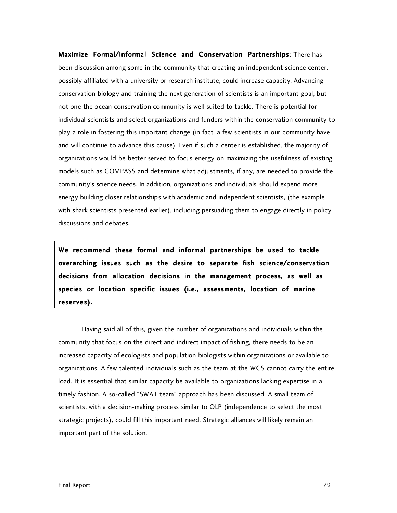Maximize Formal/Informal Science and Conservation Partnerships: There has been discussion among some in the community that creating an independent science center, possibly affiliated with a university or research institute, could increase capacity. Advancing conservation biology and training the next generation of scientists is an important goal, but not one the ocean conservation community is well suited to tackle. There is potential for individual scientists and select organizations and funders within the conservation community to play a role in fostering this important change (in fact, a few scientists in our community have and will continue to advance this cause). Even if such a center is established, the majority of organizations would be better served to focus energy on maximizing the usefulness of existing models such as COMPASS and determine what adjustments, if any, are needed to provide the community's science needs. In addition, organizations and individuals should expend more energy building closer relationships with academic and independent scientists, (the example with shark scientists presented earlier), including persuading them to engage directly in policy discussions and debates.

We recommend these formal and informal partnerships be used to tackle overarching issues such as the desire to separate fish science/conservation decisions from allocation decisions in the management process, as well as species or location specific issues (i.e., assessments, location of marine reserves).

Having said all of this, given the number of organizations and individuals within the community that focus on the direct and indirect impact of fishing, there needs to be an increased capacity of ecologists and population biologists within organizations or available to organizations. A few talented individuals such as the team at the WCS cannot carry the entire load. It is essential that similar capacity be available to organizations lacking expertise in a timely fashion. A so-called "SWAT team" approach has been discussed. A small team of scientists, with a decision-making process similar to OLP (independence to select the most strategic projects), could fill this important need. Strategic alliances will likely remain an important part of the solution.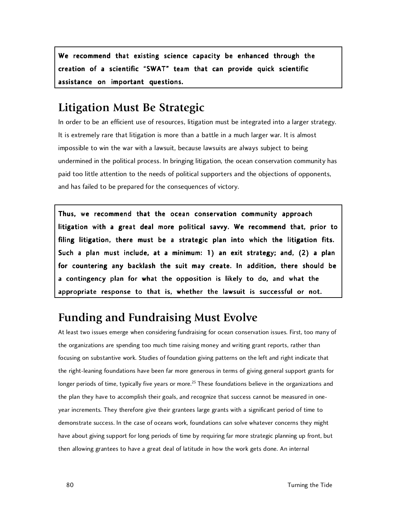We recommend that existing science capacity be enhanced through the creation of a scientific "SWAT" team that can provide quick scientific assistance on important questions.

### **Litigation Must Be Strategic**

In order to be an efficient use of resources, litigation must be integrated into a larger strategy. It is extremely rare that litigation is more than a battle in a much larger war. It is almost impossible to win the war with a lawsuit, because lawsuits are always subject to being undermined in the political process. In bringing litigation, the ocean conservation community has paid too little attention to the needs of political supporters and the objections of opponents, and has failed to be prepared for the consequences of victory.

Thus, we recommend that the ocean conservation community approach litigation with a great deal more political savvy. We recommend that, prior to filing litigation, there must be a strategic plan into which the litigation fits. Such a plan must include, at a minimum: 1) an exit strategy; and, (2) a plan for countering any backlash the suit may create. In addition, there should be a contingency plan for what the opposition is likely to do, and what the appropriate response to that is, whether the lawsuit is successful or not.

# **Funding and Fundraising Must Evolve**

At least two issues emerge when considering fundraising for ocean conservation issues. First, too many of the organizations are spending too much time raising money and writing grant reports, rather than focusing on substantive work. Studies of foundation giving patterns on the left and right indicate that the right-leaning foundations have been far more generous in terms of giving general support grants for longer periods of time, typically five years or more.<sup>25</sup> These foundations believe in the organizations and the plan they have to accomplish their goals, and recognize that success cannot be measured in oneyear increments. They therefore give their grantees large grants with a significant period of time to demonstrate success. In the case of oceans work, foundations can solve whatever concerns they might have about giving support for long periods of time by requiring far more strategic planning up front, but then allowing grantees to have a great deal of latitude in how the work gets done. An internal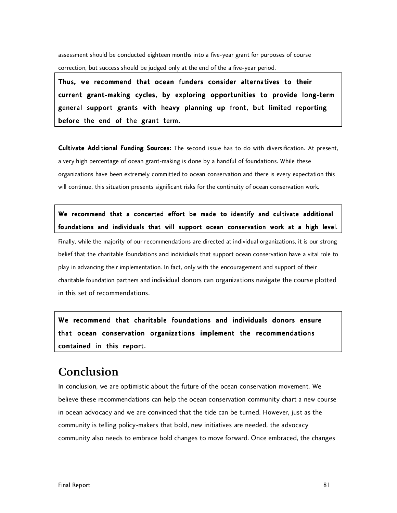assessment should be conducted eighteen months into a five-year grant for purposes of course correction, but success should be judged only at the end of the a five-year period.

Thus, we recommend that ocean funders consider alternatives to their current grant-making cycles, by exploring opportunities to provide long-term general support grants with heavy planning up front, but limited reporting before the end of the grant term.

Cultivate Additional Funding Sources: The second issue has to do with diversification. At present, a very high percentage of ocean grant-making is done by a handful of foundations. While these organizations have been extremely committed to ocean conservation and there is every expectation this will continue, this situation presents significant risks for the continuity of ocean conservation work.

We recommend that a concerted effort be made to identify and cultivate additional foundations and individuals that will support ocean conservation work at a high level.

Finally, while the majority of our recommendations are directed at individual organizations, it is our strong belief that the charitable foundations and individuals that support ocean conservation have a vital role to play in advancing their implementation. In fact, only with the encouragement and support of their charitable foundation partners and individual donors can organizations navigate the course plotted in this set of recommendations.

We recommend that charitable foundations and individuals donors ensure that ocean conservation organizations implement the recommendations contained in this report.

### **Conclusion**

In conclusion, we are optimistic about the future of the ocean conservation movement. We believe these recommendations can help the ocean conservation community chart a new course in ocean advocacy and we are convinced that the tide can be turned. However, just as the community is telling policy-makers that bold, new initiatives are needed, the advocacy community also needs to embrace bold changes to move forward. Once embraced, the changes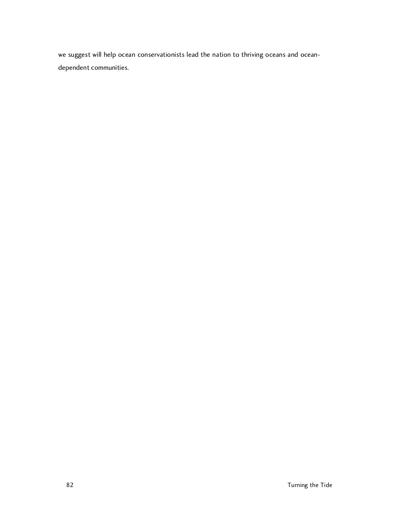we suggest will help ocean conservationists lead the nation to thriving oceans and oceandependent communities.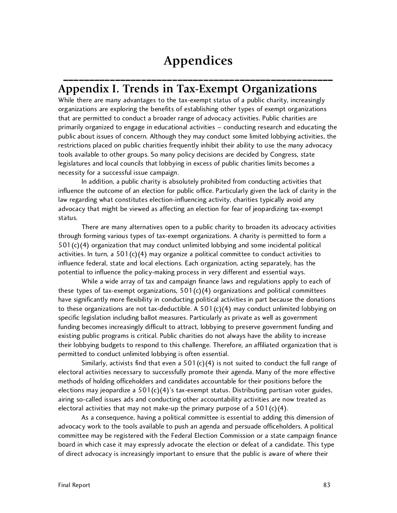# **Appendices**

\_\_\_\_\_\_\_\_\_\_\_\_\_\_\_\_\_\_\_\_\_\_\_\_\_\_\_\_\_\_\_\_\_\_\_\_\_\_\_\_\_\_\_\_\_\_\_\_\_\_\_\_

### **Appendix I. Trends in Tax-Exempt Organizations**

While there are many advantages to the tax-exempt status of a public charity, increasingly organizations are exploring the benefits of establishing other types of exempt organizations that are permitted to conduct a broader range of advocacy activities. Public charities are primarily organized to engage in educational activities – conducting research and educating the public about issues of concern. Although they may conduct some limited lobbying activities, the restrictions placed on public charities frequently inhibit their ability to use the many advocacy tools available to other groups. So many policy decisions are decided by Congress, state legislatures and local councils that lobbying in excess of public charities limits becomes a necessity for a successful issue campaign.

In addition, a public charity is absolutely prohibited from conducting activities that influence the outcome of an election for public office. Particularly given the lack of clarity in the law regarding what constitutes election-influencing activity, charities typically avoid any advocacy that might be viewed as affecting an election for fear of jeopardizing tax-exempt status.

There are many alternatives open to a public charity to broaden its advocacy activities through forming various types of tax-exempt organizations. A charity is permitted to form a  $501(c)(4)$  organization that may conduct unlimited lobbying and some incidental political activities. In turn, a  $501(c)(4)$  may organize a political committee to conduct activities to influence federal, state and local elections. Each organization, acting separately, has the potential to influence the policy-making process in very different and essential ways.

While a wide array of tax and campaign finance laws and regulations apply to each of these types of tax-exempt organizations,  $501(c)(4)$  organizations and political committees have significantly more flexibility in conducting political activities in part because the donations to these organizations are not tax-deductible. A  $501(c)(4)$  may conduct unlimited lobbying on specific legislation including ballot measures. Particularly as private as well as government funding becomes increasingly difficult to attract, lobbying to preserve government funding and existing public programs is critical. Public charities do not always have the ability to increase their lobbying budgets to respond to this challenge. Therefore, an affiliated organization that is permitted to conduct unlimited lobbying is often essential.

Similarly, activists find that even a  $501(c)(4)$  is not suited to conduct the full range of electoral activities necessary to successfully promote their agenda. Many of the more effective methods of holding officeholders and candidates accountable for their positions before the elections may jeopardize a  $501(c)(4)'$ s tax-exempt status. Distributing partisan voter guides, airing so-called issues ads and conducting other accountability activities are now treated as electoral activities that may not make-up the primary purpose of a  $501(c)(4)$ .

As a consequence, having a political committee is essential to adding this dimension of advocacy work to the tools available to push an agenda and persuade officeholders. A political committee may be registered with the Federal Election Commission or a state campaign finance board in which case it may expressly advocate the election or defeat of a candidate. This type of direct advocacy is increasingly important to ensure that the public is aware of where their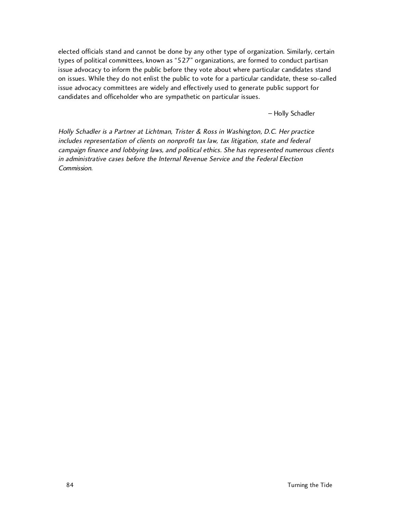elected officials stand and cannot be done by any other type of organization. Similarly, certain types of political committees, known as "527" organizations, are formed to conduct partisan issue advocacy to inform the public before they vote about where particular candidates stand on issues. While they do not enlist the public to vote for a particular candidate, these so-called issue advocacy committees are widely and effectively used to generate public support for candidates and officeholder who are sympathetic on particular issues.

– Holly Schadler

Holly Schadler is a Partner at Lichtman, Trister & Ross in Washington, D.C. Her practice includes representation of clients on nonprofit tax law, tax litigation, state and federal campaign finance and lobbying laws, and political ethics. She has represented numerous clients in administrative cases before the Internal Revenue Service and the Federal Election Commission.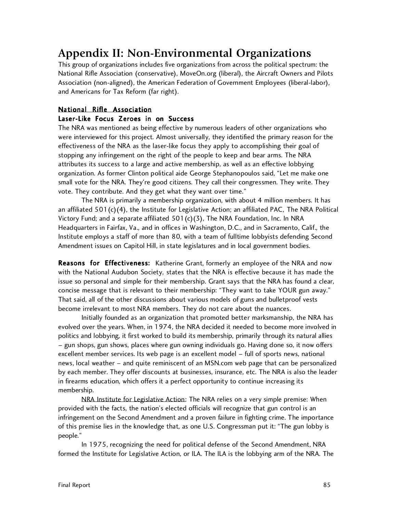## **Appendix II: Non-Environmental Organizations**

This group of organizations includes five organizations from across the political spectrum: the National Rifle Association (conservative), MoveOn.org (liberal), the Aircraft Owners and Pilots Association (non-aligned), the American Federation of Government Employees (liberal-labor), and Americans for Tax Reform (far right).

### National Rifle Association

### Laser-Like Focus Zeroes in on Success

The NRA was mentioned as being effective by numerous leaders of other organizations who were interviewed for this project. Almost universally, they identified the primary reason for the effectiveness of the NRA as the laser-like focus they apply to accomplishing their goal of stopping any infringement on the right of the people to keep and bear arms. The NRA attributes its success to a large and active membership, as well as an effective lobbying organization. As former Clinton political aide George Stephanopoulos said, "Let me make one small vote for the NRA. They're good citizens. They call their congressmen. They write. They vote. They contribute. And they get what they want over time."

The NRA is primarily a membership organization, with about 4 million members. It has an affiliated  $501(c)(4)$ , the Institute for Legislative Action; an affiliated PAC, The NRA Political Victory Fund; and a separate affiliated  $501(c)(3)$ , The NRA Foundation, Inc. In NRA Headquarters in Fairfax, Va., and in offices in Washington, D.C., and in Sacramento, Calif., the Institute employs a staff of more than 80, with a team of fulltime lobbyists defending Second Amendment issues on Capitol Hill, in state legislatures and in local government bodies.

Reasons for Effectiveness: Katherine Grant, formerly an employee of the NRA and now with the National Audubon Society, states that the NRA is effective because it has made the issue so personal and simple for their membership. Grant says that the NRA has found a clear, concise message that is relevant to their membership: "They want to take YOUR gun away." That said, all of the other discussions about various models of guns and bulletproof vests become irrelevant to most NRA members. They do not care about the nuances.

Initially founded as an organization that promoted better marksmanship, the NRA has evolved over the years. When, in 1974, the NRA decided it needed to become more involved in politics and lobbying, it first worked to build its membership, primarily through its natural allies – gun shops, gun shows, places where gun owning individuals go. Having done so, it now offers excellent member services. Its web page is an excellent model – full of sports news, national news, local weather – and quite reminiscent of an MSN.com web page that can be personalized by each member. They offer discounts at businesses, insurance, etc. The NRA is also the leader in firearms education, which offers it a perfect opportunity to continue increasing its membership.

NRA Institute for Legislative Action: The NRA relies on a very simple premise: When provided with the facts, the nation's elected officials will recognize that gun control is an infringement on the Second Amendment and a proven failure in fighting crime. The importance of this premise lies in the knowledge that, as one U.S. Congressman put it: "The gun lobby is people."

In 1975, recognizing the need for political defense of the Second Amendment, NRA formed the Institute for Legislative Action, or ILA. The ILA is the lobbying arm of the NRA. The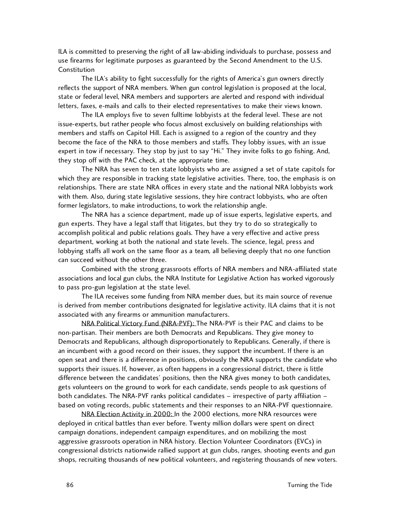ILA is committed to preserving the right of all law-abiding individuals to purchase, possess and use firearms for legitimate purposes as guaranteed by the Second Amendment to the U.S. Constitution

The ILA's ability to fight successfully for the rights of America's gun owners directly reflects the support of NRA members. When gun control legislation is proposed at the local, state or federal level, NRA members and supporters are alerted and respond with individual letters, faxes, e-mails and calls to their elected representatives to make their views known.

The ILA employs five to seven fulltime lobbyists at the federal level. These are not issue-experts, but rather people who focus almost exclusively on building relationships with members and staffs on Capitol Hill. Each is assigned to a region of the country and they become the face of the NRA to those members and staffs. They lobby issues, with an issue expert in tow if necessary. They stop by just to say "Hi." They invite folks to go fishing. And, they stop off with the PAC check, at the appropriate time.

The NRA has seven to ten state lobbyists who are assigned a set of state capitols for which they are responsible in tracking state legislative activities. There, too, the emphasis is on relationships. There are state NRA offices in every state and the national NRA lobbyists work with them. Also, during state legislative sessions, they hire contract lobbyists, who are often former legislators, to make introductions, to work the relationship angle.

The NRA has a science department, made up of issue experts, legislative experts, and gun experts. They have a legal staff that litigates, but they try to do so strategically to accomplish political and public relations goals. They have a very effective and active press department, working at both the national and state levels. The science, legal, press and lobbying staffs all work on the same floor as a team, all believing deeply that no one function can succeed without the other three.

Combined with the strong grassroots efforts of NRA members and NRA-affiliated state associations and local gun clubs, the NRA Institute for Legislative Action has worked vigorously to pass pro-gun legislation at the state level.

The ILA receives some funding from NRA member dues, but its main source of revenue is derived from member contributions designated for legislative activity. ILA claims that it is not associated with any firearms or ammunition manufacturers.

NRA Political Victory Fund (NRA-PVF): The NRA-PVF is their PAC and claims to be non-partisan. Their members are both Democrats and Republicans. They give money to Democrats and Republicans, although disproportionately to Republicans. Generally, if there is an incumbent with a good record on their issues, they support the incumbent. If there is an open seat and there is a difference in positions, obviously the NRA supports the candidate who supports their issues. If, however, as often happens in a congressional district, there is little difference between the candidates' positions, then the NRA gives money to both candidates, gets volunteers on the ground to work for each candidate, sends people to ask questions of both candidates. The NRA-PVF ranks political candidates – irrespective of party affiliation – based on voting records, public statements and their responses to an NRA-PVF questionnaire.

NRA Election Activity in 2000: In the 2000 elections, more NRA resources were deployed in critical battles than ever before. Twenty million dollars were spent on direct campaign donations, independent campaign expenditures, and on mobilizing the most aggressive grassroots operation in NRA history. Election Volunteer Coordinators (EVCs) in congressional districts nationwide rallied support at gun clubs, ranges, shooting events and gun shops, recruiting thousands of new political volunteers, and registering thousands of new voters.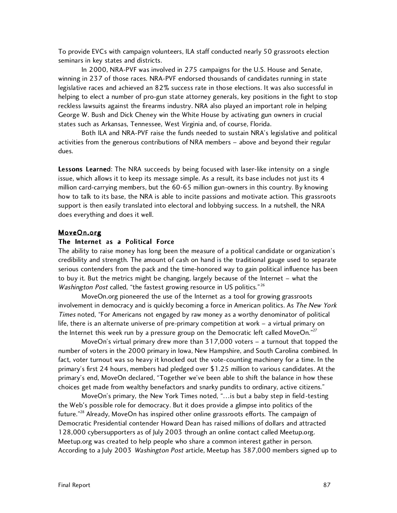To provide EVCs with campaign volunteers, ILA staff conducted nearly 50 grassroots election seminars in key states and districts.

In 2000, NRA-PVF was involved in 275 campaigns for the U.S. House and Senate, winning in 237 of those races. NRA-PVF endorsed thousands of candidates running in state legislative races and achieved an 82% success rate in those elections. It was also successful in helping to elect a number of pro-gun state attorney generals, key positions in the fight to stop reckless lawsuits against the firearms industry. NRA also played an important role in helping George W. Bush and Dick Cheney win the White House by activating gun owners in crucial states such as Arkansas, Tennessee, West Virginia and, of course, Florida.

Both ILA and NRA-PVF raise the funds needed to sustain NRA's legislative and political activities from the generous contributions of NRA members – above and beyond their regular dues.

Lessons Learned: The NRA succeeds by being focused with laser-like intensity on a single issue, which allows it to keep its message simple. As a result, its base includes not just its 4 million card-carrying members, but the 60-65 million gun-owners in this country. By knowing how to talk to its base, the NRA is able to incite passions and motivate action. This grassroots support is then easily translated into electoral and lobbying success. In a nutshell, the NRA does everything and does it well.

#### MoveOn.org

#### The Internet as a Political Force

The ability to raise money has long been the measure of a political candidate or organization's credibility and strength. The amount of cash on hand is the traditional gauge used to separate serious contenders from the pack and the time-honored way to gain political influence has been to buy it. But the metrics might be changing, largely because of the Internet – what the Washington Post called, "the fastest growing resource in US politics."<sup>26</sup>

MoveOn.org pioneered the use of the Internet as a tool for growing grassroots involvement in democracy and is quickly becoming a force in American politics. As The New York Times noted, "For Americans not engaged by raw money as a worthy denominator of political life, there is an alternate universe of pre-primary competition at work – a virtual primary on the Internet this week run by a pressure group on the Democratic left called MoveOn."<sup>27</sup>

MoveOn's virtual primary drew more than 317,000 voters – a turnout that topped the number of voters in the 2000 primary in Iowa, New Hampshire, and South Carolina combined. In fact, voter turnout was so heavy it knocked out the vote-counting machinery for a time. In the primary's first 24 hours, members had pledged over \$1.25 million to various candidates. At the primary's end, MoveOn declared, "Together we've been able to shift the balance in how these choices get made from wealthy benefactors and snarky pundits to ordinary, active citizens."

MoveOn's primary, the New York Times noted, "…is but a baby step in field-testing the Web's possible role for democracy. But it does provide a glimpse into politics of the future."<sup>28</sup> Already, MoveOn has inspired other online grassroots efforts. The campaign of Democratic Presidential contender Howard Dean has raised millions of dollars and attracted 128,000 cybersupporters as of July 2003 through an online contact called Meetup.org. Meetup.org was created to help people who share a common interest gather in person. According to a July 2003 Washington Post article, Meetup has 387,000 members signed up to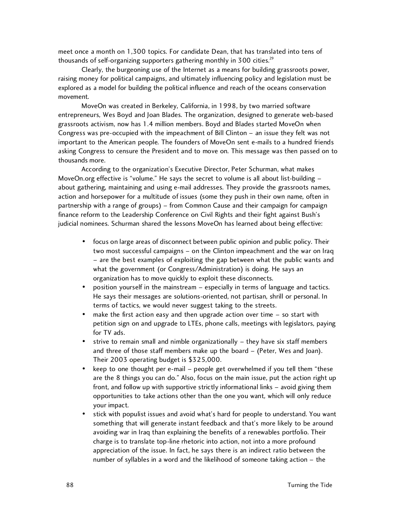meet once a month on 1,300 topics. For candidate Dean, that has translated into tens of thousands of self-organizing supporters gathering monthly in 300 cities. $^{29}$ 

Clearly, the burgeoning use of the Internet as a means for building grassroots power, raising money for political campaigns, and ultimately influencing policy and legislation must be explored as a model for building the political influence and reach of the oceans conservation movement.

MoveOn was created in Berkeley, California, in 1998, by two married software entrepreneurs, Wes Boyd and Joan Blades. The organization, designed to generate web-based grassroots activism, now has 1.4 million members. Boyd and Blades started MoveOn when Congress was pre-occupied with the impeachment of Bill Clinton – an issue they felt was not important to the American people. The founders of MoveOn sent e-mails to a hundred friends asking Congress to censure the President and to move on. This message was then passed on to thousands more.

According to the organization's Executive Director, Peter Schurman, what makes MoveOn.org effective is "volume." He says the secret to volume is all about list-building about gathering, maintaining and using e-mail addresses. They provide the grassroots names, action and horsepower for a multitude of issues (some they push in their own name, often in partnership with a range of groups) – from Common Cause and their campaign for campaign finance reform to the Leadership Conference on Civil Rights and their fight against Bush's judicial nominees. Schurman shared the lessons MoveOn has learned about being effective:

- focus on large areas of disconnect between public opinion and public policy. Their two most successful campaigns – on the Clinton impeachment and the war on Iraq – are the best examples of exploiting the gap between what the public wants and what the government (or Congress/Administration) is doing. He says an organization has to move quickly to exploit these disconnects.
- position yourself in the mainstream especially in terms of language and tactics. He says their messages are solutions-oriented, not partisan, shrill or personal. In terms of tactics, we would never suggest taking to the streets.
- make the first action easy and then upgrade action over time  $-$  so start with petition sign on and upgrade to LTEs, phone calls, meetings with legislators, paying for TV ads.
- strive to remain small and nimble organizationally they have six staff members and three of those staff members make up the board – (Peter, Wes and Joan). Their 2003 operating budget is \$325,000.
- keep to one thought per e-mail people get overwhelmed if you tell them "these are the 8 things you can do." Also, focus on the main issue, put the action right up front, and follow up with supportive strictly informational links – avoid giving them opportunities to take actions other than the one you want, which will only reduce your impact.
- stick with populist issues and avoid what's hard for people to understand. You want something that will generate instant feedback and that's more likely to be around avoiding war in Iraq than explaining the benefits of a renewables portfolio. Their charge is to translate top-line rhetoric into action, not into a more profound appreciation of the issue. In fact, he says there is an indirect ratio between the number of syllables in a word and the likelihood of someone taking action – the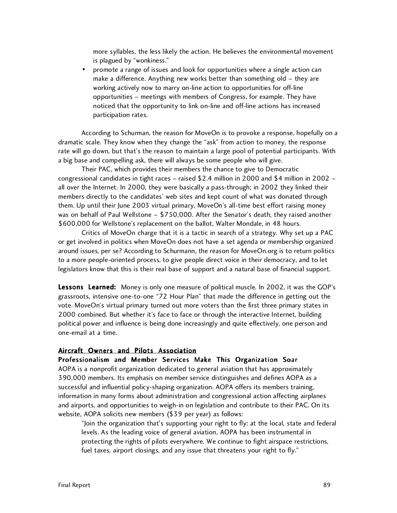more syllables, the less likely the action. He believes the environmental movement is plagued by "wonkiness."

• promote a range of issues and look for opportunities where a single action can make a difference. Anything new works better than something old – they are working actively now to marry on-line action to opportunities for off-line opportunities – meetings with members of Congress, for example. They have noticed that the opportunity to link on-line and off-line actions has increased participation rates.

According to Schurman, the reason for MoveOn is to provoke a response, hopefully on a dramatic scale. They know when they change the "ask" from action to money, the response rate will go down, but that's the reason to maintain a large pool of potential participants. With a big base and compelling ask, there will always be some people who will give.

Their PAC, which provides their members the chance to give to Democratic congressional candidates in tight races – raised \$2.4 million in 2000 and \$4 million in 2002 – all over the Internet. In 2000, they were basically a pass-through; in 2002 they linked their members directly to the candidates' web sites and kept count of what was donated through them. Up until their June 2003 virtual primary, MoveOn's all-time best effort raising money was on behalf of Paul Wellstone – \$750,000. After the Senator's death, they raised another \$600,000 for Wellstone's replacement on the ballot, Walter Mondale, in 48 hours.

Critics of MoveOn charge that it is a tactic in search of a strategy. Why set up a PAC or get involved in politics when MoveOn does not have a set agenda or membership organized around issues, per se? According to Schurmann, the reason for MoveOn.org is to return politics to a more people-oriented process, to give people direct voice in their democracy, and to let legislators know that this is their real base of support and a natural base of financial support.

Lessons Learned: Money is only one measure of political muscle. In 2002, it was the GOP's grassroots, intensive one-to-one "72 Hour Plan" that made the difference in getting out the vote. MoveOn's virtual primary turned out more voters than the first three primary states in 2000 combined. But whether it's face to face or through the interactive Internet, building political power and influence is being done increasingly and quite effectively, one person and one-email at a time.

#### Aircraft Owners and Pilots Association

#### Professionalism and Member Services Make This Organization Soar

AOPA is a nonprofit organization dedicated to general aviation that has approximately 390,000 members. Its emphasis on member service distinguishes and defines AOPA as a successful and influential policy-shaping organization. AOPA offers its members training, information in many forms about administration and congressional action affecting airplanes and airports, and opportunities to weigh-in on legislation and contribute to their PAC. On its website, AOPA solicits new members (\$39 per year) as follows:

"Join the organization that's supporting your right to fly: at the local, state and federal levels. As the leading voice of general aviation, AOPA has been instrumental in protecting the rights of pilots everywhere. We continue to fight airspace restrictions, fuel taxes, airport closings, and any issue that threatens your right to fly."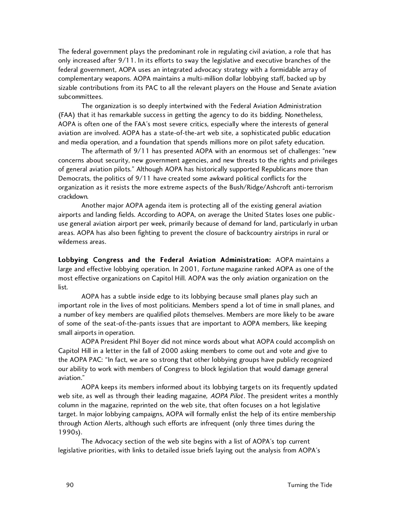The federal government plays the predominant role in regulating civil aviation, a role that has only increased after 9/11. In its efforts to sway the legislative and executive branches of the federal government, AOPA uses an integrated advocacy strategy with a formidable array of complementary weapons. AOPA maintains a multi-million dollar lobbying staff, backed up by sizable contributions from its PAC to all the relevant players on the House and Senate aviation subcommittees.

The organization is so deeply intertwined with the Federal Aviation Administration (FAA) that it has remarkable success in getting the agency to do its bidding. Nonetheless, AOPA is often one of the FAA's most severe critics, especially where the interests of general aviation are involved. AOPA has a state-of-the-art web site, a sophisticated public education and media operation, and a foundation that spends millions more on pilot safety education.

The aftermath of 9/11 has presented AOPA with an enormous set of challenges: "new concerns about security, new government agencies, and new threats to the rights and privileges of general aviation pilots." Although AOPA has historically supported Republicans more than Democrats, the politics of 9/11 have created some awkward political conflicts for the organization as it resists the more extreme aspects of the Bush/Ridge/Ashcroft anti-terrorism crackdown.

Another major AOPA agenda item is protecting all of the existing general aviation airports and landing fields. According to AOPA, on average the United States loses one publicuse general aviation airport per week, primarily because of demand for land, particularly in urban areas. AOPA has also been fighting to prevent the closure of backcountry airstrips in rural or wilderness areas.

Lobbying Congress and the Federal Aviation Administration: AOPA maintains a large and effective lobbying operation. In 2001, Fortune magazine ranked AOPA as one of the most effective organizations on Capitol Hill. AOPA was the only aviation organization on the list.

AOPA has a subtle inside edge to its lobbying because small planes play such an important role in the lives of most politicians. Members spend a lot of time in small planes, and a number of key members are qualified pilots themselves. Members are more likely to be aware of some of the seat-of-the-pants issues that are important to AOPA members, like keeping small airports in operation.

AOPA President Phil Boyer did not mince words about what AOPA could accomplish on Capitol Hill in a letter in the fall of 2000 asking members to come out and vote and give to the AOPA PAC: "In fact, we are so strong that other lobbying groups have publicly recognized our ability to work with members of Congress to block legislation that would damage general aviation."

AOPA keeps its members informed about its lobbying targets on its frequently updated web site, as well as through their leading magazine, *AOPA Pilot*. The president writes a monthly column in the magazine, reprinted on the web site, that often focuses on a hot legislative target. In major lobbying campaigns, AOPA will formally enlist the help of its entire membership through Action Alerts, although such efforts are infrequent (only three times during the 1990s).

The Advocacy section of the web site begins with a list of AOPA's top current legislative priorities, with links to detailed issue briefs laying out the analysis from AOPA's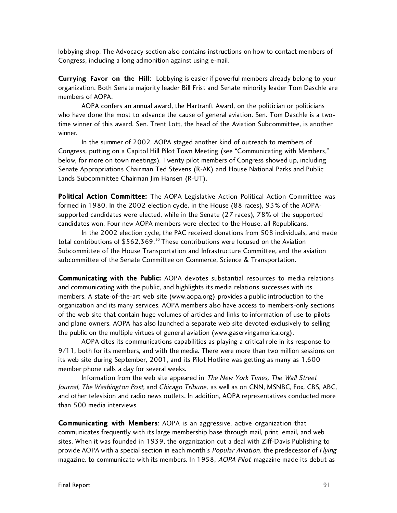lobbying shop. The Advocacy section also contains instructions on how to contact members of Congress, including a long admonition against using e-mail.

Currying Favor on the Hill: Lobbying is easier if powerful members already belong to your organization. Both Senate majority leader Bill Frist and Senate minority leader Tom Daschle are members of AOPA.

AOPA confers an annual award, the Hartranft Award, on the politician or politicians who have done the most to advance the cause of general aviation. Sen. Tom Daschle is a twotime winner of this award. Sen. Trent Lott, the head of the Aviation Subcommittee, is another winner.

In the summer of 2002, AOPA staged another kind of outreach to members of Congress, putting on a Capitol Hill Pilot Town Meeting (see "Communicating with Members," below, for more on town meetings). Twenty pilot members of Congress showed up, including Senate Appropriations Chairman Ted Stevens (R-AK) and House National Parks and Public Lands Subcommittee Chairman Jim Hansen (R-UT).

Political Action Committee: The AOPA Legislative Action Political Action Committee was formed in 1980. In the 2002 election cycle, in the House (88 races), 93% of the AOPAsupported candidates were elected, while in the Senate (27 races), 78% of the supported candidates won. Four new AOPA members were elected to the House, all Republicans.

In the 2002 election cycle, the PAC received donations from 508 individuals, and made total contributions of  $$562,369.^{30}$  These contributions were focused on the Aviation Subcommittee of the House Transportation and Infrastructure Committee, and the aviation subcommittee of the Senate Committee on Commerce, Science & Transportation.

Communicating with the Public: AOPA devotes substantial resources to media relations and communicating with the public, and highlights its media relations successes with its members. A state-of-the-art web site (www.aopa.org) provides a public introduction to the organization and its many services. AOPA members also have access to members-only sections of the web site that contain huge volumes of articles and links to information of use to pilots and plane owners. AOPA has also launched a separate web site devoted exclusively to selling the public on the multiple virtues of general aviation (www.gaservingamerica.org).

AOPA cites its communications capabilities as playing a critical role in its response to 9/11, both for its members, and with the media. There were more than two million sessions on its web site during September, 2001, and its Pilot Hotline was getting as many as 1,600 member phone calls a day for several weeks.

Information from the web site appeared in The New York Times, The Wall Street Journal, The Washington Post, and Chicago Tribune, as well as on CNN, MSNBC, Fox, CBS, ABC, and other television and radio news outlets. In addition, AOPA representatives conducted more than 500 media interviews.

Communicating with Members: AOPA is an aggressive, active organization that communicates frequently with its large membership base through mail, print, email, and web sites. When it was founded in 1939, the organization cut a deal with Ziff-Davis Publishing to provide AOPA with a special section in each month's *Popular Aviation*, the predecessor of *Flying* magazine, to communicate with its members. In 1958, AOPA Pilot magazine made its debut as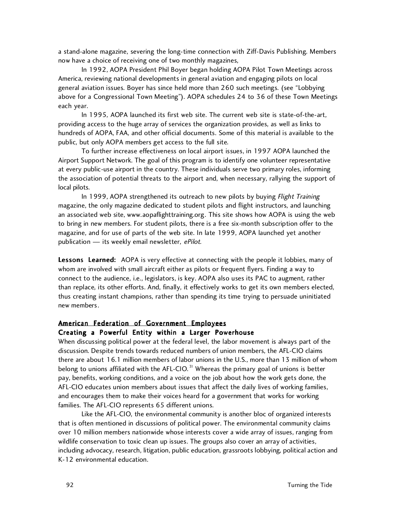a stand-alone magazine, severing the long-time connection with Ziff-Davis Publishing. Members now have a choice of receiving one of two monthly magazines,

In 1992, AOPA President Phil Boyer began holding AOPA Pilot Town Meetings across America, reviewing national developments in general aviation and engaging pilots on local general aviation issues. Boyer has since held more than 260 such meetings. (see "Lobbying above for a Congressional Town Meeting"). AOPA schedules 24 to 36 of these Town Meetings each year.

In 1995, AOPA launched its first web site. The current web site is state-of-the-art, providing access to the huge array of services the organization provides, as well as links to hundreds of AOPA, FAA, and other official documents. Some of this material is available to the public, but only AOPA members get access to the full site.

To further increase effectiveness on local airport issues, in 1997 AOPA launched the Airport Support Network. The goal of this program is to identify one volunteer representative at every public-use airport in the country. These individuals serve two primary roles, informing the association of potential threats to the airport and, when necessary, rallying the support of local pilots.

In 1999, AOPA strengthened its outreach to new pilots by buying *Flight Training* magazine, the only magazine dedicated to student pilots and flight instructors, and launching an associated web site, www.aopaflighttraining.org. This site shows how AOPA is using the web to bring in new members. For student pilots, there is a free six-month subscription offer to the magazine, and for use of parts of the web site. In late 1999, AOPA launched yet another publication - its weekly email newsletter, ePilot.

Lessons Learned: AOPA is very effective at connecting with the people it lobbies, many of whom are involved with small aircraft either as pilots or frequent flyers. Finding a way to connect to the audience, i.e., legislators, is key. AOPA also uses its PAC to augment, rather than replace, its other efforts. And, finally, it effectively works to get its own members elected, thus creating instant champions, rather than spending its time trying to persuade uninitiated new members.

#### American Federation of Government Employees

#### Creating a Powerful Entity within a Larger Powerhouse

When discussing political power at the federal level, the labor movement is always part of the discussion. Despite trends towards reduced numbers of union members, the AFL-CIO claims there are about 16.1 million members of labor unions in the U.S., more than 13 million of whom belong to unions affiliated with the AFL-CIO.<sup>31</sup> Whereas the primary goal of unions is better pay, benefits, working conditions, and a voice on the job about how the work gets done, the AFL-CIO educates union members about issues that affect the daily lives of working families, and encourages them to make their voices heard for a government that works for working families. The AFL-CIO represents 65 different unions.

Like the AFL-CIO, the environmental community is another bloc of organized interests that is often mentioned in discussions of political power. The environmental community claims over 10 million members nationwide whose interests cover a wide array of issues, ranging from wildlife conservation to toxic clean up issues. The groups also cover an array of activities, including advocacy, research, litigation, public education, grassroots lobbying, political action and K-12 environmental education.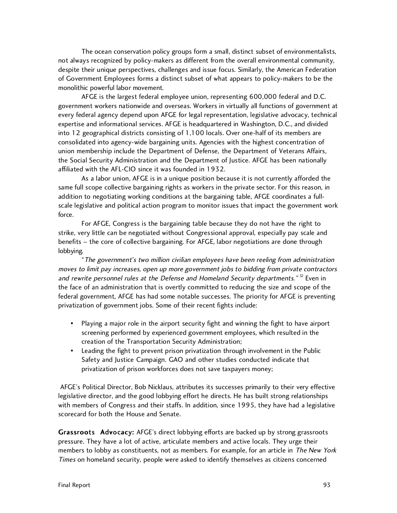The ocean conservation policy groups form a small, distinct subset of environmentalists, not always recognized by policy-makers as different from the overall environmental community, despite their unique perspectives, challenges and issue focus. Similarly, the American Federation of Government Employees forms a distinct subset of what appears to policy-makers to be the monolithic powerful labor movement.

AFGE is the largest federal employee union, representing 600,000 federal and D.C. government workers nationwide and overseas. Workers in virtually all functions of government at every federal agency depend upon AFGE for legal representation, legislative advocacy, technical expertise and informational services. AFGE is headquartered in Washington, D.C., and divided into 12 geographical districts consisting of 1,100 locals. Over one-half of its members are consolidated into agency-wide bargaining units. Agencies with the highest concentration of union membership include the Department of Defense, the Department of Veterans Affairs, the Social Security Administration and the Department of Justice. AFGE has been nationally affiliated with the AFL-CIO since it was founded in 1932.

As a labor union, AFGE is in a unique position because it is not currently afforded the same full scope collective bargaining rights as workers in the private sector. For this reason, in addition to negotiating working conditions at the bargaining table, AFGE coordinates a fullscale legislative and political action program to monitor issues that impact the government work force.

For AFGE, Congress is the bargaining table because they do not have the right to strike, very little can be negotiated without Congressional approval, especially pay scale and benefits – the core of collective bargaining. For AFGE, labor negotiations are done through lobbying.

"The government's two million civilian employees have been reeling from administration moves to limit pay increases, open up more government jobs to bidding from private contractors and rewrite personnel rules at the Defense and Homeland Security departments."  $32$  Even in the face of an administration that is overtly committed to reducing the size and scope of the federal government, AFGE has had some notable successes. The priority for AFGE is preventing privatization of government jobs. Some of their recent fights include:

- Playing a major role in the airport security fight and winning the fight to have airport screening performed by experienced government employees, which resulted in the creation of the Transportation Security Administration;
- Leading the fight to prevent prison privatization through involvement in the Public Safety and Justice Campaign. GAO and other studies conducted indicate that privatization of prison workforces does not save taxpayers money;

 AFGE's Political Director, Bob Nicklaus, attributes its successes primarily to their very effective legislative director, and the good lobbying effort he directs. He has built strong relationships with members of Congress and their staffs. In addition, since 1995, they have had a legislative scorecard for both the House and Senate.

Grassroots Advocacy: AFGE's direct lobbying efforts are backed up by strong grassroots pressure. They have a lot of active, articulate members and active locals. They urge their members to lobby as constituents, not as members. For example, for an article in The New York Times on homeland security, people were asked to identify themselves as citizens concerned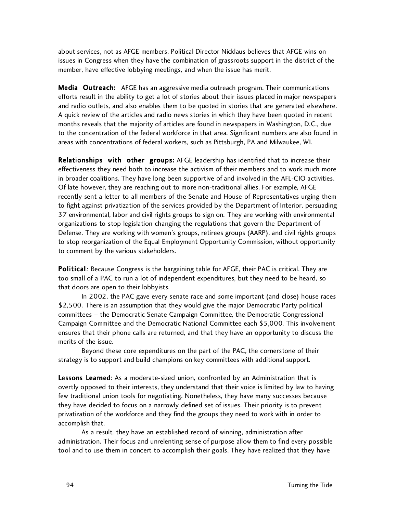about services, not as AFGE members. Political Director Nicklaus believes that AFGE wins on issues in Congress when they have the combination of grassroots support in the district of the member, have effective lobbying meetings, and when the issue has merit.

Media Outreach: AFGE has an aggressive media outreach program. Their communications efforts result in the ability to get a lot of stories about their issues placed in major newspapers and radio outlets, and also enables them to be quoted in stories that are generated elsewhere. A quick review of the articles and radio news stories in which they have been quoted in recent months reveals that the majority of articles are found in newspapers in Washington, D.C., due to the concentration of the federal workforce in that area. Significant numbers are also found in areas with concentrations of federal workers, such as Pittsburgh, PA and Milwaukee, WI.

Relationships with other groups: AFGE leadership has identified that to increase their effectiveness they need both to increase the activism of their members and to work much more in broader coalitions. They have long been supportive of and involved in the AFL-CIO activities. Of late however, they are reaching out to more non-traditional allies. For example, AFGE recently sent a letter to all members of the Senate and House of Representatives urging them to fight against privatization of the services provided by the Department of Interior, persuading 37 environmental, labor and civil rights groups to sign on. They are working with environmental organizations to stop legislation changing the regulations that govern the Department of Defense. They are working with women's groups, retirees groups (AARP), and civil rights groups to stop reorganization of the Equal Employment Opportunity Commission, without opportunity to comment by the various stakeholders.

Political: Because Congress is the bargaining table for AFGE, their PAC is critical. They are too small of a PAC to run a lot of independent expenditures, but they need to be heard, so that doors are open to their lobbyists.

In 2002, the PAC gave every senate race and some important (and close) house races \$2,500. There is an assumption that they would give the major Democratic Party political committees – the Democratic Senate Campaign Committee, the Democratic Congressional Campaign Committee and the Democratic National Committee each \$5,000. This involvement ensures that their phone calls are returned, and that they have an opportunity to discuss the merits of the issue.

Beyond these core expenditures on the part of the PAC, the cornerstone of their strategy is to support and build champions on key committees with additional support.

Lessons Learned: As a moderate-sized union, confronted by an Administration that is overtly opposed to their interests, they understand that their voice is limited by law to having few traditional union tools for negotiating. Nonetheless, they have many successes because they have decided to focus on a narrowly defined set of issues. Their priority is to prevent privatization of the workforce and they find the groups they need to work with in order to accomplish that.

As a result, they have an established record of winning, administration after administration. Their focus and unrelenting sense of purpose allow them to find every possible tool and to use them in concert to accomplish their goals. They have realized that they have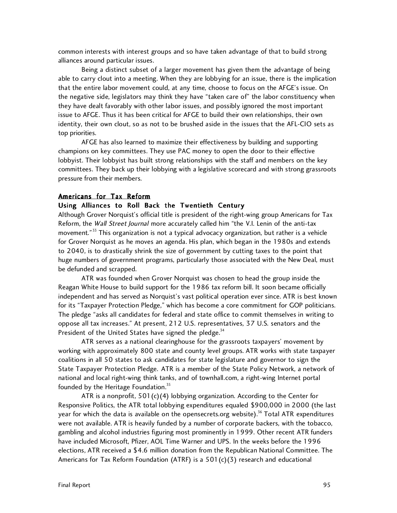common interests with interest groups and so have taken advantage of that to build strong alliances around particular issues.

Being a distinct subset of a larger movement has given them the advantage of being able to carry clout into a meeting. When they are lobbying for an issue, there is the implication that the entire labor movement could, at any time, choose to focus on the AFGE's issue. On the negative side, legislators may think they have "taken care of" the labor constituency when they have dealt favorably with other labor issues, and possibly ignored the most important issue to AFGE. Thus it has been critical for AFGE to build their own relationships, their own identity, their own clout, so as not to be brushed aside in the issues that the AFL-CIO sets as top priorities.

AFGE has also learned to maximize their effectiveness by building and supporting champions on key committees. They use PAC money to open the door to their effective lobbyist. Their lobbyist has built strong relationships with the staff and members on the key committees. They back up their lobbying with a legislative scorecard and with strong grassroots pressure from their members.

#### Americans for Tax Reform

#### Using Alliances to Roll Back the Twentieth Century

Although Grover Norquist's official title is president of the right-wing group Americans for Tax Reform, the Wall Street Journal more accurately called him "the V.I. Lenin of the anti-tax movement."<sup>33</sup> This organization is not a typical advocacy organization, but rather is a vehicle for Grover Norquist as he moves an agenda. His plan, which began in the 1980s and extends to 2040, is to drastically shrink the size of government by cutting taxes to the point that huge numbers of government programs, particularly those associated with the New Deal, must be defunded and scrapped.

ATR was founded when Grover Norquist was chosen to head the group inside the Reagan White House to build support for the 1986 tax reform bill. It soon became officially independent and has served as Norquist's vast political operation ever since. ATR is best known for its "Taxpayer Protection Pledge," which has become a core commitment for GOP politicians. The pledge "asks all candidates for federal and state office to commit themselves in writing to oppose all tax increases." At present, 212 U.S. representatives, 37 U.S. senators and the President of the United States have signed the pledge. $34$ 

 ATR serves as a national clearinghouse for the grassroots taxpayers' movement by working with approximately 800 state and county level groups. ATR works with state taxpayer coalitions in all 50 states to ask candidates for state legislature and governor to sign the State Taxpayer Protection Pledge. ATR is a member of the State Policy Network, a network of national and local right-wing think tanks, and of townhall.com, a right-wing Internet portal founded by the Heritage Foundation. $35$ 

ATR is a nonprofit,  $501(c)(4)$  lobbying organization. According to the Center for Responsive Politics, the ATR total lobbying expenditures equaled \$900,000 in 2000 (the last year for which the data is available on the opensecrets.org website).<sup>36</sup> Total ATR expenditures were not available. ATR is heavily funded by a number of corporate backers, with the tobacco, gambling and alcohol industries figuring most prominently in 1999. Other recent ATR funders have included Microsoft, Pfizer, AOL Time Warner and UPS. In the weeks before the 1996 elections, ATR received a \$4.6 million donation from the Republican National Committee. The Americans for Tax Reform Foundation (ATRF) is a 501(c)(3) research and educational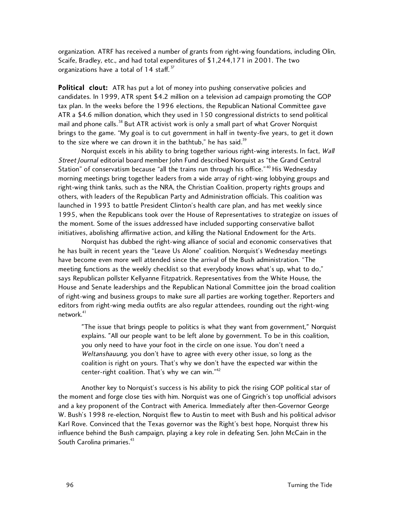organization. ATRF has received a number of grants from right-wing foundations, including Olin, Scaife, Bradley, etc., and had total expenditures of \$1,244,171 in 2001. The two organizations have a total of 14 staff.<sup>37</sup>

Political clout: ATR has put a lot of money into pushing conservative policies and candidates. In 1999, ATR spent \$4.2 million on a television ad campaign promoting the GOP tax plan. In the weeks before the 1996 elections, the Republican National Committee gave ATR a \$4.6 million donation, which they used in 150 congressional districts to send political mail and phone calls.<sup>38</sup> But ATR activist work is only a small part of what Grover Norquist brings to the game. "My goal is to cut government in half in twenty-five years, to get it down to the size where we can drown it in the bathtub," he has said. $39$ 

Norquist excels in his ability to bring together various right-wing interests. In fact, Wall Street Journal editorial board member John Fund described Norquist as "the Grand Central Station" of conservatism because "all the trains run through his office."<sup>40</sup> His Wednesday morning meetings bring together leaders from a wide array of right-wing lobbying groups and right-wing think tanks, such as the NRA, the Christian Coalition, property rights groups and others, with leaders of the Republican Party and Administration officials. This coalition was launched in 1993 to battle President Clinton's health care plan, and has met weekly since 1995, when the Republicans took over the House of Representatives to strategize on issues of the moment. Some of the issues addressed have included supporting conservative ballot initiatives, abolishing affirmative action, and killing the National Endowment for the Arts.

Norquist has dubbed the right-wing alliance of social and economic conservatives that he has built in recent years the "Leave Us Alone" coalition. Norquist's Wednesday meetings have become even more well attended since the arrival of the Bush administration. "The meeting functions as the weekly checklist so that everybody knows what's up, what to do," says Republican pollster Kellyanne Fitzpatrick. Representatives from the White House, the House and Senate leaderships and the Republican National Committee join the broad coalition of right-wing and business groups to make sure all parties are working together. Reporters and editors from right-wing media outfits are also regular attendees, rounding out the right-wing network.<sup>41</sup>

"The issue that brings people to politics is what they want from government," Norquist explains. "All our people want to be left alone by government. To be in this coalition, you only need to have your foot in the circle on one issue. You don't need a Weltanshauung, you don't have to agree with every other issue, so long as the coalition is right on yours. That's why we don't have the expected war within the center-right coalition. That's why we can win."<sup>42</sup>

Another key to Norquist's success is his ability to pick the rising GOP political star of the moment and forge close ties with him. Norquist was one of Gingrich's top unofficial advisors and a key proponent of the Contract with America. Immediately after then-Governor George W. Bush's 1998 re-election, Norquist flew to Austin to meet with Bush and his political advisor Karl Rove. Convinced that the Texas governor was the Right's best hope, Norquist threw his influence behind the Bush campaign, playing a key role in defeating Sen. John McCain in the South Carolina primaries.<sup>43</sup>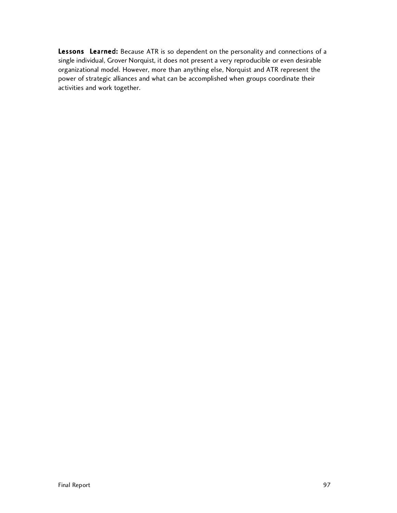Lessons Learned: Because ATR is so dependent on the personality and connections of a single individual, Grover Norquist, it does not present a very reproducible or even desirable organizational model. However, more than anything else, Norquist and ATR represent the power of strategic alliances and what can be accomplished when groups coordinate their activities and work together.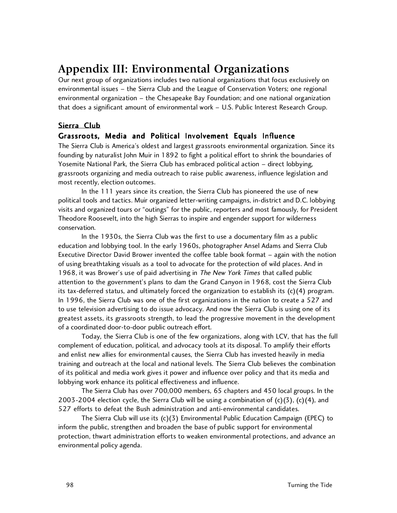# **Appendix III: Environmental Organizations**

Our next group of organizations includes two national organizations that focus exclusively on environmental issues – the Sierra Club and the League of Conservation Voters; one regional environmental organization – the Chesapeake Bay Foundation; and one national organization that does a significant amount of environmental work – U.S. Public Interest Research Group.

### Sierra Club

#### Grassroots, Media and Political Involvement Equals Influence

The Sierra Club is America's oldest and largest grassroots environmental organization. Since its founding by naturalist John Muir in 1892 to fight a political effort to shrink the boundaries of Yosemite National Park, the Sierra Club has embraced political action – direct lobbying, grassroots organizing and media outreach to raise public awareness, influence legislation and most recently, election outcomes.

In the 111 years since its creation, the Sierra Club has pioneered the use of new political tools and tactics. Muir organized letter-writing campaigns, in-district and D.C. lobbying visits and organized tours or "outings" for the public, reporters and most famously, for President Theodore Roosevelt, into the high Sierras to inspire and engender support for wilderness conservation.

In the 1930s, the Sierra Club was the first to use a documentary film as a public education and lobbying tool. In the early 1960s, photographer Ansel Adams and Sierra Club Executive Director David Brower invented the coffee table book format – again with the notion of using breathtaking visuals as a tool to advocate for the protection of wild places. And in 1968, it was Brower's use of paid advertising in The New York Times that called public attention to the government's plans to dam the Grand Canyon in 1968, cost the Sierra Club its tax-deferred status, and ultimately forced the organization to establish its (c)(4) program. In 1996, the Sierra Club was one of the first organizations in the nation to create a 527 and to use television advertising to do issue advocacy. And now the Sierra Club is using one of its greatest assets, its grassroots strength, to lead the progressive movement in the development of a coordinated door-to-door public outreach effort.

Today, the Sierra Club is one of the few organizations, along with LCV, that has the full complement of education, political, and advocacy tools at its disposal. To amplify their efforts and enlist new allies for environmental causes, the Sierra Club has invested heavily in media training and outreach at the local and national levels. The Sierra Club believes the combination of its political and media work gives it power and influence over policy and that its media and lobbying work enhance its political effectiveness and influence.

The Sierra Club has over 700,000 members, 65 chapters and 450 local groups. In the 2003-2004 election cycle, the Sierra Club will be using a combination of  $(c)(3)$ ,  $(c)(4)$ , and 527 efforts to defeat the Bush administration and anti-environmental candidates.

The Sierra Club will use its (c)(3) Environmental Public Education Campaign (EPEC) to inform the public, strengthen and broaden the base of public support for environmental protection, thwart administration efforts to weaken environmental protections, and advance an environmental policy agenda.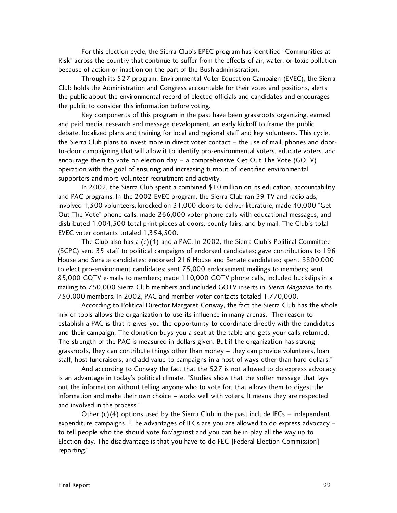For this election cycle, the Sierra Club's EPEC program has identified "Communities at Risk" across the country that continue to suffer from the effects of air, water, or toxic pollution because of action or inaction on the part of the Bush administration.

Through its 527 program, Environmental Voter Education Campaign (EVEC), the Sierra Club holds the Administration and Congress accountable for their votes and positions, alerts the public about the environmental record of elected officials and candidates and encourages the public to consider this information before voting.

Key components of this program in the past have been grassroots organizing, earned and paid media, research and message development, an early kickoff to frame the public debate, localized plans and training for local and regional staff and key volunteers. This cycle, the Sierra Club plans to invest more in direct voter contact – the use of mail, phones and doorto-door campaigning that will allow it to identify pro-environmental voters, educate voters, and encourage them to vote on election day – a comprehensive Get Out The Vote (GOTV) operation with the goal of ensuring and increasing turnout of identified environmental supporters and more volunteer recruitment and activity.

In 2002, the Sierra Club spent a combined \$10 million on its education, accountability and PAC programs. In the 2002 EVEC program, the Sierra Club ran 39 TV and radio ads, involved 1,300 volunteers, knocked on 31,000 doors to deliver literature, made 40,000 "Get Out The Vote" phone calls, made 266,000 voter phone calls with educational messages, and distributed 1,004,500 total print pieces at doors, county fairs, and by mail. The Club's total EVEC voter contacts totaled 1,354,500.

 The Club also has a (c)(4) and a PAC. In 2002, the Sierra Club's Political Committee (SCPC) sent 35 staff to political campaigns of endorsed candidates; gave contributions to 196 House and Senate candidates; endorsed 216 House and Senate candidates; spent \$800,000 to elect pro-environment candidates; sent 75,000 endorsement mailings to members; sent 85,000 GOTV e-mails to members; made 110,000 GOTV phone calls, included buckslips in a mailing to 750,000 Sierra Club members and included GOTV inserts in Sierra Magazine to its 750,000 members. In 2002, PAC and member voter contacts totaled 1,770,000.

According to Political Director Margaret Conway, the fact the Sierra Club has the whole mix of tools allows the organization to use its influence in many arenas. "The reason to establish a PAC is that it gives you the opportunity to coordinate directly with the candidates and their campaign. The donation buys you a seat at the table and gets your calls returned. The strength of the PAC is measured in dollars given. But if the organization has strong grassroots, they can contribute things other than money – they can provide volunteers, loan staff, host fundraisers, and add value to campaigns in a host of ways other than hard dollars."

And according to Conway the fact that the 527 is not allowed to do express advocacy is an advantage in today's political climate. "Studies show that the softer message that lays out the information without telling anyone who to vote for, that allows them to digest the information and make their own choice – works well with voters. It means they are respected and involved in the process."

Other  $(c)(4)$  options used by the Sierra Club in the past include IECs – independent expenditure campaigns. "The advantages of IECs are you are allowed to do express advocacy – to tell people who the should vote for/against and you can be in play all the way up to Election day. The disadvantage is that you have to do FEC [Federal Election Commission] reporting."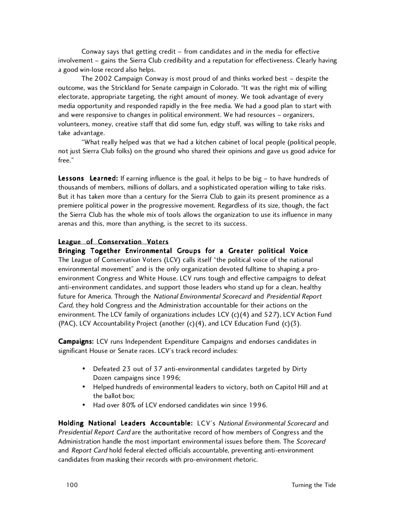Conway says that getting credit – from candidates and in the media for effective involvement – gains the Sierra Club credibility and a reputation for effectiveness. Clearly having a good win-lose record also helps.

The 2002 Campaign Conway is most proud of and thinks worked best – despite the outcome, was the Strickland for Senate campaign in Colorado. "It was the right mix of willing electorate, appropriate targeting, the right amount of money. We took advantage of every media opportunity and responded rapidly in the free media. We had a good plan to start with and were responsive to changes in political environment. We had resources – organizers, volunteers, money, creative staff that did some fun, edgy stuff, was willing to take risks and take advantage.

"What really helped was that we had a kitchen cabinet of local people (political people, not just Sierra Club folks) on the ground who shared their opinions and gave us good advice for free."

Lessons Learned: If earning influence is the goal, it helps to be big - to have hundreds of thousands of members, millions of dollars, and a sophisticated operation willing to take risks. But it has taken more than a century for the Sierra Club to gain its present prominence as a premiere political power in the progressive movement. Regardless of its size, though, the fact the Sierra Club has the whole mix of tools allows the organization to use its influence in many arenas and this, more than anything, is the secret to its success.

#### League of Conservation Voters

Bringing Together Environmental Groups for a Greater political Voice The League of Conservation Voters (LCV) calls itself "the political voice of the national environmental movement" and is the only organization devoted fulltime to shaping a proenvironment Congress and White House. LCV runs tough and effective campaigns to defeat anti-environment candidates, and support those leaders who stand up for a clean, healthy future for America. Through the National Environmental Scorecard and Presidential Report Card, they hold Congress and the Administration accountable for their actions on the environment. The LCV family of organizations includes LCV (c)(4) and 527), LCV Action Fund (PAC), LCV Accountability Project (another  $(c)(4)$ , and LCV Education Fund  $(c)(3)$ .

Campaigns: LCV runs Independent Expenditure Campaigns and endorses candidates in significant House or Senate races. LCV's track record includes:

- Defeated 23 out of 37 anti-environmental candidates targeted by Dirty Dozen campaigns since 1996;
- Helped hundreds of environmental leaders to victory, both on Capitol Hill and at the ballot box;
- Had over 80% of LCV endorsed candidates win since 1996.

Holding National Leaders Accountable: LCV's National Environmental Scorecard and Presidential Report Card are the authoritative record of how members of Congress and the Administration handle the most important environmental issues before them. The Scorecard and Report Card hold federal elected officials accountable, preventing anti-environment candidates from masking their records with pro-environment rhetoric.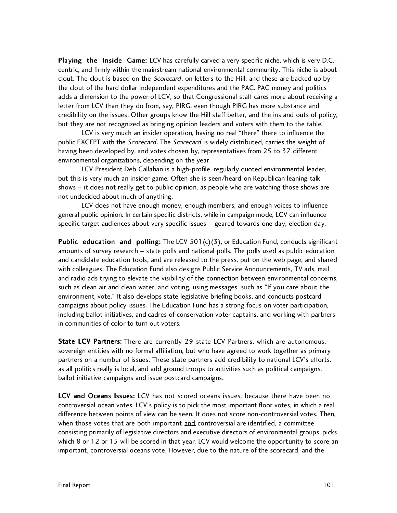Playing the Inside Game: LCV has carefully carved a very specific niche, which is very D.C.centric, and firmly within the mainstream national environmental community. This niche is about clout. The clout is based on the Scorecard, on letters to the Hill, and these are backed up by the clout of the hard dollar independent expenditures and the PAC. PAC money and politics adds a dimension to the power of LCV, so that Congressional staff cares more about receiving a letter from LCV than they do from, say, PIRG, even though PIRG has more substance and credibility on the issues. Other groups know the Hill staff better, and the ins and outs of policy, but they are not recognized as bringing opinion leaders and voters with them to the table.

LCV is very much an insider operation, having no real "there" there to influence the public EXCEPT with the Scorecard. The Scorecard is widely distributed, carries the weight of having been developed by, and votes chosen by, representatives from 25 to 37 different environmental organizations, depending on the year.

LCV President Deb Callahan is a high-profile, regularly quoted environmental leader, but this is very much an insider game. Often she is seen/heard on Republican leaning talk shows – it does not really get to public opinion, as people who are watching those shows are not undecided about much of anything.

LCV does not have enough money, enough members, and enough voices to influence general public opinion. In certain specific districts, while in campaign mode, LCV can influence specific target audiences about very specific issues – geared towards one day, election day.

**Public education and polling:** The LCV 501(c)(3), or Education Fund, conducts significant amounts of survey research – state polls and national polls. The polls used as public education and candidate education tools, and are released to the press, put on the web page, and shared with colleagues. The Education Fund also designs Public Service Announcements, TV ads, mail and radio ads trying to elevate the visibility of the connection between environmental concerns, such as clean air and clean water, and voting, using messages, such as "If you care about the environment, vote." It also develops state legislative briefing books, and conducts postcard campaigns about policy issues. The Education Fund has a strong focus on voter participation, including ballot initiatives, and cadres of conservation voter captains, and working with partners in communities of color to turn out voters.

State LCV Partners: There are currently 29 state LCV Partners, which are autonomous, sovereign entities with no formal affiliation, but who have agreed to work together as primary partners on a number of issues. These state partners add credibility to national LCV's efforts, as all politics really is local, and add ground troops to activities such as political campaigns, ballot initiative campaigns and issue postcard campaigns.

LCV and Oceans Issues: LCV has not scored oceans issues, because there have been no controversial ocean votes. LCV's policy is to pick the most important floor votes, in which a real difference between points of view can be seen. It does not score non-controversial votes. Then, when those votes that are both important and controversial are identified, a committee consisting primarily of legislative directors and executive directors of environmental groups, picks which 8 or 12 or 15 will be scored in that year. LCV would welcome the opportunity to score an important, controversial oceans vote. However, due to the nature of the scorecard, and the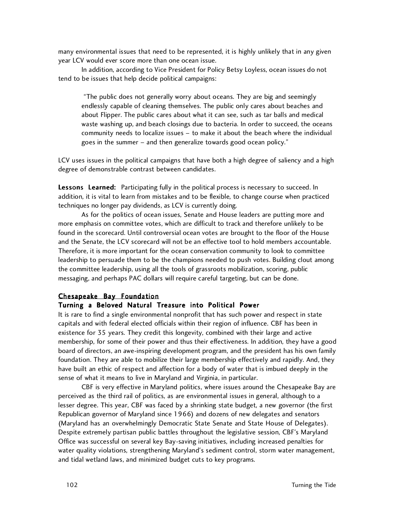many environmental issues that need to be represented, it is highly unlikely that in any given year LCV would ever score more than one ocean issue.

In addition, according to Vice President for Policy Betsy Loyless, ocean issues do not tend to be issues that help decide political campaigns:

 "The public does not generally worry about oceans. They are big and seemingly endlessly capable of cleaning themselves. The public only cares about beaches and about Flipper. The public cares about what it can see, such as tar balls and medical waste washing up, and beach closings due to bacteria. In order to succeed, the oceans community needs to localize issues – to make it about the beach where the individual goes in the summer – and then generalize towards good ocean policy."

LCV uses issues in the political campaigns that have both a high degree of saliency and a high degree of demonstrable contrast between candidates.

Lessons Learned: Participating fully in the political process is necessary to succeed. In addition, it is vital to learn from mistakes and to be flexible, to change course when practiced techniques no longer pay dividends, as LCV is currently doing.

As for the politics of ocean issues, Senate and House leaders are putting more and more emphasis on committee votes, which are difficult to track and therefore unlikely to be found in the scorecard. Until controversial ocean votes are brought to the floor of the House and the Senate, the LCV scorecard will not be an effective tool to hold members accountable. Therefore, it is more important for the ocean conservation community to look to committee leadership to persuade them to be the champions needed to push votes. Building clout among the committee leadership, using all the tools of grassroots mobilization, scoring, public messaging, and perhaps PAC dollars will require careful targeting, but can be done.

#### Chesapeake Bay Foundation

#### Turning a Beloved Natural Treasure into Political Power

It is rare to find a single environmental nonprofit that has such power and respect in state capitals and with federal elected officials within their region of influence. CBF has been in existence for 35 years. They credit this longevity, combined with their large and active membership, for some of their power and thus their effectiveness. In addition, they have a good board of directors, an awe-inspiring development program, and the president has his own family foundation. They are able to mobilize their large membership effectively and rapidly. And, they have built an ethic of respect and affection for a body of water that is imbued deeply in the sense of what it means to live in Maryland and Virginia, in particular.

CBF is very effective in Maryland politics, where issues around the Chesapeake Bay are perceived as the third rail of politics, as are environmental issues in general, although to a lesser degree. This year, CBF was faced by a shrinking state budget, a new governor (the first Republican governor of Maryland since 1966) and dozens of new delegates and senators (Maryland has an overwhelmingly Democratic State Senate and State House of Delegates). Despite extremely partisan public battles throughout the legislative session, CBF's Maryland Office was successful on several key Bay-saving initiatives, including increased penalties for water quality violations, strengthening Maryland's sediment control, storm water management, and tidal wetland laws, and minimized budget cuts to key programs.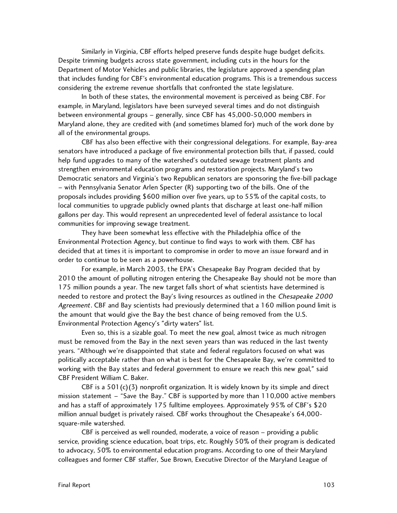Similarly in Virginia, CBF efforts helped preserve funds despite huge budget deficits. Despite trimming budgets across state government, including cuts in the hours for the Department of Motor Vehicles and public libraries, the legislature approved a spending plan that includes funding for CBF's environmental education programs. This is a tremendous success considering the extreme revenue shortfalls that confronted the state legislature.

In both of these states, the environmental movement is perceived as being CBF. For example, in Maryland, legislators have been surveyed several times and do not distinguish between environmental groups – generally, since CBF has 45,000-50,000 members in Maryland alone, they are credited with (and sometimes blamed for) much of the work done by all of the environmental groups.

CBF has also been effective with their congressional delegations. For example, Bay-area senators have introduced a package of five environmental protection bills that, if passed, could help fund upgrades to many of the watershed's outdated sewage treatment plants and strengthen environmental education programs and restoration projects. Maryland's two Democratic senators and Virginia's two Republican senators are sponsoring the five-bill package – with Pennsylvania Senator Arlen Specter (R) supporting two of the bills. One of the proposals includes providing \$600 million over five years, up to 55% of the capital costs, to local communities to upgrade publicly owned plants that discharge at least one-half million gallons per day. This would represent an unprecedented level of federal assistance to local communities for improving sewage treatment.

They have been somewhat less effective with the Philadelphia office of the Environmental Protection Agency, but continue to find ways to work with them. CBF has decided that at times it is important to compromise in order to move an issue forward and in order to continue to be seen as a powerhouse.

For example, in March 2003, the EPA's Chesapeake Bay Program decided that by 2010 the amount of polluting nitrogen entering the Chesapeake Bay should not be more than 175 million pounds a year. The new target falls short of what scientists have determined is needed to restore and protect the Bay's living resources as outlined in the Chesapeake 2000 Agreement. CBF and Bay scientists had previously determined that a 160 million pound limit is the amount that would give the Bay the best chance of being removed from the U.S. Environmental Protection Agency's "dirty waters" list.

Even so, this is a sizable goal. To meet the new goal, almost twice as much nitrogen must be removed from the Bay in the next seven years than was reduced in the last twenty years. "Although we're disappointed that state and federal regulators focused on what was politically acceptable rather than on what is best for the Chesapeake Bay, we're committed to working with the Bay states and federal government to ensure we reach this new goal," said CBF President William C. Baker.

CBF is a  $501(c)(3)$  nonprofit organization. It is widely known by its simple and direct mission statement – "Save the Bay." CBF is supported by more than 110,000 active members and has a staff of approximately 175 fulltime employees. Approximately 95% of CBF's \$20 million annual budget is privately raised. CBF works throughout the Chesapeake's 64,000 square-mile watershed.

CBF is perceived as well rounded, moderate, a voice of reason – providing a public service, providing science education, boat trips, etc. Roughly 50% of their program is dedicated to advocacy, 50% to environmental education programs. According to one of their Maryland colleagues and former CBF staffer, Sue Brown, Executive Director of the Maryland League of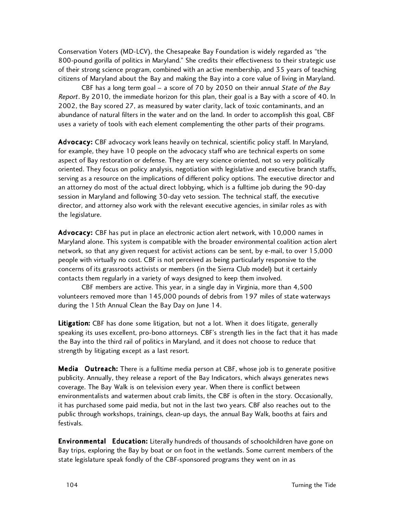Conservation Voters (MD-LCV), the Chesapeake Bay Foundation is widely regarded as "the 800-pound gorilla of politics in Maryland." She credits their effectiveness to their strategic use of their strong science program, combined with an active membership, and 35 years of teaching citizens of Maryland about the Bay and making the Bay into a core value of living in Maryland.

CBF has a long term goal – a score of 70 by 2050 on their annual State of the Bay Report. By 2010, the immediate horizon for this plan, their goal is a Bay with a score of 40. In 2002, the Bay scored 27, as measured by water clarity, lack of toxic contaminants, and an abundance of natural filters in the water and on the land. In order to accomplish this goal, CBF uses a variety of tools with each element complementing the other parts of their programs.

Advocacy: CBF advocacy work leans heavily on technical, scientific policy staff. In Maryland, for example, they have 10 people on the advocacy staff who are technical experts on some aspect of Bay restoration or defense. They are very science oriented, not so very politically oriented. They focus on policy analysis, negotiation with legislative and executive branch staffs, serving as a resource on the implications of different policy options. The executive director and an attorney do most of the actual direct lobbying, which is a fulltime job during the 90-day session in Maryland and following 30-day veto session. The technical staff, the executive director, and attorney also work with the relevant executive agencies, in similar roles as with the legislature.

Advocacy: CBF has put in place an electronic action alert network, with 10,000 names in Maryland alone. This system is compatible with the broader environmental coalition action alert network, so that any given request for activist actions can be sent, by e-mail, to over 15,000 people with virtually no cost. CBF is not perceived as being particularly responsive to the concerns of its grassroots activists or members (in the Sierra Club model) but it certainly contacts them regularly in a variety of ways designed to keep them involved.

CBF members are active. This year, in a single day in Virginia, more than 4,500 volunteers removed more than 145,000 pounds of debris from 197 miles of state waterways during the 15th Annual Clean the Bay Day on June 14.

Litigation: CBF has done some litigation, but not a lot. When it does litigate, generally speaking its uses excellent, pro-bono attorneys. CBF's strength lies in the fact that it has made the Bay into the third rail of politics in Maryland, and it does not choose to reduce that strength by litigating except as a last resort.

Media Outreach: There is a fulltime media person at CBF, whose job is to generate positive publicity. Annually, they release a report of the Bay Indicators, which always generates news coverage. The Bay Walk is on television every year. When there is conflict between environmentalists and watermen about crab limits, the CBF is often in the story. Occasionally, it has purchased some paid media, but not in the last two years. CBF also reaches out to the public through workshops, trainings, clean-up days, the annual Bay Walk, booths at fairs and festivals.

**Environmental Education:** Literally hundreds of thousands of schoolchildren have gone on Bay trips, exploring the Bay by boat or on foot in the wetlands. Some current members of the state legislature speak fondly of the CBF-sponsored programs they went on in as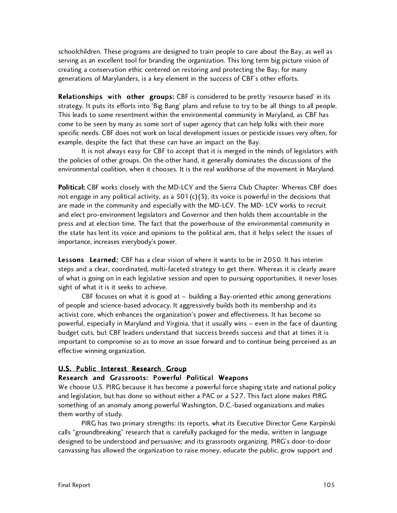schoolchildren. These programs are designed to train people to care about the Bay, as well as serving as an excellent tool for branding the organization. This long term big picture vision of creating a conservation ethic centered on restoring and protecting the Bay, for many generations of Marylanders, is a key element in the success of CBF's other efforts.

Relationships with other groups: CBF is considered to be pretty 'resource based' in its strategy. It puts its efforts into 'Big Bang' plans and refuse to try to be all things to all people. This leads to some resentment within the environmental community in Maryland, as CBF has come to be seen by many as some sort of super agency that can help folks with their more specific needs. CBF does not work on local development issues or pesticide issues very often, for example, despite the fact that these can have an impact on the Bay.

It is not always easy for CBF to accept that it is merged in the minds of legislators with the policies of other groups. On the other hand, it generally dominates the discussions of the environmental coalition, when it chooses. It is the real workhorse of the movement in Maryland.

Political: CBF works closely with the MD-LCV and the Sierra Club Chapter. Whereas CBF does not engage in any political activity, as a  $501(c)(3)$ , its voice is powerful in the decisions that are made in the community and especially with the MD-LCV. The MD- LCV works to recruit and elect pro-environment legislators and Governor and then holds them accountable in the press and at election time. The fact that the powerhouse of the environmental community in the state has lent its voice and opinions to the political arm, that it helps select the issues of importance, increases everybody's power.

Lessons Learned: CBF has a clear vision of where it wants to be in 2050. It has interim steps and a clear, coordinated, multi-faceted strategy to get there. Whereas it is clearly aware of what is going on in each legislative session and open to pursuing opportunities, it never loses sight of what it is it seeks to achieve.

CBF focuses on what it is good at – building a Bay-oriented ethic among generations of people and science-based advocacy. It aggressively builds both its membership and its activist core, which enhances the organization's power and effectiveness. It has become so powerful, especially in Maryland and Virginia, that it usually wins – even in the face of daunting budget cuts, but CBF leaders understand that success breeds success and that at times it is important to compromise so as to move an issue forward and to continue being perceived as an effective winning organization.

#### U.S. Public Interest Research Group

#### Research and Grassroots: Powerful Political Weapons

We choose U.S. PIRG because it has become a powerful force shaping state and national policy and legislation, but has done so without either a PAC or a 527. This fact alone makes PIRG something of an anomaly among powerful Washington, D.C.-based organizations and makes them worthy of study.

PIRG has two primary strengths: its reports, what its Executive Director Gene Karpinski calls "groundbreaking" research that is carefully packaged for the media, written in language designed to be understood and persuasive; and its grassroots organizing. PIRG's door-to-door canvassing has allowed the organization to raise money, educate the public, grow support and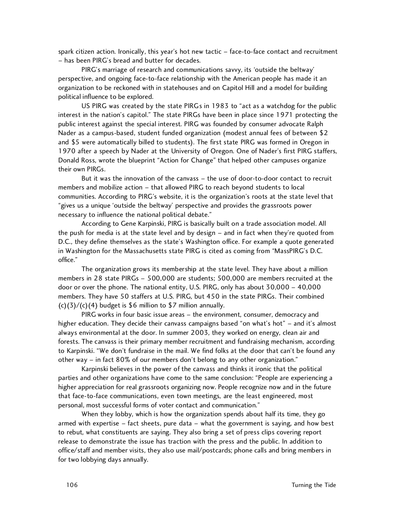spark citizen action. Ironically, this year's hot new tactic – face-to-face contact and recruitment – has been PIRG's bread and butter for decades.

PIRG's marriage of research and communications savvy, its 'outside the beltway' perspective, and ongoing face-to-face relationship with the American people has made it an organization to be reckoned with in statehouses and on Capitol Hill and a model for building political influence to be explored.

US PIRG was created by the state PIRGs in 1983 to "act as a watchdog for the public interest in the nation's capitol." The state PIRGs have been in place since 1971 protecting the public interest against the special interest. PIRG was founded by consumer advocate Ralph Nader as a campus-based, student funded organization (modest annual fees of between \$2 and \$5 were automatically billed to students). The first state PIRG was formed in Oregon in 1970 after a speech by Nader at the University of Oregon. One of Nader's first PIRG staffers, Donald Ross, wrote the blueprint "Action for Change" that helped other campuses organize their own PIRGs.

But it was the innovation of the canvass – the use of door-to-door contact to recruit members and mobilize action – that allowed PIRG to reach beyond students to local communities. According to PIRG's website, it is the organization's roots at the state level that "gives us a unique 'outside the beltway' perspective and provides the grassroots power necessary to influence the national political debate."

According to Gene Karpinski, PIRG is basically built on a trade association model. All the push for media is at the state level and by design – and in fact when they're quoted from D.C., they define themselves as the state's Washington office. For example a quote generated in Washington for the Massachusetts state PIRG is cited as coming from "MassPIRG's D.C. office."

The organization grows its membership at the state level. They have about a million members in 28 state PIRGs – 500,000 are students; 500,000 are members recruited at the door or over the phone. The national entity, U.S. PIRG, only has about 30,000 – 40,000 members. They have 50 staffers at U.S. PIRG, but 450 in the state PIRGs. Their combined  $(c)(3)/(c)(4)$  budget is \$6 million to \$7 million annually.

PIRG works in four basic issue areas – the environment, consumer, democracy and higher education. They decide their canvass campaigns based "on what's hot" – and it's almost always environmental at the door. In summer 2003, they worked on energy, clean air and forests. The canvass is their primary member recruitment and fundraising mechanism, according to Karpinski. "We don't fundraise in the mail. We find folks at the door that can't be found any other way – in fact 80% of our members don't belong to any other organization."

Karpinski believes in the power of the canvass and thinks it ironic that the political parties and other organizations have come to the same conclusion: "People are experiencing a higher appreciation for real grassroots organizing now. People recognize now and in the future that face-to-face communications, even town meetings, are the least engineered, most personal, most successful forms of voter contact and communication."

When they lobby, which is how the organization spends about half its time, they go armed with expertise – fact sheets, pure data – what the government is saying, and how best to rebut, what constituents are saying. They also bring a set of press clips covering report release to demonstrate the issue has traction with the press and the public. In addition to office/staff and member visits, they also use mail/postcards; phone calls and bring members in for two lobbying days annually.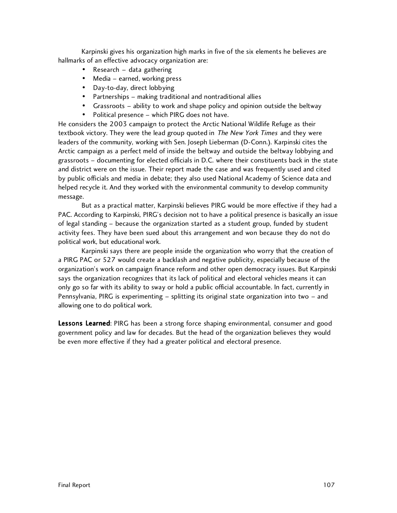Karpinski gives his organization high marks in five of the six elements he believes are hallmarks of an effective advocacy organization are:

- Research data gathering
- Media earned, working press
- Day-to-day, direct lobbying
- Partnerships making traditional and nontraditional allies
- Grassroots ability to work and shape policy and opinion outside the beltway
- Political presence which PIRG does not have.

He considers the 2003 campaign to protect the Arctic National Wildlife Refuge as their textbook victory. They were the lead group quoted in The New York Times and they were leaders of the community, working with Sen. Joseph Lieberman (D-Conn.). Karpinski cites the Arctic campaign as a perfect meld of inside the beltway and outside the beltway lobbying and grassroots – documenting for elected officials in D.C. where their constituents back in the state and district were on the issue. Their report made the case and was frequently used and cited by public officials and media in debate; they also used National Academy of Science data and helped recycle it. And they worked with the environmental community to develop community message.

But as a practical matter, Karpinski believes PIRG would be more effective if they had a PAC. According to Karpinski, PIRG's decision not to have a political presence is basically an issue of legal standing – because the organization started as a student group, funded by student activity fees. They have been sued about this arrangement and won because they do not do political work, but educational work.

Karpinski says there are people inside the organization who worry that the creation of a PIRG PAC or 527 would create a backlash and negative publicity, especially because of the organization's work on campaign finance reform and other open democracy issues. But Karpinski says the organization recognizes that its lack of political and electoral vehicles means it can only go so far with its ability to sway or hold a public official accountable. In fact, currently in Pennsylvania, PIRG is experimenting – splitting its original state organization into two – and allowing one to do political work.

Lessons Learned: PIRG has been a strong force shaping environmental, consumer and good government policy and law for decades. But the head of the organization believes they would be even more effective if they had a greater political and electoral presence.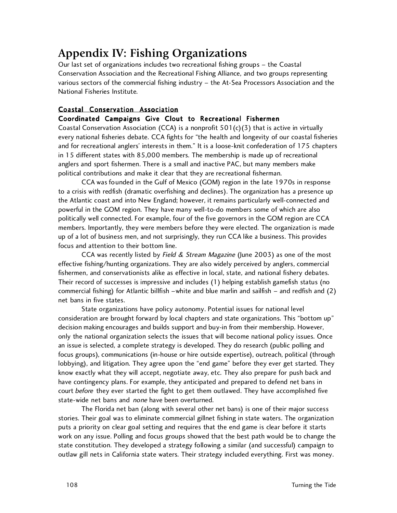# **Appendix IV: Fishing Organizations**

Our last set of organizations includes two recreational fishing groups – the Coastal Conservation Association and the Recreational Fishing Alliance, and two groups representing various sectors of the commercial fishing industry – the At-Sea Processors Association and the National Fisheries Institute.

## Coastal Conservation Association

## Coordinated Campaigns Give Clout to Recreational Fishermen

Coastal Conservation Association (CCA) is a nonprofit  $501(c)(3)$  that is active in virtually every national fisheries debate. CCA fights for "the health and longevity of our coastal fisheries and for recreational anglers' interests in them." It is a loose-knit confederation of 175 chapters in 15 different states with 85,000 members. The membership is made up of recreational anglers and sport fishermen. There is a small and inactive PAC, but many members make political contributions and make it clear that they are recreational fisherman.

CCA was founded in the Gulf of Mexico (GOM) region in the late 1970s in response to a crisis with redfish (dramatic overfishing and declines). The organization has a presence up the Atlantic coast and into New England; however, it remains particularly well-connected and powerful in the GOM region. They have many well-to-do members some of which are also politically well connected. For example, four of the five governors in the GOM region are CCA members. Importantly, they were members before they were elected. The organization is made up of a lot of business men, and not surprisingly, they run CCA like a business. This provides focus and attention to their bottom line.

CCA was recently listed by Field & Stream Magazine (June 2003) as one of the most effective fishing/hunting organizations. They are also widely perceived by anglers, commercial fishermen, and conservationists alike as effective in local, state, and national fishery debates. Their record of successes is impressive and includes (1) helping establish gamefish status (no commercial fishing) for Atlantic billfish –white and blue marlin and sailfish – and redfish and (2) net bans in five states.

State organizations have policy autonomy. Potential issues for national level consideration are brought forward by local chapters and state organizations. This "bottom up" decision making encourages and builds support and buy-in from their membership. However, only the national organization selects the issues that will become national policy issues. Once an issue is selected, a complete strategy is developed. They do research (public polling and focus groups), communications (in-house or hire outside expertise), outreach, political (through lobbying), and litigation. They agree upon the "end game" before they ever get started. They know exactly what they will accept, negotiate away, etc. They also prepare for push back and have contingency plans. For example, they anticipated and prepared to defend net bans in court before they ever started the fight to get them outlawed. They have accomplished five state-wide net bans and *none* have been overturned.

The Florida net ban (along with several other net bans) is one of their major success stories. Their goal was to eliminate commercial gillnet fishing in state waters. The organization puts a priority on clear goal setting and requires that the end game is clear before it starts work on any issue. Polling and focus groups showed that the best path would be to change the state constitution. They developed a strategy following a similar (and successful) campaign to outlaw gill nets in California state waters. Their strategy included everything. First was money.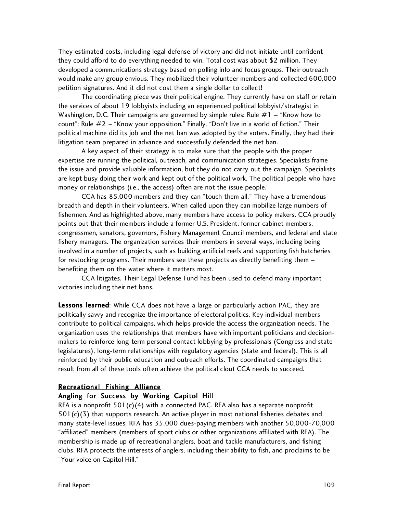They estimated costs, including legal defense of victory and did not initiate until confident they could afford to do everything needed to win. Total cost was about \$2 million. They developed a communications strategy based on polling info and focus groups. Their outreach would make any group envious. They mobilized their volunteer members and collected 600,000 petition signatures. And it did not cost them a single dollar to collect!

The coordinating piece was their political engine. They currently have on staff or retain the services of about 19 lobbyists including an experienced political lobbyist/strategist in Washington, D.C. Their campaigns are governed by simple rules: Rule #1 – "Know how to count"; Rule  $#2 - "$ Know your opposition." Finally, "Don't live in a world of fiction." Their political machine did its job and the net ban was adopted by the voters. Finally, they had their litigation team prepared in advance and successfully defended the net ban.

A key aspect of their strategy is to make sure that the people with the proper expertise are running the political, outreach, and communication strategies. Specialists frame the issue and provide valuable information, but they do not carry out the campaign. Specialists are kept busy doing their work and kept out of the political work. The political people who have money or relationships (i.e., the access) often are not the issue people.

CCA has 85,000 members and they can "touch them all." They have a tremendous breadth and depth in their volunteers. When called upon they can mobilize large numbers of fishermen. And as highlighted above, many members have access to policy makers. CCA proudly points out that their members include a former U.S. President, former cabinet members, congressmen, senators, governors, Fishery Management Council members, and federal and state fishery managers. The organization services their members in several ways, including being involved in a number of projects, such as building artificial reefs and supporting fish hatcheries for restocking programs. Their members see these projects as directly benefiting them – benefiting them on the water where it matters most.

CCA litigates. Their Legal Defense Fund has been used to defend many important victories including their net bans.

Lessons learned: While CCA does not have a large or particularly action PAC, they are politically savvy and recognize the importance of electoral politics. Key individual members contribute to political campaigns, which helps provide the access the organization needs. The organization uses the relationships that members have with important politicians and decisionmakers to reinforce long-term personal contact lobbying by professionals (Congress and state legislatures), long-term relationships with regulatory agencies (state and federal). This is all reinforced by their public education and outreach efforts. The coordinated campaigns that result from all of these tools often achieve the political clout CCA needs to succeed.

#### Recreational Fishing Alliance

### Angling for Success by Working Capitol Hill

RFA is a nonprofit  $501(c)(4)$  with a connected PAC. RFA also has a separate nonprofit  $501(c)(3)$  that supports research. An active player in most national fisheries debates and many state-level issues, RFA has 35,000 dues-paying members with another 50,000-70,000 "affiliated" members (members of sport clubs or other organizations affiliated with RFA). The membership is made up of recreational anglers, boat and tackle manufacturers, and fishing clubs. RFA protects the interests of anglers, including their ability to fish, and proclaims to be "Your voice on Capitol Hill."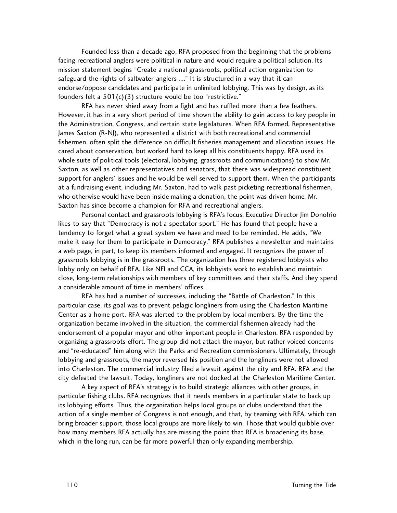Founded less than a decade ago, RFA proposed from the beginning that the problems facing recreational anglers were political in nature and would require a political solution. Its mission statement begins "Create a national grassroots, political action organization to safeguard the rights of saltwater anglers ...." It is structured in a way that it can endorse/oppose candidates and participate in unlimited lobbying. This was by design, as its founders felt a 501(c)(3) structure would be too "restrictive."

RFA has never shied away from a fight and has ruffled more than a few feathers. However, it has in a very short period of time shown the ability to gain access to key people in the Administration, Congress, and certain state legislatures. When RFA formed, Representative James Saxton (R-NJ), who represented a district with both recreational and commercial fishermen, often split the difference on difficult fisheries management and allocation issues. He cared about conservation, but worked hard to keep all his constituents happy. RFA used its whole suite of political tools (electoral, lobbying, grassroots and communications) to show Mr. Saxton, as well as other representatives and senators, that there was widespread constituent support for anglers' issues and he would be well served to support them. When the participants at a fundraising event, including Mr. Saxton, had to walk past picketing recreational fishermen, who otherwise would have been inside making a donation, the point was driven home. Mr. Saxton has since become a champion for RFA and recreational anglers.

Personal contact and grassroots lobbying is RFA's focus. Executive Director Jim Donofrio likes to say that "Democracy is not a spectator sport." He has found that people have a tendency to forget what a great system we have and need to be reminded. He adds, "We make it easy for them to participate in Democracy." RFA publishes a newsletter and maintains a web page, in part, to keep its members informed and engaged. It recognizes the power of grassroots lobbying is in the grassroots. The organization has three registered lobbyists who lobby only on behalf of RFA. Like NFI and CCA, its lobbyists work to establish and maintain close, long-term relationships with members of key committees and their staffs. And they spend a considerable amount of time in members' offices.

RFA has had a number of successes, including the "Battle of Charleston." In this particular case, its goal was to prevent pelagic longliners from using the Charleston Maritime Center as a home port. RFA was alerted to the problem by local members. By the time the organization became involved in the situation, the commercial fishermen already had the endorsement of a popular mayor and other important people in Charleston. RFA responded by organizing a grassroots effort. The group did not attack the mayor, but rather voiced concerns and "re-educated" him along with the Parks and Recreation commissioners. Ultimately, through lobbying and grassroots, the mayor reversed his position and the longliners were not allowed into Charleston. The commercial industry filed a lawsuit against the city and RFA. RFA and the city defeated the lawsuit. Today, longliners are not docked at the Charleston Maritime Center.

A key aspect of RFA's strategy is to build strategic alliances with other groups, in particular fishing clubs. RFA recognizes that it needs members in a particular state to back up its lobbying efforts. Thus, the organization helps local groups or clubs understand that the action of a single member of Congress is not enough, and that, by teaming with RFA, which can bring broader support, those local groups are more likely to win. Those that would quibble over how many members RFA actually has are missing the point that RFA is broadening its base, which in the long run, can be far more powerful than only expanding membership.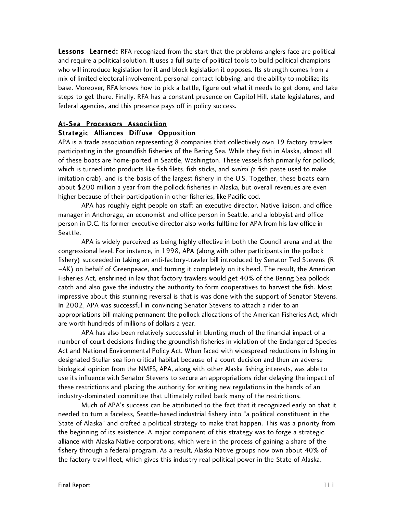Lessons Learned: RFA recognized from the start that the problems anglers face are political and require a political solution. It uses a full suite of political tools to build political champions who will introduce legislation for it and block legislation it opposes. Its strength comes from a mix of limited electoral involvement, personal-contact lobbying, and the ability to mobilize its base. Moreover, RFA knows how to pick a battle, figure out what it needs to get done, and take steps to get there. Finally, RFA has a constant presence on Capitol Hill, state legislatures, and federal agencies, and this presence pays off in policy success.

#### At-Sea Processors Association

### Strategic Alliances Diffuse Opposition

APA is a trade association representing 8 companies that collectively own 19 factory trawlers participating in the groundfish fisheries of the Bering Sea. While they fish in Alaska, almost all of these boats are home-ported in Seattle, Washington. These vessels fish primarily for pollock, which is turned into products like fish filets, fish sticks, and *surimi (a* fish paste used to make imitation crab), and is the basis of the largest fishery in the U.S. Together, these boats earn about \$200 million a year from the pollock fisheries in Alaska, but overall revenues are even higher because of their participation in other fisheries, like Pacific cod.

APA has roughly eight people on staff: an executive director, Native liaison, and office manager in Anchorage, an economist and office person in Seattle, and a lobbyist and office person in D.C. Its former executive director also works fulltime for APA from his law office in Seattle.

APA is widely perceived as being highly effective in both the Council arena and at the congressional level. For instance, in 1998, APA (along with other participants in the pollock fishery) succeeded in taking an anti-factory-trawler bill introduced by Senator Ted Stevens (R –AK) on behalf of Greenpeace, and turning it completely on its head. The result, the American Fisheries Act, enshrined in law that factory trawlers would get 40% of the Bering Sea pollock catch and also gave the industry the authority to form cooperatives to harvest the fish. Most impressive about this stunning reversal is that is was done with the support of Senator Stevens. In 2002, APA was successful in convincing Senator Stevens to attach a rider to an appropriations bill making permanent the pollock allocations of the American Fisheries Act, which are worth hundreds of millions of dollars a year.

APA has also been relatively successful in blunting much of the financial impact of a number of court decisions finding the groundfish fisheries in violation of the Endangered Species Act and National Environmental Policy Act. When faced with widespread reductions in fishing in designated Stellar sea lion critical habitat because of a court decision and then an adverse biological opinion from the NMFS, APA, along with other Alaska fishing interests, was able to use its influence with Senator Stevens to secure an appropriations rider delaying the impact of these restrictions and placing the authority for writing new regulations in the hands of an industry-dominated committee that ultimately rolled back many of the restrictions.

Much of APA's success can be attributed to the fact that it recognized early on that it needed to turn a faceless, Seattle-based industrial fishery into "a political constituent in the State of Alaska" and crafted a political strategy to make that happen. This was a priority from the beginning of its existence. A major component of this strategy was to forge a strategic alliance with Alaska Native corporations, which were in the process of gaining a share of the fishery through a federal program. As a result, Alaska Native groups now own about 40% of the factory trawl fleet, which gives this industry real political power in the State of Alaska.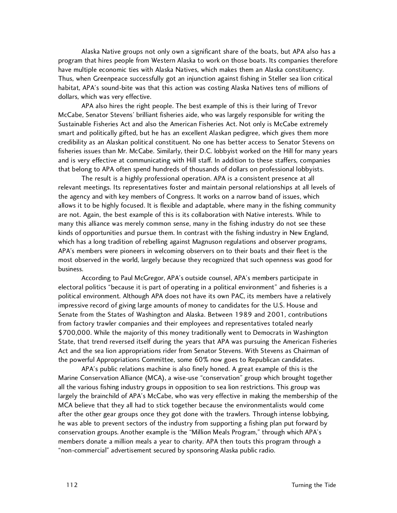Alaska Native groups not only own a significant share of the boats, but APA also has a program that hires people from Western Alaska to work on those boats. Its companies therefore have multiple economic ties with Alaska Natives, which makes them an Alaska constituency. Thus, when Greenpeace successfully got an injunction against fishing in Steller sea lion critical habitat, APA's sound-bite was that this action was costing Alaska Natives tens of millions of dollars, which was very effective.

APA also hires the right people. The best example of this is their luring of Trevor McCabe, Senator Stevens' brilliant fisheries aide, who was largely responsible for writing the Sustainable Fisheries Act and also the American Fisheries Act. Not only is McCabe extremely smart and politically gifted, but he has an excellent Alaskan pedigree, which gives them more credibility as an Alaskan political constituent. No one has better access to Senator Stevens on fisheries issues than Mr. McCabe. Similarly, their D.C. lobbyist worked on the Hill for many years and is very effective at communicating with Hill staff. In addition to these staffers, companies that belong to APA often spend hundreds of thousands of dollars on professional lobbyists.

The result is a highly professional operation. APA is a consistent presence at all relevant meetings. Its representatives foster and maintain personal relationships at all levels of the agency and with key members of Congress. It works on a narrow band of issues, which allows it to be highly focused. It is flexible and adaptable, where many in the fishing community are not. Again, the best example of this is its collaboration with Native interests. While to many this alliance was merely common sense, many in the fishing industry do not see these kinds of opportunities and pursue them. In contrast with the fishing industry in New England, which has a long tradition of rebelling against Magnuson regulations and observer programs, APA's members were pioneers in welcoming observers on to their boats and their fleet is the most observed in the world, largely because they recognized that such openness was good for business.

According to Paul McGregor, APA's outside counsel, APA's members participate in electoral politics "because it is part of operating in a political environment" and fisheries is a political environment. Although APA does not have its own PAC, its members have a relatively impressive record of giving large amounts of money to candidates for the U.S. House and Senate from the States of Washington and Alaska. Between 1989 and 2001, contributions from factory trawler companies and their employees and representatives totaled nearly \$700,000. While the majority of this money traditionally went to Democrats in Washington State, that trend reversed itself during the years that APA was pursuing the American Fisheries Act and the sea lion appropriations rider from Senator Stevens. With Stevens as Chairman of the powerful Appropriations Committee, some 60% now goes to Republican candidates.

APA's public relations machine is also finely honed. A great example of this is the Marine Conservation Alliance (MCA), a wise-use "conservation" group which brought together all the various fishing industry groups in opposition to sea lion restrictions. This group was largely the brainchild of APA's McCabe, who was very effective in making the membership of the MCA believe that they all had to stick together because the environmentalists would come after the other gear groups once they got done with the trawlers. Through intense lobbying, he was able to prevent sectors of the industry from supporting a fishing plan put forward by conservation groups. Another example is the "Million Meals Program," through which APA's members donate a million meals a year to charity. APA then touts this program through a "non-commercial" advertisement secured by sponsoring Alaska public radio.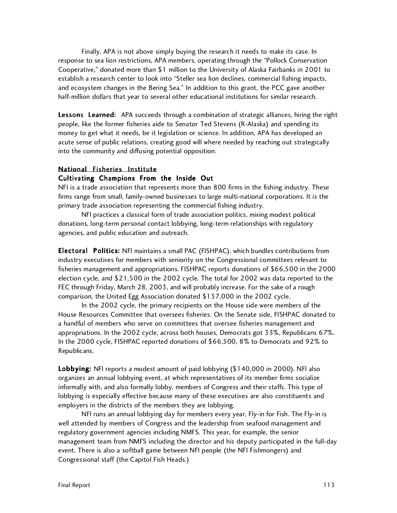Finally, APA is not above simply buying the research it needs to make its case. In response to sea lion restrictions, APA members, operating through the "Pollock Conservation Cooperative," donated more than \$1 million to the University of Alaska Fairbanks in 2001 to establish a research center to look into "Steller sea lion declines, commercial fishing impacts, and ecosystem changes in the Bering Sea." In addition to this grant, the PCC gave another half-million dollars that year to several other educational institutions for similar research.

Lessons Learned: APA succeeds through a combination of strategic alliances, hiring the right people, like the former fisheries aide to Senator Ted Stevens (R-Alaska) and spending its money to get what it needs, be it legislation or science. In addition, APA has developed an acute sense of public relations, creating good will where needed by reaching out strategically into the community and diffusing potential opposition.

## National Fisheries Institute

### Cultivating Champions From the Inside Out

NFI is a trade association that represents more than 800 firms in the fishing industry. These firms range from small, family-owned businesses to large multi-national corporations. It is the primary trade association representing the commercial fishing industry.

NFI practices a classical form of trade association politics, mixing modest political donations, long-term personal contact lobbying, long-term relationships with regulatory agencies, and public education and outreach.

Electoral Politics: NFI maintains a small PAC (FISHPAC), which bundles contributions from industry executives for members with seniority on the Congressional committees relevant to fisheries management and appropriations. FISHPAC reports donations of \$66,500 in the 2000 election cycle, and \$21,500 in the 2002 cycle. The total for 2002 was data reported to the FEC through Friday, March 28, 2003, and will probably increase. For the sake of a rough comparison, the United Egg Association donated \$137,000 in the 2002 cycle.

In the 2002 cycle, the primary recipients on the House side were members of the House Resources Committee that oversees fisheries. On the Senate side, FISHPAC donated to a handful of members who serve on committees that oversee fisheries management and appropriations. In the 2002 cycle, across both houses, Democrats got 33%, Republicans 67%. In the 2000 cycle, FISHPAC reported donations of \$66,500, 8% to Democrats and 92% to Republicans.

Lobbying: NFI reports a modest amount of paid lobbying (\$140,000 in 2000). NFI also organizes an annual lobbying event, at which representatives of its member firms socialize informally with, and also formally lobby, members of Congress and their staffs. This type of lobbying is especially effective because many of these executives are also constituents and employers in the districts of the members they are lobbying.

NFI runs an annual lobbying day for members every year, Fly-in for Fish. The Fly-in is well attended by members of Congress and the leadership from seafood management and regulatory government agencies including NMFS. This year, for example, the senior management team from NMFS including the director and his deputy participated in the full-day event. There is also a softball game between NFI people (the NFI Fishmongers) and Congressional staff (the Capitol Fish Heads.)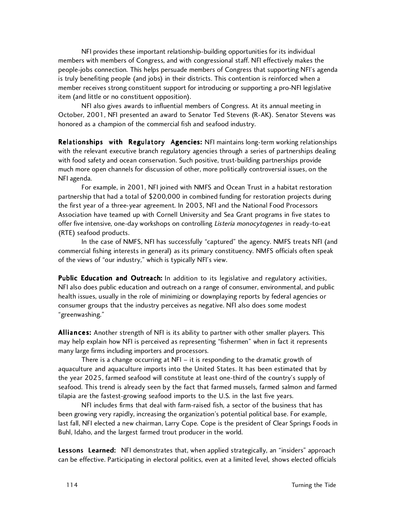NFI provides these important relationship-building opportunities for its individual members with members of Congress, and with congressional staff. NFI effectively makes the people-jobs connection. This helps persuade members of Congress that supporting NFI's agenda is truly benefiting people (and jobs) in their districts. This contention is reinforced when a member receives strong constituent support for introducing or supporting a pro-NFI legislative item (and little or no constituent opposition).

NFI also gives awards to influential members of Congress. At its annual meeting in October, 2001, NFI presented an award to Senator Ted Stevens (R-AK). Senator Stevens was honored as a champion of the commercial fish and seafood industry.

Relationships with Regulatory Agencies: NFI maintains long-term working relationships with the relevant executive branch regulatory agencies through a series of partnerships dealing with food safety and ocean conservation. Such positive, trust-building partnerships provide much more open channels for discussion of other, more politically controversial issues, on the NFI agenda.

For example, in 2001, NFI joined with NMFS and Ocean Trust in a habitat restoration partnership that had a total of \$200,000 in combined funding for restoration projects during the first year of a three-year agreement. In 2003, NFI and the National Food Processors Association have teamed up with Cornell University and Sea Grant programs in five states to offer five intensive, one-day workshops on controlling Listeria monocytogenes in ready-to-eat (RTE) seafood products.

In the case of NMFS, NFI has successfully "captured" the agency. NMFS treats NFI (and commercial fishing interests in general) as its primary constituency. NMFS officials often speak of the views of "our industry," which is typically NFI's view.

Public Education and Outreach: In addition to its legislative and regulatory activities, NFI also does public education and outreach on a range of consumer, environmental, and public health issues, usually in the role of minimizing or downplaying reports by federal agencies or consumer groups that the industry perceives as negative. NFI also does some modest "greenwashing."

Alliances: Another strength of NFI is its ability to partner with other smaller players. This may help explain how NFI is perceived as representing "fishermen" when in fact it represents many large firms including importers and processors.

There is a change occurring at NFI – it is responding to the dramatic growth of aquaculture and aquaculture imports into the United States. It has been estimated that by the year 2025, farmed seafood will constitute at least one-third of the country's supply of seafood. This trend is already seen by the fact that farmed mussels, farmed salmon and farmed tilapia are the fastest-growing seafood imports to the U.S. in the last five years.

NFI includes firms that deal with farm-raised fish, a sector of the business that has been growing very rapidly, increasing the organization's potential political base. For example, last fall, NFI elected a new chairman, Larry Cope. Cope is the president of Clear Springs Foods in Buhl, Idaho, and the largest farmed trout producer in the world.

Lessons Learned: NFI demonstrates that, when applied strategically, an "insiders" approach can be effective. Participating in electoral politics, even at a limited level, shows elected officials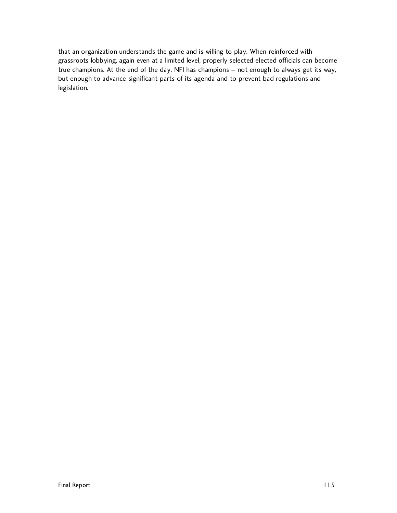that an organization understands the game and is willing to play. When reinforced with grassroots lobbying, again even at a limited level, properly selected elected officials can become true champions. At the end of the day, NFI has champions – not enough to always get its way, but enough to advance significant parts of its agenda and to prevent bad regulations and legislation.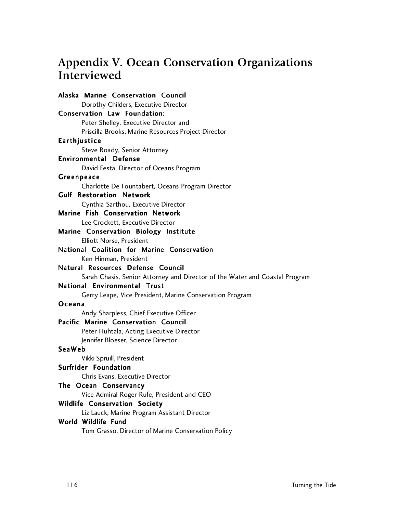# **Appendix V. Ocean Conservation Organizations Interviewed**

Alaska Marine Conservation Council Dorothy Childers, Executive Director Conservation Law Foundation: Peter Shelley, Executive Director and Priscilla Brooks, Marine Resources Project Director **Earthjustice** Steve Roady, Senior Attorney Environmental Defense David Festa, Director of Oceans Program Greenpeace Charlotte De Fountabert, Oceans Program Director Gulf Restoration Network Cynthia Sarthou, Executive Director Marine Fish Conservation Network Lee Crockett, Executive Director Marine Conservation Biology Institute Elliott Norse, President National Coalition for Marine Conservation Ken Hinman, President Natural Resources Defense Council Sarah Chasis, Senior Attorney and Director of the Water and Coastal Program National Environmental Trust Gerry Leape, Vice President, Marine Conservation Program Oc e an a Andy Sharpless, Chief Executive Officer Pacific Marine Conservation Council Peter Huhtala, Acting Executive Director Jennifer Bloeser, Science Director SeaWeb Vikki Spruill, President Surfrider Foundation Chris Evans, Executive Director The Ocean Conservancy Vice Admiral Roger Rufe, President and CEO Wildlife Conservation Society Liz Lauck, Marine Program Assistant Director World Wildlife Fund Tom Grasso, Director of Marine Conservation Policy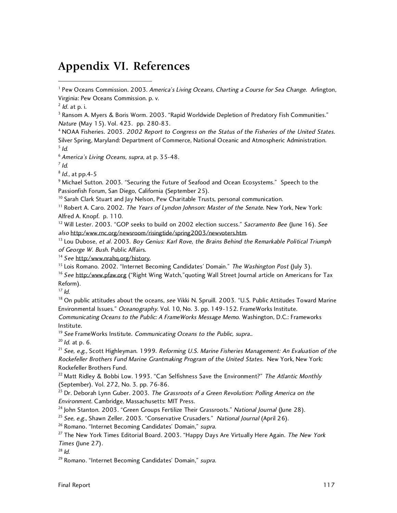## **Appendix VI. References**

<sup>4</sup> NOAA Fisheries. 2003. 2002 Report to Congress on the Status of the Fisheries of the United States. Silver Spring, Maryland: Department of Commerce, National Oceanic and Atmospheric Administration.  $5$  Id.

<sup>6</sup> America's Living Oceans, supra, at p. 35-48.

 $<sup>7</sup>$  Id.</sup>

 $8$  *ld.*, at pp. 4-5

 $^9$  Michael Sutton. 2003. "Securing the Future of Seafood and Ocean Ecosystems." Speech to the Passionfish Forum, San Diego, California (September 25).

<sup>10</sup> Sarah Clark Stuart and Jay Nelson, Pew Charitable Trusts, personal communication.

 $11$  Robert A. Caro. 2002. The Years of Lyndon Johnson: Master of the Senate. New York, New York: Alfred A. Knopf. p. 110.

<sup>12</sup> Will Lester. 2003. "GOP seeks to build on 2002 election success." Sacramento Bee (June 16). See also http:/www.rnc.org/newsroom/risingtide/spring2003/newvoters.htm.

<sup>13</sup> Lou Dubose, et al. 2003. Boy Genius: Karl Rove, the Brains Behind the Remarkable Political Triumph of George W. Bush. Public Affairs.

 $14$  See http:/www.nrahq.org/history.

<sup>15</sup> Lois Romano. 2002. "Internet Becoming Candidates' Domain." The Washington Post (July 3).

<sup>16</sup> See http:/www.pfaw.org ("Right Wing Watch," quoting Wall Street Journal article on Americans for Tax Reform).

 $17$  Id.

<sup>18</sup> On public attitudes about the oceans, see Vikki N. Spruill. 2003. "U.S. Public Attitudes Toward Marine Environmental Issues." Oceanography. Vol. 10, No. 3. pp. 149-152. FrameWorks Institute. Communicating Oceans to the Public: A FrameWorks Message Memo. Washington, D.C.: Frameworks

Institute.

 $19$  See FrameWorks Institute. Communicating Oceans to the Public, supra..

 $20$  *ld.* at p. 6.

<sup>21</sup> See, e.g., Scott Highleyman. 1999. Reforming U.S. Marine Fisheries Management: An Evaluation of the Rockefeller Brothers Fund Marine Grantmaking Program of the United States. New York, New York: Rockefeller Brothers Fund.

<sup>22</sup> Matt Ridley & Bobbi Low. 1993. "Can Selfishness Save the Environment?" The Atlantic Monthly (September). Vol. 272, No. 3. pp. 76-86.

 $23$  Dr. Deborah Lynn Guber. 2003. The Grassroots of a Green Revolution: Polling America on the Environment. Cambridge, Massachusetts: MIT Press.

<sup>24</sup> John Stanton. 2003. "Green Groups Fertilize Their Grassroots." National Journal (June 28).

<sup>25</sup> See, e.g., Shawn Zeller. 2003. "Conservative Crusaders." National Journal (April 26).

<sup>26</sup> Romano. "Internet Becoming Candidates' Domain," supra.

 $27$  The New York Times Editorial Board. 2003. "Happy Days Are Virtually Here Again. The New York Times (June 27).

 $28$  *Id.* 

<sup>29</sup> Romano. "Internet Becoming Candidates' Domain," supra.

<sup>|&</sup>lt;br>1 <sup>1</sup> Pew Oceans Commission. 2003. America's Living Oceans, Charting a Course for Sea Change. Arlington, Virginia: Pew Oceans Commission. p. v.

 $<sup>2</sup>$  *ld.* at p. i.</sup>

 $^{\text{3}}$  Ransom A. Myers & Boris Worm. 2003. "Rapid Worldwide Depletion of Predatory Fish Communities." Nature (May 15). Vol. 423. pp. 280-83.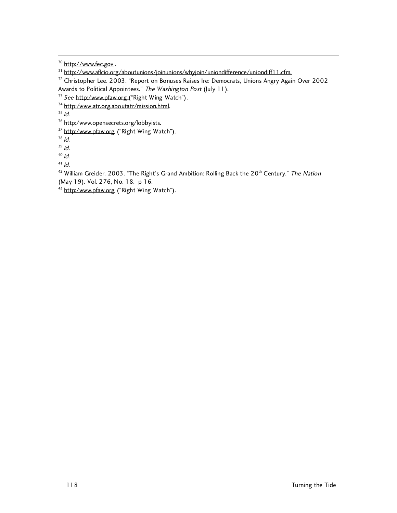<sup>30</sup> http://www.fec.gov.

<sup>34</sup> http:/www.atr.org.aboutatr/mission.html.

 $35$  Id.

<sup>36</sup> http:/www.opensecrets.org/lobbyists.

<sup>37</sup> http:/www.pfaw.org ("Right Wing Watch").

 $38$  Id.

 $39$  Id.

 $40$  Id.

 $41$  *Id.* 

<sup>42</sup> William Greider. 2003. "The Right's Grand Ambition: Rolling Back the 20<sup>th</sup> Century." The Nation (May 19). Vol. 276, No. 18. p 16.

<sup>43</sup> http:/www.pfaw.org ("Right Wing Watch").

<sup>&</sup>lt;sup>31</sup> http://www.aflcio.org/aboutunions/joinunions/whyjoin/uniondifference/uniondiff11.cfm.

<sup>&</sup>lt;sup>32</sup> Christopher Lee. 2003. "Report on Bonuses Raises Ire: Democrats, Unions Angry Again Over 2002 Awards to Political Appointees." The Washington Post (July 11).

<sup>&</sup>lt;sup>33</sup> See http:/www.pfaw.org ("Right Wing Watch").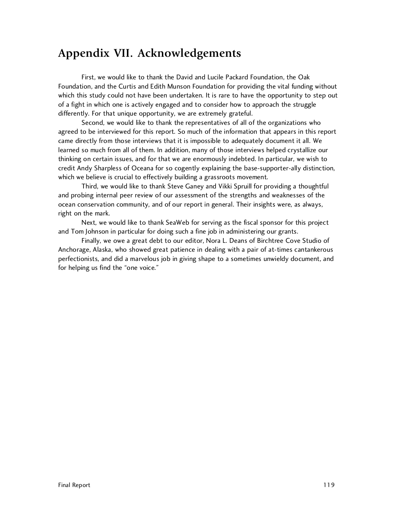## **Appendix VII. Acknowledgements**

First, we would like to thank the David and Lucile Packard Foundation, the Oak Foundation, and the Curtis and Edith Munson Foundation for providing the vital funding without which this study could not have been undertaken. It is rare to have the opportunity to step out of a fight in which one is actively engaged and to consider how to approach the struggle differently. For that unique opportunity, we are extremely grateful.

Second, we would like to thank the representatives of all of the organizations who agreed to be interviewed for this report. So much of the information that appears in this report came directly from those interviews that it is impossible to adequately document it all. We learned so much from all of them. In addition, many of those interviews helped crystallize our thinking on certain issues, and for that we are enormously indebted. In particular, we wish to credit Andy Sharpless of Oceana for so cogently explaining the base-supporter-ally distinction, which we believe is crucial to effectively building a grassroots movement.

Third, we would like to thank Steve Ganey and Vikki Spruill for providing a thoughtful and probing internal peer review of our assessment of the strengths and weaknesses of the ocean conservation community, and of our report in general. Their insights were, as always, right on the mark.

Next, we would like to thank SeaWeb for serving as the fiscal sponsor for this project and Tom Johnson in particular for doing such a fine job in administering our grants.

Finally, we owe a great debt to our editor, Nora L. Deans of Birchtree Cove Studio of Anchorage, Alaska, who showed great patience in dealing with a pair of at-times cantankerous perfectionists, and did a marvelous job in giving shape to a sometimes unwieldy document, and for helping us find the "one voice."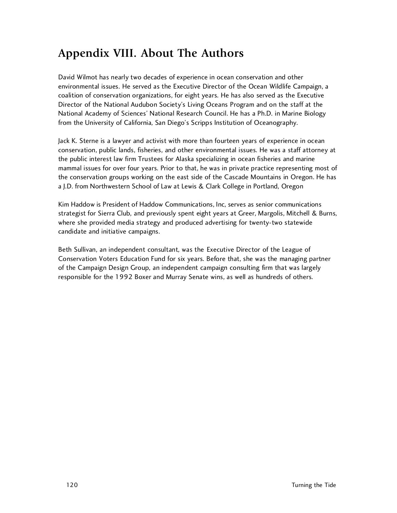# **Appendix VIII. About The Authors**

David Wilmot has nearly two decades of experience in ocean conservation and other environmental issues. He served as the Executive Director of the Ocean Wildlife Campaign, a coalition of conservation organizations, for eight years. He has also served as the Executive Director of the National Audubon Society's Living Oceans Program and on the staff at the National Academy of Sciences' National Research Council. He has a Ph.D. in Marine Biology from the University of California, San Diego's Scripps Institution of Oceanography.

Jack K. Sterne is a lawyer and activist with more than fourteen years of experience in ocean conservation, public lands, fisheries, and other environmental issues. He was a staff attorney at the public interest law firm Trustees for Alaska specializing in ocean fisheries and marine mammal issues for over four years. Prior to that, he was in private practice representing most of the conservation groups working on the east side of the Cascade Mountains in Oregon. He has a J.D. from Northwestern School of Law at Lewis & Clark College in Portland, Oregon

Kim Haddow is President of Haddow Communications, Inc, serves as senior communications strategist for Sierra Club, and previously spent eight years at Greer, Margolis, Mitchell & Burns, where she provided media strategy and produced advertising for twenty-two statewide candidate and initiative campaigns.

Beth Sullivan, an independent consultant, was the Executive Director of the League of Conservation Voters Education Fund for six years. Before that, she was the managing partner of the Campaign Design Group, an independent campaign consulting firm that was largely responsible for the 1992 Boxer and Murray Senate wins, as well as hundreds of others.